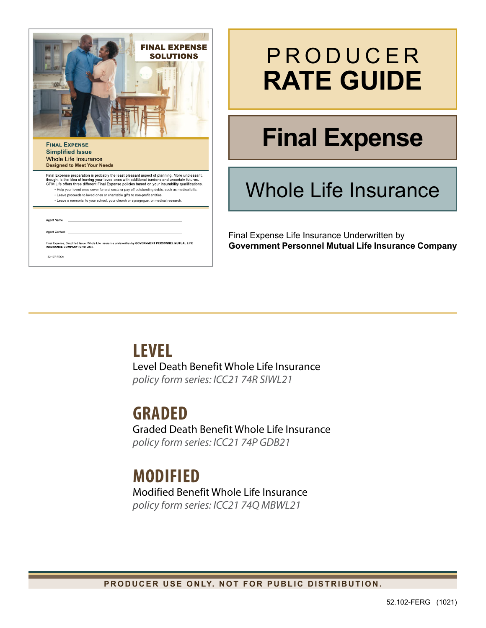| <b>FINAL EXPENSE</b><br><b>SOLUTIONS</b><br><b>FINAL EXPENSE</b><br><b>Simplified Issue</b><br>Whole Life Insurance<br><b>Designed to Meet Your Needs</b>                                                                                                                                                                                                                                                                                                                                                                                                                 |
|---------------------------------------------------------------------------------------------------------------------------------------------------------------------------------------------------------------------------------------------------------------------------------------------------------------------------------------------------------------------------------------------------------------------------------------------------------------------------------------------------------------------------------------------------------------------------|
| Final Expense preparation is probably the least pleasant aspect of planning. More unpleasant,<br>though, is the idea of leaving your loved ones with additional burdens and uncertain futures.<br>GPM Life offers three different Final Expense policies based on your insurability qualifications.<br>. Help your loved ones cover funeral costs or pay off outstanding debts, such as medical bills.<br>• Leave proceeds to loved ones or charitable gifts to non-profit entities.<br>• Leave a memorial to your school, your church or synagogue, or medical research. |
| Agent Name                                                                                                                                                                                                                                                                                                                                                                                                                                                                                                                                                                |
| Agent Contact                                                                                                                                                                                                                                                                                                                                                                                                                                                                                                                                                             |
| Final Expense, Simplified Issue, Whole Life Insurance underwritten by GOVERNMENT PERSONNEL MUTUAL LIFE<br>INSURANCE COMPANY (GPM Life).                                                                                                                                                                                                                                                                                                                                                                                                                                   |
| 52.107-FECn                                                                                                                                                                                                                                                                                                                                                                                                                                                                                                                                                               |

# PRODUCER **RATE GUIDE**

# **Final Expense**

# Whole Life Insurance

Final Expense Life Insurance Underwritten by **Government Personnel Mutual Life Insurance Company**

**LEVEL** Level Death Benefit Whole Life Insurance policy form series: ICC21 74R SIWL21

**GRADED** Graded Death Benefit Whole Life Insurance policy form series: ICC21 74P GDB21

#### **MODIFIED** Modified Benefit Whole Life Insurance policy form series: ICC21 74Q MBWL21

**PRODUCER USE ONLY. NOT FOR PUBLIC DISTRIBUTION.**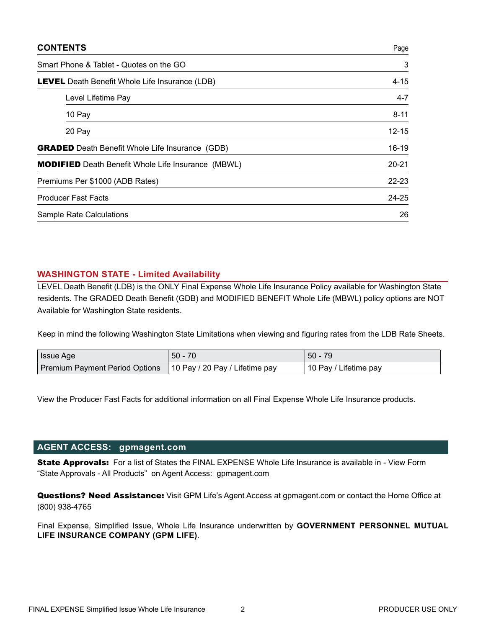| <b>CONTENTS</b>                                           | Page      |
|-----------------------------------------------------------|-----------|
| Smart Phone & Tablet - Quotes on the GO                   | 3         |
| <b>LEVEL</b> Death Benefit Whole Life Insurance (LDB)     | $4 - 15$  |
| Level Lifetime Pay                                        | $4 - 7$   |
| 10 Pay                                                    | $8 - 11$  |
| 20 Pay                                                    | $12 - 15$ |
| <b>GRADED</b> Death Benefit Whole Life Insurance (GDB)    | 16-19     |
| <b>MODIFIED</b> Death Benefit Whole Life Insurance (MBWL) | $20 - 21$ |
| Premiums Per \$1000 (ADB Rates)                           | $22 - 23$ |
| <b>Producer Fast Facts</b>                                | 24-25     |
| <b>Sample Rate Calculations</b>                           | 26        |

#### **WASHINGTON STATE - Limited Availability**

LEVEL Death Benefit (LDB) is the ONLY Final Expense Whole Life Insurance Policy available for Washington State residents. The GRADED Death Benefit (GDB) and MODIFIED BENEFIT Whole Life (MBWL) policy options are NOT Available for Washington State residents.

Keep in mind the following Washington State Limitations when viewing and figuring rates from the LDB Rate Sheets.

| ∣Issue Age                     | 50                                     | $50 -$                 |
|--------------------------------|----------------------------------------|------------------------|
| Premium Payment Period Options | $\vert$ 10 Pay / 20 Pay / Lifetime pay | Lifetime pay<br>10 Pay |

View the Producer Fast Facts for additional information on all Final Expense Whole Life Insurance products.

#### **AGENT ACCESS: gpmagent.com**

State Approvals: For a list of States the FINAL EXPENSE Whole Life Insurance is available in - View Form "State Approvals - All Products" on Agent Access: gpmagent.com

Questions? Need Assistance: Visit GPM Life's Agent Access at gpmagent.com or contact the Home Office at (800) 938-4765

Final Expense, Simplified Issue, Whole Life Insurance underwritten by **GOVERNMENT PERSONNEL MUTUAL LIFE INSURANCE COMPANY (GPM LIFE)**.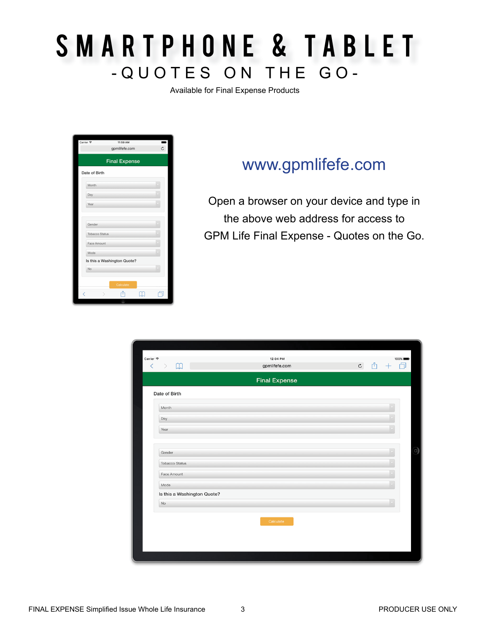# S M A R T P H O N E & T A B L E T -QUOTES ON THE GO-

Available for Final Expense Products

| Carrier <sup>•</sup>  | 11:59 AM                    |  |
|-----------------------|-----------------------------|--|
|                       | gpmlifefe.com               |  |
|                       | <b>Final Expense</b>        |  |
| Date of Birth         |                             |  |
| Month                 |                             |  |
| Day                   |                             |  |
| Year                  |                             |  |
|                       |                             |  |
| Gender                |                             |  |
| <b>Tobacco Status</b> |                             |  |
| Face Amount           |                             |  |
| Mode                  |                             |  |
|                       | Is this a Washington Quote? |  |
| No                    |                             |  |
|                       |                             |  |
|                       | Calculate                   |  |
| K                     |                             |  |
|                       |                             |  |

# www.gpmlifefe.com

Open a browser on your device and type in the above web address for access to GPM Life Final Expense - Quotes on the Go.

| Carrier <b>マ</b><br>$\Box$<br>$\,>\,$<br>$\overline{\left( \right. }%$ | 12:04 PM<br>gpmlifefe.com | 100%<br>Ů<br>$\mathtt{C}$<br>$^{+}$<br>$\overline{\mathbb{P}}$ |
|------------------------------------------------------------------------|---------------------------|----------------------------------------------------------------|
|                                                                        | <b>Final Expense</b>      |                                                                |
| Date of Birth                                                          |                           |                                                                |
| Month                                                                  |                           |                                                                |
| Day                                                                    |                           |                                                                |
| Year                                                                   |                           |                                                                |
|                                                                        |                           |                                                                |
| Gender                                                                 |                           |                                                                |
| <b>Tobacco Status</b>                                                  |                           |                                                                |
| Face Amount                                                            |                           |                                                                |
| Mode                                                                   |                           |                                                                |
| Is this a Washington Quote?                                            |                           |                                                                |
| $\mathsf{No}$                                                          |                           |                                                                |
|                                                                        | Calculate                 |                                                                |
|                                                                        |                           |                                                                |
|                                                                        |                           |                                                                |
|                                                                        |                           |                                                                |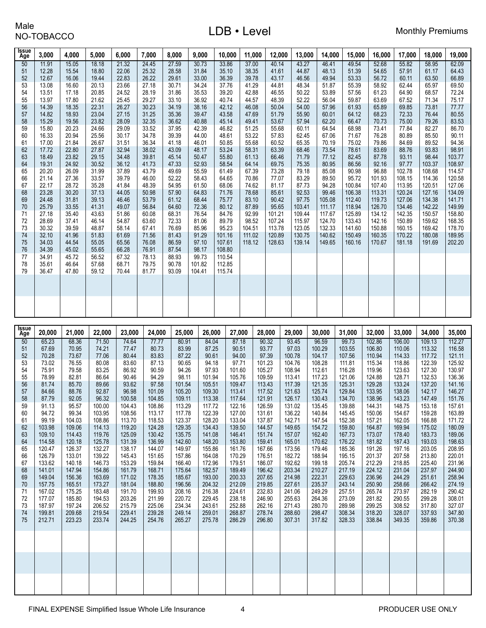| Male       |
|------------|
| NO-TOBACCO |

LDB • Level Monthly Premiums

| Issue<br>Age | 3,000 | 4,000 | 5,000 | 6,000 | 7,000 | 8,000 | 9,000  | 10,000 | 11,000 | 12,000 | 13,000 | 14,000 | 15,000 | 16,000 | 17,000 | 18,000 | 19,000 |
|--------------|-------|-------|-------|-------|-------|-------|--------|--------|--------|--------|--------|--------|--------|--------|--------|--------|--------|
| 50           | 11.91 | 15.05 | 18.18 | 21.32 | 24.45 | 27.59 | 30.73  | 33.86  | 37.00  | 40.14  | 43.27  | 46.41  | 49.54  | 52.68  | 55.82  | 58.95  | 62.09  |
| 51           | 12.28 | 15.54 | 18.80 | 22.06 | 25.32 | 28.58 | 31.84  | 35.10  | 38.35  | 41.61  | 44.87  | 48.13  | 51.39  | 54.65  | 57.91  | 61.17  | 64.43  |
| 52           | 12.67 | 16.06 | 19.44 | 22.83 | 26.22 | 29.61 | 33.00  | 36.39  | 39.78  | 43.17  | 46.56  | 49.94  | 53.33  | 56.72  | 60.11  | 63.50  | 66.89  |
| 53           | 13.08 | 16.60 | 20.13 | 23.66 | 27.18 | 30.71 | 34.24  | 37.76  | 41.29  | 44.81  | 48.34  | 51.87  | 55.39  | 58.92  | 62.44  | 65.97  | 69.50  |
| 54           | 13.51 | 17.18 | 20.85 | 24.52 | 28.19 | 31.86 | 35.53  | 39.20  | 42.88  | 46.55  | 50.22  | 53.89  | 57.56  | 61.23  | 64.90  | 68.57  | 72.24  |
| 55           | 13.97 | 17.80 | 21.62 | 25.45 | 29.27 | 33.10 | 36.92  | 40.74  | 44.57  | 48.39  | 52.22  | 56.04  | 59.87  | 63.69  | 67.52  | 71.34  | 75.17  |
| 56           | 14.39 | 18.35 | 22.31 | 26.27 | 30.23 | 34.19 | 38.16  | 42.12  | 46.08  | 50.04  | 54.00  | 57.96  | 61.93  | 65.89  | 69.85  | 73.81  | 77.77  |
| 57           | 14.82 | 18.93 | 23.04 | 27.15 | 31.25 | 35.36 | 39.47  | 43.58  | 47.69  | 51.79  | 55.90  | 60.01  | 64.12  | 68.23  | 72.33  | 76.44  | 80.55  |
| 58           | 15.29 | 19.56 | 23.82 | 28.09 | 32.35 | 36.62 | 40.88  | 45.14  | 49.41  | 53.67  | 57.94  | 62.20  | 66.47  | 70.73  | 75.00  | 79.26  | 83.53  |
| 59           | 15.80 | 20.23 | 24.66 | 29.09 | 33.52 | 37.95 | 42.39  | 46.82  | 51.25  | 55.68  | 60.11  | 64.54  | 68.98  | 73.41  | 77.84  | 82.27  | 86.70  |
| 60           | 16.33 | 20.94 | 25.56 | 30.17 | 34.78 | 39.39 | 44.00  | 48.61  | 53.22  | 57.83  | 62.45  | 67.06  | 71.67  | 76.28  | 80.89  | 85.50  | 90.11  |
| 61           | 17.00 | 21.84 | 26.67 | 31.51 | 36.34 | 41.18 | 46.01  | 50.85  | 55.68  | 60.52  | 65.35  | 70.19  | 75.02  | 79.86  | 84.69  | 89.52  | 94.36  |
| 62           | 17.72 | 22.80 | 27.87 | 32.94 | 38.02 | 43.09 | 48.17  | 53.24  | 58.31  | 63.39  | 68.46  | 73.54  | 78.61  | 83.69  | 88.76  | 93.83  | 98.91  |
| 63           | 18.49 | 23.82 | 29.15 | 34.48 | 39.81 | 45.14 | 50.47  | 55.80  | 61.13  | 66.46  | 71.79  | 77.12  | 82.45  | 87.78  | 93.11  | 98.44  | 103.77 |
| 64           | 19.31 | 24.92 | 30.52 | 36.12 | 41.73 | 47.33 | 52.93  | 58.54  | 64.14  | 69.75  | 75.35  | 80.95  | 86.56  | 92.16  | 97.77  | 103.37 | 108.97 |
| 65           | 20.20 | 26.09 | 31.99 | 37.89 | 43.79 | 49.69 | 55.59  | 61.49  | 67.39  | 73.28  | 79.18  | 85.08  | 90.98  | 96.88  | 102.78 | 108.68 | 114.57 |
| 66           | 21.14 | 27.36 | 33.57 | 39.79 | 46.00 | 52.22 | 58.43  | 64.65  | 70.86  | 77.07  | 83.29  | 89.50  | 95.72  | 101.93 | 108.15 | 114.36 | 120.58 |
| 67           | 22.17 | 28.72 | 35.28 | 41.84 | 48.39 | 54.95 | 61.50  | 68.06  | 74.62  | 81.17  | 87.73  | 94.28  | 100.84 | 107.40 | 113.95 | 120.51 | 127.06 |
| 68           | 23.28 | 30.20 | 37.13 | 44.05 | 50.98 | 57.90 | 64.83  | 71.76  | 78.68  | 85.61  | 92.53  | 99.46  | 106.38 | 113.31 | 120.24 | 127.16 | 134.09 |
| 69           | 24.48 | 31.81 | 39.13 | 46.46 | 53.79 | 61.12 | 68.44  | 75.77  | 83.10  | 90.42  | 97.75  | 105.08 | 112.40 | 119.73 | 127.06 | 134.38 | 141.71 |
| 70           | 25.79 | 33.55 | 41.31 | 49.07 | 56.84 | 64.60 | 72.36  | 80.12  | 87.89  | 95.65  | 103.41 | 111.17 | 118.94 | 126.70 | 134.46 | 142.22 | 149.99 |
| 71           | 27.18 | 35.40 | 43.63 | 51.86 | 60.08 | 68.31 | 76.54  | 84.76  | 92.99  | 101.21 | 109.44 | 117.67 | 125.89 | 134.12 | 142.35 | 150.57 | 158.80 |
| 72           | 28.69 | 37.41 | 46.14 | 54.87 | 63.60 | 72.33 | 81.06  | 89.79  | 98.52  | 107.24 | 115.97 | 124.70 | 133.43 | 142.16 | 150.89 | 159.62 | 168.35 |
| 73           | 30.32 | 39.59 | 48.87 | 58.14 | 67.41 | 76.69 | 85.96  | 95.23  | 104.51 | 113.78 | 123.05 | 132.33 | 141.60 | 150.88 | 160.15 | 169.42 | 178.70 |
| 74           | 32.10 | 41.96 | 51.83 | 61.69 | 71.56 | 81.43 | 91.29  | 101.16 | 111.02 | 120.89 | 130.75 | 140.62 | 150.49 | 160.35 | 170.22 | 180.08 | 189.95 |
| 75           | 34.03 | 44.54 | 55.05 | 65.56 | 76.08 | 86.59 | 97.10  | 107.61 | 118.12 | 128.63 | 139.14 | 149.65 | 160.16 | 170.67 | 181.18 | 191.69 | 202.20 |
| 76           | 34.39 | 45.02 | 55.65 | 66.28 | 76.91 | 87.54 | 98.17  | 108.80 |        |        |        |        |        |        |        |        |        |
| 77           | 34.91 | 45.72 | 56.52 | 67.32 | 78.13 | 88.93 | 99.73  | 110.54 |        |        |        |        |        |        |        |        |        |
| 78           | 35.61 | 46.64 | 57.68 | 68.71 | 79.75 | 90.78 | 101.82 | 112.85 |        |        |        |        |        |        |        |        |        |
| 79           | 36.47 | 47.80 | 59.12 | 70.44 | 81.77 | 93.09 | 104.41 | 115.74 |        |        |        |        |        |        |        |        |        |
|              |       |       |       |       |       |       |        |        |        |        |        |        |        |        |        |        |        |
|              |       |       |       |       |       |       |        |        |        |        |        |        |        |        |        |        |        |
|              |       |       |       |       |       |       |        |        |        |        |        |        |        |        |        |        |        |
|              |       |       |       |       |       |       |        |        |        |        |        |        |        |        |        |        |        |
|              |       |       |       |       |       |       |        |        |        |        |        |        |        |        |        |        |        |
|              |       |       |       |       |       |       |        |        |        |        |        |        |        |        |        |        |        |

| Issue<br>Age | 20,000 | 21,000 | 22,000 | 23,000 | 24,000 | 25,000 | 26,000 | 27,000 | 28,000 | 29,000 | 30,000 | 31,000 | 32,000 | 33,000 | 34,000 | 35,000 |
|--------------|--------|--------|--------|--------|--------|--------|--------|--------|--------|--------|--------|--------|--------|--------|--------|--------|
| 50           | 65.23  | 68.36  | 71.50  | 74.64  | 77.77  | 80.91  | 84.04  | 87.18  | 90.32  | 93.45  | 96.59  | 99.73  | 102.86 | 106.00 | 109.13 | 112.27 |
| 51           | 67.69  | 70.95  | 74.21  | 77.47  | 80.73  | 83.99  | 87.25  | 90.51  | 93.77  | 97.03  | 100.29 | 103.55 | 106.80 | 110.06 | 113.32 | 116.58 |
| 52           | 70.28  | 73.67  | 77.06  | 80.44  | 83.83  | 87.22  | 90.61  | 94.00  | 97.39  | 100.78 | 104.17 | 107.56 | 110.94 | 114.33 | 117.72 | 121.11 |
| 53           | 73.02  | 76.55  | 80.08  | 83.60  | 87.13  | 90.65  | 94.18  | 97.71  | 101.23 | 104.76 | 108.28 | 111.81 | 115.34 | 118.86 | 122.39 | 125.92 |
| 54           | 75.91  | 79.58  | 83.25  | 86.92  | 90.59  | 94.26  | 97.93  | 101.60 | 105.27 | 108.94 | 112.61 | 116.28 | 119.96 | 123.63 | 127.30 | 130.97 |
| 55           | 78.99  | 82.81  | 86.64  | 90.46  | 94.29  | 98.11  | 101.94 | 105.76 | 109.59 | 113.41 | 117.23 | 121.06 | 124.88 | 128.71 | 132.53 | 136.36 |
| 56           | 81.74  | 85.70  | 89.66  | 93.62  | 97.58  | 101.54 | 105.51 | 109.47 | 113.43 | 117.39 | 121.35 | 125.31 | 129.28 | 133.24 | 137.20 | 141.16 |
| 57           | 84.66  | 88.76  | 92.87  | 96.98  | 101.09 | 105.20 | 109.30 | 113.41 | 117.52 | 121.63 | 125.74 | 129.84 | 133.95 | 138.06 | 142.17 | 146.27 |
| 58           | 87.79  | 92.05  | 96.32  | 100.58 | 104.85 | 109.11 | 113.38 | 117.64 | 121.91 | 126.17 | 130.43 | 134.70 | 138.96 | 143.23 | 147.49 | 151.76 |
| 59           | 91.13  | 95.57  | 100.00 | 104.43 | 108.86 | 113.29 | 117.72 | 122.16 | 126.59 | 131.02 | 135.45 | 139.88 | 144.31 | 148.75 | 153.18 | 157.61 |
| 60           | 94.72  | 99.34  | 103.95 | 108.56 | 113.17 | 117.78 | 122.39 | 127.00 | 131.61 | 136.22 | 140.84 | 145.45 | 150.06 | 154.67 | 159.28 | 163.89 |
| 61           | 99.19  | 104.03 | 108.86 | 113.70 | 118.53 | 123.37 | 128.20 | 133.04 | 137.87 | 142.71 | 147.54 | 152.38 | 157.21 | 162.05 | 166.88 | 171.72 |
| 62           | 103.98 | 109.06 | 114.13 | 119.20 | 124.28 | 129.35 | 134.43 | 139.50 | 144.57 | 149.65 | 154.72 | 159.80 | 164.87 | 169.94 | 175.02 | 180.09 |
| 63           | 109.10 | 114.43 | 119.76 | 125.09 | 130.42 | 135.75 | 141.08 | 146.41 | 151.74 | 157.07 | 162.40 | 167.73 | 173.07 | 178.40 | 183.73 | 189.06 |
| 64           | 114.58 | 120.18 | 125.78 | 131.39 | 136.99 | 142.60 | 148.20 | 153.80 | 159.41 | 165.01 | 170.62 | 176.22 | 181.82 | 187.43 | 193.03 | 198.63 |
| 65           | 120.47 | 126.37 | 132.27 | 138.17 | 144.07 | 149.97 | 155.86 | 161.76 | 167.66 | 173.56 | 179.46 | 185.36 | 191.26 | 197.16 | 203.05 | 208.95 |
| 66           | 126.79 | 133.01 | 139.22 | 145.43 | 151.65 | 157.86 | 164.08 | 170.29 | 176.51 | 182.72 | 188.94 | 195.15 | 201.37 | 207.58 | 213.80 | 220.01 |
| 67           | 133.62 | 140.18 | 146.73 | 153.29 | 159.84 | 166.40 | 172.96 | 179.51 | 186.07 | 192.62 | 199.18 | 205.74 | 212.29 | 218.85 | 225.40 | 231.96 |
| 68           | 141.01 | 147.94 | 154.86 | 161.79 | 168.71 | 175.64 | 182.57 | 189.49 | 196.42 | 203.34 | 210.27 | 217.19 | 224.12 | 231.04 | 237.97 | 244.90 |
| 69           | 149.04 | 156.36 | 163.69 | 171.02 | 178.35 | 185.67 | 193.00 | 200.33 | 207.65 | 214.98 | 222.31 | 229.63 | 236.96 | 244.29 | 251.61 | 258.94 |
| 70           | 157.75 | 165.51 | 173.27 | 181.04 | 188.80 | 196.56 | 204.32 | 212.09 | 219.85 | 227.61 | 235.37 | 243.14 | 250.90 | 258.66 | 266.42 | 274.19 |
| 71           | 167.02 | 175.25 | 183.48 | 191.70 | 199.93 | 208.16 | 216.38 | 224.61 | 232.83 | 241.06 | 249.29 | 257.51 | 265.74 | 273.97 | 282.19 | 290.42 |
| 72           | 177.07 | 185.80 | 194.53 | 203.26 | 211.99 | 220.72 | 229.45 | 238.18 | 246.90 | 255.63 | 264.36 | 273.09 | 281.82 | 290.55 | 299.28 | 308.01 |
| 73           | 187.97 | 197.24 | 206.52 | 215.79 | 225.06 | 234.34 | 243.61 | 252.88 | 262.16 | 271.43 | 280.70 | 289.98 | 299.25 | 308.52 | 317.80 | 327.07 |
| 74           | 199.81 | 209.68 | 219.54 | 229.41 | 239.28 | 249.14 | 259.01 | 268.87 | 278.74 | 288.60 | 298.47 | 308.34 | 318.20 | 328.07 | 337.93 | 347.80 |
| 75           | 212.71 | 223.23 | 233.74 | 244.25 | 254.76 | 265.27 | 275.78 | 286.29 | 296.80 | 307.31 | 317.82 | 328.33 | 338.84 | 349.35 | 359.86 | 370.38 |
|              |        |        |        |        |        |        |        |        |        |        |        |        |        |        |        |        |
|              |        |        |        |        |        |        |        |        |        |        |        |        |        |        |        |        |
|              |        |        |        |        |        |        |        |        |        |        |        |        |        |        |        |        |
|              |        |        |        |        |        |        |        |        |        |        |        |        |        |        |        |        |
|              |        |        |        |        |        |        |        |        |        |        |        |        |        |        |        |        |
|              |        |        |        |        |        |        |        |        |        |        |        |        |        |        |        |        |
|              |        |        |        |        |        |        |        |        |        |        |        |        |        |        |        |        |
|              |        |        |        |        |        |        |        |        |        |        |        |        |        |        |        |        |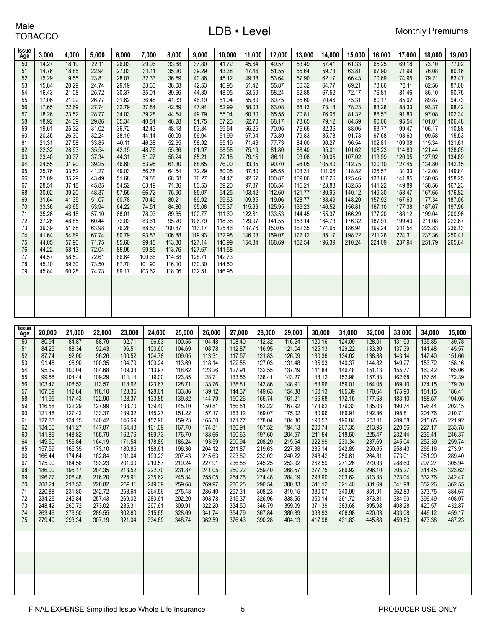LDB • Level Monthly Premiums

| Issue<br>Age | 3,000 | 4,000 | 5,000 | 6,000 | 7,000  | 8,000  | 9,000  | 10,000 | 11,000 | 12,000 | 13,000 | 14,000 | 15,000 | 16,000 | 17,000 | 18,000 | 19,000 |
|--------------|-------|-------|-------|-------|--------|--------|--------|--------|--------|--------|--------|--------|--------|--------|--------|--------|--------|
| 50           | 14.27 | 18.19 | 22.11 | 26.03 | 29.96  | 33.88  | 37.80  | 41.72  | 45.64  | 49.57  | 53.49  | 57.41  | 61.33  | 65.25  | 69.18  | 73.10  | 77.02  |
| 51           | 14.76 | 18.85 | 22.94 | 27.03 | 31.11  | 35.20  | 39.29  | 43.38  | 47.46  | 51.55  | 55.64  | 59.73  | 63.81  | 67.90  | 71.99  | 76.08  | 80.16  |
| 52           | 15.29 | 19.55 | 23.81 | 28.07 | 32.33  | 36.59  | 40.86  | 45.12  | 49.38  | 53.64  | 57.90  | 62.17  | 66.43  | 70.69  | 74.95  | 79.21  | 83.47  |
| 53           | 15.84 | 20.29 | 24.74 | 29.19 | 33.63  | 38.08  | 42.53  | 46.98  | 51.42  | 55.87  | 60.32  | 64.77  | 69.21  | 73.66  | 78.11  | 82.56  | 87.00  |
| 54           | 16.43 | 21.08 | 25.72 | 30.37 | 35.01  | 39.66  | 44.30  | 48.95  | 53.59  | 58.24  | 62.88  | 67.52  | 72.17  | 76.81  | 81.46  | 86.10  | 90.75  |
| 55           | 17.06 | 21.92 | 26.77 | 31.62 | 36.48  | 41.33  | 46.19  | 51.04  | 55.89  | 60.75  | 65.60  | 70.46  | 75.31  | 80.17  | 85.02  | 89.87  | 94.73  |
| 56           | 17.65 | 22.69 | 27.74 | 32.79 | 37.84  | 42.89  | 47.94  | 52.99  | 58.03  | 63.08  | 68.13  | 73.18  | 78.23  | 83.28  | 88.33  | 93.37  | 98.42  |
| 57           | 18.26 | 23.52 | 28.77 | 34.03 | 39.28  | 44.54  | 49.79  | 55.04  | 60.30  | 65.55  | 70.81  | 76.06  | 81.32  | 86.57  | 91.83  | 97.08  | 102.34 |
| 58           | 18.92 | 24.39 | 29.86 | 35.34 | 40.81  | 46.28  | 51.75  | 57.23  | 62.70  | 68.17  | 73.65  | 79.12  | 84.59  | 90.06  | 95.54  | 101.01 | 106.48 |
| 59           | 19.61 | 25.32 | 31.02 | 36.72 | 42.43  | 48.13  | 53.84  | 59.54  | 65.25  | 70.95  | 76.65  | 82.36  | 88.06  | 93.77  | 99.47  | 105.17 | 110.88 |
| 60           | 20.35 | 26.30 | 32.24 | 38.19 | 44.14  | 50.09  | 56.04  | 61.99  | 67.94  | 73.89  | 79.83  | 85.78  | 91.73  | 97.68  | 103.63 | 109.58 | 115.53 |
| 61           | 21.31 | 27.58 | 33.85 | 40.11 | 46.38  | 52.65  | 58.92  | 65.19  | 71.46  | 77.73  | 84.00  | 90.27  | 96.54  | 102.81 | 109.08 | 115.34 | 121.61 |
| 62           | 22.32 | 28.93 | 35.54 | 42.15 | 48.76  | 55.36  | 61.97  | 68.58  | 75.19  | 81.80  | 88.40  | 95.01  | 101.62 | 108.23 | 114.83 | 121.44 | 128.05 |
| 63           | 23.40 | 30.37 | 37.34 | 44.31 | 51.27  | 58.24  | 65.21  | 72.18  | 79.15  | 86.11  | 93.08  | 100.05 | 107.02 | 113.99 | 120.95 | 127.92 | 134.89 |
| 64           | 24.55 | 31.90 | 39.25 | 46.60 | 53.95  | 61.30  | 68.65  | 76.00  | 83.35  | 90.70  | 98.05  | 105.40 | 112.75 | 120.10 | 127.45 | 134.80 | 142.15 |
| 65           | 25.76 | 33.52 | 41.27 | 49.03 | 56.78  | 64.54  | 72.29  | 80.05  | 87.80  | 95.55  | 103.31 | 111.06 | 118.82 | 126.57 | 134.33 | 142.08 | 149.84 |
| 66           | 27.09 | 35.29 | 43.49 | 51.68 | 59.88  | 68.08  | 76.27  | 84.47  | 92.67  | 100.87 | 109.06 | 117.26 | 125.46 | 133.66 | 141.85 | 150.05 | 158.25 |
| 67           | 28.51 | 37.18 | 45.85 | 54.52 | 63.19  | 71.86  | 80.53  | 89.20  | 97.87  | 106.54 | 115.21 | 123.88 | 132.55 | 141.22 | 149.89 | 158.56 | 167.23 |
| 68           | 30.02 | 39.20 | 48.37 | 57.55 | 66.72  | 75.90  | 85.07  | 94.25  | 103.42 | 112.60 | 121.77 | 130.95 | 140.12 | 149.30 | 158.47 | 167.65 | 176.82 |
| 69           | 31.64 | 41.35 | 51.07 | 60.78 | 70.49  | 80.21  | 89.92  | 99.63  | 109.35 | 119.06 | 128.77 | 138.49 | 148.20 | 157.92 | 167.63 | 177.34 | 187.06 |
| 70           | 33.36 | 43.65 | 53.94 | 64.22 | 74.51  | 84.80  | 95.08  | 105.37 | 115.66 | 125.95 | 136.23 | 146.52 | 156.81 | 167.10 | 177.38 | 187.67 | 197.96 |
| 71           | 35.26 | 46.18 | 57.10 | 68.01 | 78.93  | 89.85  | 100.77 | 111.69 | 122.61 | 133.53 | 144.45 | 155.37 | 166.29 | 177.20 | 188.12 | 199.04 | 209.96 |
| 72           | 37.26 | 48.85 | 60.44 | 72.03 | 83.61  | 95.20  | 106.79 | 118.38 | 129.97 | 141.55 | 153.14 | 164.73 | 176.32 | 187.91 | 199.49 | 211.08 | 222.67 |
| 73           | 39.39 | 51.68 | 63.98 | 76.28 | 88.57  | 100.87 | 113.17 | 125.46 | 137.76 | 150.05 | 162.35 | 174.65 | 186.94 | 199.24 | 211.54 | 223.83 | 236.13 |
| 74           | 41.64 | 54.69 | 67.74 | 80.79 | 93.83  | 106.88 | 119.93 | 132.98 | 146.03 | 159.07 | 172.12 | 185.17 | 198.22 | 211.26 | 224.31 | 237.36 | 250.41 |
| 75           | 44.05 | 57.90 | 71.75 | 85.60 | 99.45  | 113.30 | 127.14 | 140.99 | 154.84 | 168.69 | 182.54 | 196.39 | 210.24 | 224.09 | 237.94 | 251.79 | 265.64 |
| 76           | 44.22 | 58.13 | 72.04 | 85.95 | 99.85  | 113.76 | 127.67 | 141.58 |        |        |        |        |        |        |        |        |        |
| 77           | 44.57 | 58.59 | 72.61 | 86.64 | 100.66 | 114.68 | 128.71 | 142.73 |        |        |        |        |        |        |        |        |        |
| 78           | 45.10 | 59.30 | 73.50 | 87.70 | 101.90 | 116.10 | 130.30 | 144.50 |        |        |        |        |        |        |        |        |        |
| 79           | 45.84 | 60.28 | 74.73 | 89.17 | 103.62 | 118.06 | 132.51 | 146.95 |        |        |        |        |        |        |        |        |        |
|              |       |       |       |       |        |        |        |        |        |        |        |        |        |        |        |        |        |
|              |       |       |       |       |        |        |        |        |        |        |        |        |        |        |        |        |        |
|              |       |       |       |       |        |        |        |        |        |        |        |        |        |        |        |        |        |
|              |       |       |       |       |        |        |        |        |        |        |        |        |        |        |        |        |        |
|              |       |       |       |       |        |        |        |        |        |        |        |        |        |        |        |        |        |

| Issue<br>Age | 20,000 | 21,000 | 22,000 | 23,000 | 24,000 | 25,000 | 26,000 | 27,000 | 28,000 | 29,000 | 30,000 | 31,000 | 32,000 | 33,000 | 34,000 | 35,000 |
|--------------|--------|--------|--------|--------|--------|--------|--------|--------|--------|--------|--------|--------|--------|--------|--------|--------|
| 50           | 80.94  | 84.87  | 88.79  | 92.71  | 96.63  | 100.55 | 104.48 | 108.40 | 112.32 | 116.24 | 120.16 | 124.09 | 128.01 | 131.93 | 135.85 | 139.78 |
| 51           | 84.25  | 88.34  | 92.43  | 96.51  | 100.60 | 104.69 | 108.78 | 112.87 | 116.95 | 121.04 | 125.13 | 129.22 | 133.30 | 137.39 | 141.48 | 145.57 |
| 52           | 87.74  | 92.00  | 96.26  | 100.52 | 104.78 | 109.05 | 113.31 | 117.57 | 121.83 | 126.09 | 130.36 | 134.62 | 138.88 | 143.14 | 147.40 | 151.66 |
| 53           | 91.45  | 95.90  | 100.35 | 104.79 | 109.24 | 113.69 | 118.14 | 122.58 | 127.03 | 131.48 | 135.93 | 140.37 | 144.82 | 149.27 | 153.72 | 158.16 |
| 54           | 95.39  | 100.04 | 104.68 | 109.33 | 113.97 | 118.62 | 123.26 | 127.91 | 132.55 | 137.19 | 141.84 | 146.48 | 151.13 | 155.77 | 160.42 | 165.06 |
| 55           | 99.58  | 104.44 | 109.29 | 114.14 | 119.00 | 123.85 | 128.71 | 133.56 | 138.41 | 143.27 | 148.12 | 152.98 | 157.83 | 162.68 | 167.54 | 172.39 |
| 56           | 103.47 | 108.52 | 113.57 | 118.62 | 123.67 | 128.71 | 133.76 | 138.81 | 143.86 | 148.91 | 153.96 | 159.01 | 164.05 | 169.10 | 174.15 | 179.20 |
| 57           | 107.59 | 112.84 | 118.10 | 123.35 | 128.61 | 133.86 | 139.12 | 144.37 | 149.63 | 154.88 | 160.13 | 165.39 | 170.64 | 175.90 | 181.15 | 186.41 |
| 58           | 111.95 | 117.43 | 122.90 | 128.37 | 133.85 | 139.32 | 144.79 | 150.26 | 155.74 | 161.21 | 166.68 | 172.15 | 177.63 | 183.10 | 188.57 | 194.05 |
| 59           | 116.58 | 122.29 | 127.99 | 133.70 | 139.40 | 145.10 | 150.81 | 156.51 | 162.22 | 167.92 | 173.62 | 179.33 | 185.03 | 190.74 | 196.44 | 202.15 |
| 60           | 121.48 | 127.42 | 133.37 | 139.32 | 145.27 | 151.22 | 157.17 | 163.12 | 169.07 | 175.02 | 180.96 | 186.91 | 192.86 | 198.81 | 204.76 | 210.71 |
| 61           | 127.88 | 134.15 | 140.42 | 146.69 | 152.96 | 159.23 | 165.50 | 171.77 | 178.04 | 184.30 | 190.57 | 196.84 | 203.11 | 209.38 | 215.65 | 221.92 |
| 62           | 134.66 | 141.27 | 147.87 | 154.48 | 161.09 | 167.70 | 174.31 | 180.91 | 187.52 | 194.13 | 200.74 | 207.35 | 213.95 | 220.56 | 227.17 | 233.78 |
| 63           | 141.86 | 148.82 | 155.79 | 162.76 | 169.73 | 176.70 | 183.66 | 190.63 | 197.60 | 204.57 | 211.54 | 218.50 | 225.47 | 232.44 | 239.41 | 246.37 |
| 64           | 149.50 | 156.84 | 164.19 | 171.54 | 178.89 | 186.24 | 193.59 | 200.94 | 208.29 | 215.64 | 222.99 | 230.34 | 237.69 | 245.04 | 252.39 | 259.74 |
| 65           | 157.59 | 165.35 | 173.10 | 180.85 | 188.61 | 196.36 | 204.12 | 211.87 | 219.63 | 227.38 | 235.14 | 242.89 | 250.65 | 258.40 | 266.16 | 273.91 |
| 66           | 166.44 | 174.64 | 182.84 | 191.04 | 199.23 | 207.43 | 215.63 | 223.82 | 232.02 | 240.22 | 248.42 | 256.61 | 264.81 | 273.01 | 281.20 | 289.40 |
| 67           | 175.90 | 184.56 | 193.23 | 201.90 | 210.57 | 219.24 | 227.91 | 236.58 | 245.25 | 253.92 | 262.59 | 271.26 | 279.93 | 288.60 | 297.27 | 305.94 |
| 68           | 186.00 | 195.17 | 204.35 | 213.52 | 222.70 | 231.87 | 241.05 | 250.22 | 259.40 | 268.57 | 277.75 | 286.92 | 296.10 | 305.27 | 314.45 | 323.62 |
| 69           | 196.77 | 206.48 | 216.20 | 225.91 | 235.62 | 245.34 | 255.05 | 264.76 | 274.48 | 284.19 | 293.90 | 303.62 | 313.33 | 323.04 | 332.76 | 342.47 |
| 70           | 208.24 | 218.53 | 228.82 | 239.11 | 249.39 | 259.68 | 269.97 | 280.25 | 290.54 | 300.83 | 311.12 | 321.40 | 331.69 | 341.98 | 352.26 | 362.55 |
| 71           | 220.88 | 231.80 | 242.72 | 253.64 | 264.56 | 275.48 | 286.40 | 297.31 | 308.23 | 319.15 | 330.07 | 340.99 | 351.91 | 362.83 | 373.75 | 384.67 |
| 72           | 234.26 | 245.84 | 257.43 | 269.02 | 280.61 | 292.20 | 303.78 | 315.37 | 326.96 | 338.55 | 350.14 | 361.72 | 373.31 | 384.90 | 396.49 | 408.07 |
| 73           | 248.42 | 260.72 | 273.02 | 285.31 | 297.61 | 309.91 | 322.20 | 334.50 | 346.79 | 359.09 | 371.39 | 383.68 | 395.98 | 408.28 | 420.57 | 432.87 |
| 74           | 263.46 | 276.50 | 289.55 | 302.60 | 315.65 | 328.69 | 341.74 | 354.79 | 367.84 | 380.89 | 393.93 | 406.98 | 420.03 | 433.08 | 446.12 | 459.17 |
| 75           | 279.49 | 293.34 | 307.19 | 321.04 | 334.89 | 348.74 | 362.59 | 376.43 | 390.28 | 404.13 | 417.98 | 431.83 | 445.68 | 459.53 | 473.38 | 487.23 |
|              |        |        |        |        |        |        |        |        |        |        |        |        |        |        |        |        |
|              |        |        |        |        |        |        |        |        |        |        |        |        |        |        |        |        |
|              |        |        |        |        |        |        |        |        |        |        |        |        |        |        |        |        |
|              |        |        |        |        |        |        |        |        |        |        |        |        |        |        |        |        |
|              |        |        |        |        |        |        |        |        |        |        |        |        |        |        |        |        |
|              |        |        |        |        |        |        |        |        |        |        |        |        |        |        |        |        |
|              |        |        |        |        |        |        |        |        |        |        |        |        |        |        |        |        |
|              |        |        |        |        |        |        |        |        |        |        |        |        |        |        |        |        |
|              |        |        |        |        |        |        |        |        |        |        |        |        |        |        |        |        |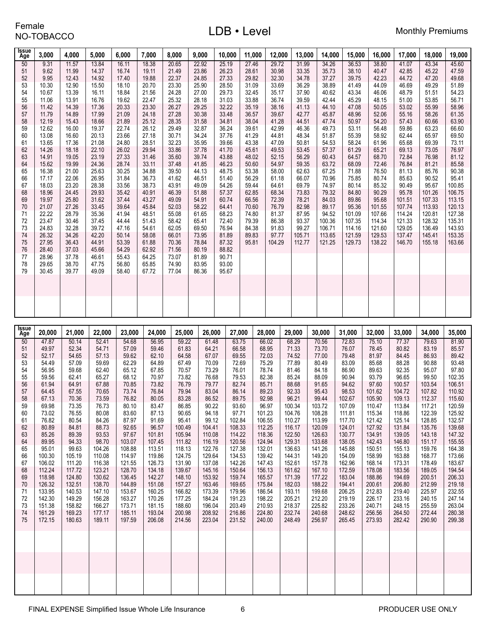| Female     |  |
|------------|--|
| NO-TOBACCO |  |

LDB • Level Monthly Premiums

| Issue<br>Age | 3,000          | 4,000          | 5,000          | 6,000          | 7,000          | 8,000          | 9,000          | 10,000         | 11,000         | 12,000         | 13,000 | 14,000 | 15,000 | 16,000 | 17,000 | 18,000 | 19,000 |
|--------------|----------------|----------------|----------------|----------------|----------------|----------------|----------------|----------------|----------------|----------------|--------|--------|--------|--------|--------|--------|--------|
| 50           | 9.31           | 11.57          | 13.84          | 16.11          | 18.38          | 20.65          | 22.92          | 25.19          | 27.46          | 29.72          | 31.99  | 34.26  | 36.53  | 38.80  | 41.07  | 43.34  | 45.60  |
| 51           | 9.62           | 11.99          | 14.37          | 16.74          | 19.11          | 21.49          | 23.86          | 26.23          | 28.61          | 30.98          | 33.35  | 35.73  | 38.10  | 40.47  | 42.85  | 45.22  | 47.59  |
| 52           | 9.95           | 12.43          | 14.92          | 17.40          | 19.88          | 22.37          | 24.85          | 27.33          | 29.82          | 32.30          | 34.78  | 37.27  | 39.75  | 42.23  | 44.72  | 47.20  | 49.68  |
| 53           | 10.30          | 12.90          | 15.50          | 18.10          | 20.70          | 23.30          | 25.90          | 28.50          | 31.09          | 33.69          | 36.29  | 38.89  | 41.49  | 44.09  | 46.69  | 49.29  | 51.89  |
| 54           | 10.67          | 13.39          | 16.11          | 18.84          | 21.56          | 24.28          | 27.00          | 29.73          | 32.45          | 35.17          | 37.90  | 40.62  | 43.34  | 46.06  | 48.79  | 51.51  | 54.23  |
| 55           | 11.06          | 13.91          | 16.76          | 19.62          | 22.47          | 25.32          | 28.18          | 31.03          | 33.88          | 36.74          | 39.59  | 42.44  | 45.29  | 48.15  | 51.00  | 53.85  | 56.71  |
| 56           | 11.42          | 14.39          | 17.36          | 20.33          | 23.30          | 26.27          | 29.25          | 32.22          | 35.19          | 38.16          | 41.13  | 44.10  | 47.08  | 50.05  | 53.02  | 55.99  | 58.96  |
| 57           | 11.79          | 14.89          | 17.99          | 21.09          | 24.18          | 27.28          | 30.38          | 33.48          | 36.57          | 39.67          | 42.77  | 45.87  | 48.96  | 52.06  | 55.16  | 58.26  | 61.35  |
| 58           | 12.19          | 15.43          | 18.66          | 21.89          | 25.12          | 28.35          | 31.58          | 34.81          | 38.04          | 41.28          | 44.51  | 47.74  | 50.97  | 54.20  | 57.43  | 60.66  | 63.90  |
| 59           | 12.62          | 16.00          | 19.37          | 22.74          | 26.12          | 29.49          | 32.87          | 36.24          | 39.61          | 42.99          | 46.36  | 49.73  | 53.11  | 56.48  | 59.86  | 63.23  | 66.60  |
| 60           | 13.08          | 16.60          | 20.13          | 23.66          | 27.18          | 30.71          | 34.24          | 37.76          | 41.29          | 44.81          | 48.34  | 51.87  | 55.39  | 58.92  | 62.44  | 65.97  | 69.50  |
| 61           | 13.65          | 17.36          | 21.08          | 24.80          | 28.51          | 32.23          | 35.95          | 39.66          | 43.38          | 47.09          | 50.81  | 54.53  | 58.24  | 61.96  | 65.68  | 69.39  | 73.11  |
| 62           | 14.26          | 18.18          | 22.10          | 26.02          | 29.94          | 33.86          | 37.78          | 41.70          | 45.61          | 49.53          | 53.45  | 57.37  | 61.29  | 65.21  | 69.13  | 73.05  | 76.97  |
| 63           | 14.91          | 19.05          | 23.19          | 27.33          | 31.46          | 35.60          | 39.74          | 43.88          | 48.02          | 52.15          | 56.29  | 60.43  | 64.57  | 68.70  | 72.84  | 76.98  | 81.12  |
| 64           | 15.62          | 19.99          | 24.36          | 28.74          | 33.11          | 37.48          | 41.85          | 46.23          | 50.60          | 54.97          | 59.35  | 63.72  | 68.09  | 72.46  | 76.84  | 81.21  | 85.58  |
| 65           | 16.38          | 21.00          | 25.63          | 30.25          | 34.88          | 39.50          | 44.13          | 48.75          | 53.38          | 58.00          | 62.63  | 67.25  | 71.88  | 76.50  | 81.13  | 85.76  | 90.38  |
| 66           | 17.17          | 22.06          | 26.95          | 31.84          | 36.73          | 41.62          | 46.51          | 51.40          | 56.29          | 61.18          | 66.07  | 70.96  | 75.85  | 80.74  | 85.63  | 90.52  | 95.41  |
| 67           | 18.03          | 23.20          | 28.38          | 33.56          | 38.73          | 43.91          | 49.09          | 54.26          | 59.44          | 64.61          | 69.79  | 74.97  | 80.14  | 85.32  | 90.49  | 95.67  | 100.85 |
| 68           | 18.96          | 24.45          | 29.93          | 35.42          | 40.91          | 46.39          | 51.88          | 57.37          | 62.85          | 68.34          | 73.83  | 79.32  | 84.80  | 90.29  | 95.78  | 101.26 | 106.75 |
| 69           | 19.97          | 25.80          | 31.62          | 37.44          | 43.27          | 49.09          | 54.91          | 60.74          | 66.56          | 72.39          | 78.21  | 84.03  | 89.86  | 95.68  | 101.51 | 107.33 | 113.15 |
| 70           | 21.07          | 27.26          | 33.45          | 39.64          | 45.84          | 52.03          | 58.22          | 64.41          | 70.60          | 76.79          | 82.98  | 89.17  | 95.36  | 101.55 | 107.74 | 113.93 | 120.13 |
| 71           | 22.22          | 28.79          | 35.36          | 41.94          | 48.51          | 55.08          | 61.65          | 68.23          | 74.80          | 81.37          | 87.95  | 94.52  | 101.09 | 107.66 | 114.24 | 120.81 | 127.38 |
| 72           | 23.47          | 30.46          | 37.45          | 44.44          | 51.43          | 58.42          | 65.41          | 72.40          | 79.39          | 86.38          | 93.37  | 100.36 | 107.35 | 114.34 | 121.33 | 128.32 | 135.31 |
| 73           | 24.83          | 32.28          | 39.72          | 47.16          | 54.61          | 62.05          | 69.50          | 76.94          | 84.38<br>89.83 | 91.83<br>97.77 | 99.27  | 106.71 | 114.16 | 121.60 | 129.05 | 136.49 | 143.93 |
| 74           | 26.32          | 34.26          | 42.20          | 50.14          | 58.08          | 66.01          | 73.95          | 81.89          |                |                | 105.71 | 113.65 | 121.59 | 129.53 | 137.47 | 145.41 | 153.35 |
| 75           | 27.95<br>28.40 | 36.43<br>37.03 | 44.91<br>45.66 | 53.39<br>54.29 | 61.88<br>62.92 | 70.36<br>71.56 | 78.84          | 87.32<br>88.82 | 95.81          | 104.29         | 112.77 | 121.25 | 129.73 | 138.22 | 146.70 | 155.18 | 163.66 |
| 76<br>77     | 28.96          | 37.78          | 46.61          | 55.43          | 64.25          | 73.07          | 80.19<br>81.89 | 90.71          |                |                |        |        |        |        |        |        |        |
| 78           | 29.65          | 38.70          | 47.75          | 56.80          | 65.85          | 74.90          | 83.95          | 93.00          |                |                |        |        |        |        |        |        |        |
| 79           | 30.45          | 39.77          | 49.09          | 58.40          | 67.72          | 77.04          | 86.36          | 95.67          |                |                |        |        |        |        |        |        |        |
|              |                |                |                |                |                |                |                |                |                |                |        |        |        |        |        |        |        |
|              |                |                |                |                |                |                |                |                |                |                |        |        |        |        |        |        |        |
|              |                |                |                |                |                |                |                |                |                |                |        |        |        |        |        |        |        |
|              |                |                |                |                |                |                |                |                |                |                |        |        |        |        |        |        |        |
|              |                |                |                |                |                |                |                |                |                |                |        |        |        |        |        |        |        |
|              |                |                |                |                |                |                |                |                |                |                |        |        |        |        |        |        |        |

| Issue<br>Age | 20,000 | 21,000 | 22,000 | 23,000 | 24,000 | 25,000 | 26,000 | 27,000 | 28,000 | 29,000 | 30,000 | 31,000 | 32,000 | 33,000 | 34,000 | 35,000 |
|--------------|--------|--------|--------|--------|--------|--------|--------|--------|--------|--------|--------|--------|--------|--------|--------|--------|
| 50           | 47.87  | 50.14  | 52.41  | 54.68  | 56.95  | 59.22  | 61.48  | 63.75  | 66.02  | 68.29  | 70.56  | 72.83  | 75.10  | 77.37  | 79.63  | 81.90  |
| 51           | 49.97  | 52.34  | 54.71  | 57.09  | 59.46  | 61.83  | 64.21  | 66.58  | 68.95  | 71.33  | 73.70  | 76.07  | 78.45  | 80.82  | 83.19  | 85.57  |
| 52           | 52.17  | 54.65  | 57.13  | 59.62  | 62.10  | 64.58  | 67.07  | 69.55  | 72.03  | 74.52  | 77.00  | 79.48  | 81.97  | 84.45  | 86.93  | 89.42  |
| 53           | 54.49  | 57.09  | 59.69  | 62.29  | 64.89  | 67.49  | 70.09  | 72.69  | 75.29  | 77.89  | 80.49  | 83.09  | 85.68  | 88.28  | 90.88  | 93.48  |
| 54           | 56.95  | 59.68  | 62.40  | 65.12  | 67.85  | 70.57  | 73.29  | 76.01  | 78.74  | 81.46  | 84.18  | 86.90  | 89.63  | 92.35  | 95.07  | 97.80  |
| 55           | 59.56  | 62.41  | 65.27  | 68.12  | 70.97  | 73.82  | 76.68  | 79.53  | 82.38  | 85.24  | 88.09  | 90.94  | 93.79  | 96.65  | 99.50  | 102.35 |
| 56           | 61.94  | 64.91  | 67.88  | 70.85  | 73.82  | 76.79  | 79.77  | 82.74  | 85.71  | 88.68  | 91.65  | 94.62  | 97.60  | 100.57 | 103.54 | 106.51 |
| 57           | 64.45  | 67.55  | 70.65  | 73.74  | 76.84  | 79.94  | 83.04  | 86.14  | 89.23  | 92.33  | 95.43  | 98.53  | 101.62 | 104.72 | 107.82 | 110.92 |
| 58           | 67.13  | 70.36  | 73.59  | 76.82  | 80.05  | 83.28  | 86.52  | 89.75  | 92.98  | 96.21  | 99.44  | 102.67 | 105.90 | 109.13 | 112.37 | 115.60 |
| 59           | 69.98  | 73.35  | 76.73  | 80.10  | 83.47  | 86.85  | 90.22  | 93.60  | 96.97  | 100.34 | 103.72 | 107.09 | 110.47 | 113.84 | 117.21 | 120.59 |
| 60           | 73.02  | 76.55  | 80.08  | 83.60  | 87.13  | 90.65  | 94.18  | 97.71  | 101.23 | 104.76 | 108.28 | 111.81 | 115.34 | 118.86 | 122.39 | 125.92 |
| 61           | 76.82  | 80.54  | 84.26  | 87.97  | 91.69  | 95.41  | 99.12  | 102.84 | 106.55 | 110.27 | 113.99 | 117.70 | 121.42 | 125.14 | 128.85 | 132.57 |
| 62           | 80.89  | 84.81  | 88.73  | 92.65  | 96.57  | 100.49 | 104.41 | 108.33 | 112.25 | 116.17 | 120.09 | 124.01 | 127.92 | 131.84 | 135.76 | 139.68 |
| 63           | 85.26  | 89.39  | 93.53  | 97.67  | 101.81 | 105.94 | 110.08 | 114.22 | 118.36 | 122.50 | 126.63 | 130.77 | 134.91 | 139.05 | 143.18 | 147.32 |
| 64           | 89.95  | 94.33  | 98.70  | 103.07 | 107.45 | 111.82 | 116.19 | 120.56 | 124.94 | 129.31 | 133.68 | 138.05 | 142.43 | 146.80 | 151.17 | 155.55 |
| 65           | 95.01  | 99.63  | 104.26 | 108.88 | 113.51 | 118.13 | 122.76 | 127.38 | 132.01 | 136.63 | 141.26 | 145.88 | 150.51 | 155.13 | 159.76 | 164.38 |
| 66           | 100.30 | 105.19 | 110.08 | 114.97 | 119.86 | 124.75 | 129.64 | 134.53 | 139.42 | 144.31 | 149.20 | 154.09 | 158.99 | 163.88 | 168.77 | 173.66 |
| 67           | 106.02 | 111.20 | 116.38 | 121.55 | 126.73 | 131.90 | 137.08 | 142.26 | 147.43 | 152.61 | 157.78 | 162.96 | 168.14 | 173.31 | 178.49 | 183.67 |
| 68           | 112.24 | 117.72 | 123.21 | 128.70 | 134.18 | 139.67 | 145.16 | 150.64 | 156.13 | 161.62 | 167.10 | 172.59 | 178.08 | 183.56 | 189.05 | 194.54 |
| 69           | 118.98 | 124.80 | 130.62 | 136.45 | 142.27 | 148.10 | 153.92 | 159.74 | 165.57 | 171.39 | 177.22 | 183.04 | 188.86 | 194.69 | 200.51 | 206.33 |
| 70           | 126.32 | 132.51 | 138.70 | 144.89 | 151.08 | 157.27 | 163.46 | 169.65 | 175.84 | 182.03 | 188.22 | 194.41 | 200.61 | 206.80 | 212.99 | 219.18 |
| 71           | 133.95 | 140.53 | 147.10 | 153.67 | 160.25 | 166.82 | 173.39 | 179.96 | 186.54 | 193.11 | 199.68 | 206.25 | 212.83 | 219.40 | 225.97 | 232.55 |
| 72           | 142.30 | 149.29 | 156.28 | 163.27 | 170.26 | 177.25 | 184.24 | 191.23 | 198.22 | 205.21 | 212.20 | 219.19 | 226.17 | 233.16 | 240.15 | 247.14 |
| 73           | 151.38 | 158.82 | 166.27 | 173.71 | 181.15 | 188.60 | 196.04 | 203.49 | 210.93 | 218.37 | 225.82 | 233.26 | 240.71 | 248.15 | 255.59 | 263.04 |
| 74           | 161.29 | 169.23 | 177.17 | 185.11 | 193.04 | 200.98 | 208.92 | 216.86 | 224.80 | 232.74 | 240.68 | 248.62 | 256.56 | 264.50 | 272.44 | 280.38 |
| 75           | 172.15 | 180.63 | 189.11 | 197.59 | 206.08 | 214.56 | 223.04 | 231.52 | 240.00 | 248.49 | 256.97 | 265.45 | 273.93 | 282.42 | 290.90 | 299.38 |
|              |        |        |        |        |        |        |        |        |        |        |        |        |        |        |        |        |
|              |        |        |        |        |        |        |        |        |        |        |        |        |        |        |        |        |
|              |        |        |        |        |        |        |        |        |        |        |        |        |        |        |        |        |
|              |        |        |        |        |        |        |        |        |        |        |        |        |        |        |        |        |
|              |        |        |        |        |        |        |        |        |        |        |        |        |        |        |        |        |
|              |        |        |        |        |        |        |        |        |        |        |        |        |        |        |        |        |
|              |        |        |        |        |        |        |        |        |        |        |        |        |        |        |        |        |
|              |        |        |        |        |        |        |        |        |        |        |        |        |        |        |        |        |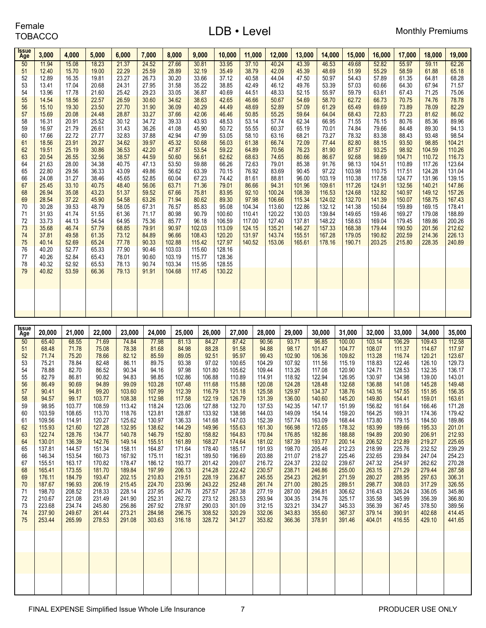Female<br>TOBACCO

LDB • Level Monthly Premiums

| Issue<br>Age | 3,000          | 4,000          | 5,000          | 6,000          | 7,000          | 8,000          | 9,000          | 10,000         | 11,000          | 12,000           | 13,000           | 14,000           | 15,000           | 16,000           | 17,000           | 18,000           | 19,000           |
|--------------|----------------|----------------|----------------|----------------|----------------|----------------|----------------|----------------|-----------------|------------------|------------------|------------------|------------------|------------------|------------------|------------------|------------------|
| 50           | 11.94          | 15.08          | 18.23          | 21.37          | 24.52          | 27.66          | 30.81          | 33.95          | 37.10           | 40.24            | 43.39            | 46.53            | 49.68            | 52.82            | 55.97            | 59.11            | 62.26            |
| 51           | 12.40          | 15.70          | 19.00          | 22.29          | 25.59          | 28.89          | 32.19          | 35.49          | 38.79           | 42.09            | 45.39            | 48.69            | 51.99            | 55.29            | 58.59            | 61.88            | 65.18            |
| 52           | 12.89          | 16.35          | 19.81          | 23.27          | 26.73          | 30.20          | 33.66          | 37.12          | 40.58           | 44.04            | 47.50            | 50.97            | 54.43            | 57.89            | 61.35            | 64.81            | 68.28            |
| 53           | 13.41          | 17.04          | 20.68          | 24.31          | 27.95          | 31.58          | 35.22          | 38.85          | 42.49           | 46.12            | 49.76            | 53.39            | 57.03            | 60.66            | 64.30            | 67.94            | 71.57            |
| 54           | 13.96          | 17.78          | 21.60          | 25.42          | 29.23          | 33.05          | 36.87          | 40.69          | 44.51           | 48.33            | 52.15            | 55.97            | 59.79            | 63.61            | 67.43            | 71.25            | 75.06            |
| 55<br>56     | 14.54<br>15.10 | 18.56<br>19.30 | 22.57<br>23.50 | 26.59<br>27.70 | 30.60<br>31.90 | 34.62<br>36.09 | 38.63<br>40.29 | 42.65<br>44.49 | 46.66<br>48.69  | 50.67<br>52.89   | 54.69<br>57.09   | 58.70<br>61.29   | 62.72<br>65.49   | 66.73<br>69.69   | 70.75<br>73.89   | 74.76<br>78.09   | 78.78<br>82.29   |
| 57           | 15.69          | 20.08          | 24.48          | 28.87          | 33.27          | 37.66          | 42.06          | 46.46          | 50.85           | 55.25            | 59.64            | 64.04            | 68.43            | 72.83            | 77.23            | 81.62            | 86.02            |
| 58           | 16.31          | 20.91          | 25.52          | 30.12          | 34.72          | 39.33          | 43.93          | 48.53          | 53.14           | 57.74            | 62.34            | 66.95            | 71.55            | 76.15            | 80.76            | 85.36            | 89.96            |
| 59           | 16.97          | 21.79          | 26.61          | 31.43          | 36.26          | 41.08          | 45.90          | 50.72          | 55.55           | 60.37            | 65.19            | 70.01            | 74.84            | 79.66            | 84.48            | 89.30            | 94.13            |
| 60           | 17.66          | 22.72          | 27.77          | 32.83          | 37.88          | 42.94          | 47.99          | 53.05          | 58.10           | 63.16            | 68.21            | 73.27            | 78.32            | 83.38            | 88.43            | 93.48            | 98.54            |
| 61           | 18.56          | 23.91          | 29.27          | 34.62          | 39.97          | 45.32          | 50.68          | 56.03          | 61.38           | 66.74            | 72.09            | 77.44            | 82.80            | 88.15            | 93.50            | 98.85            | 104.21           |
| 62           | 19.51          | 25.19          | 30.86          | 36.53          | 42.20          | 47.87          | 53.54          | 59.22          | 64.89           | 70.56            | 76.23            | 81.90            | 87.57            | 93.25            | 98.92            | 104.59           | 110.26           |
| 63           | 20.54          | 26.55          | 32.56          | 38.57          | 44.59          | 50.60          | 56.61          | 62.62          | 68.63           | 74.65            | 80.66            | 86.67            | 92.68            | 98.69            | 104.71           | 110.72           | 116.73           |
| 64           | 21.63          | 28.00          | 34.38          | 40.75          | 47.13          | 53.50          | 59.88          | 66.26          | 72.63           | 79.01            | 85.38            | 91.76            | 98.13            | 104.51           | 110.89           | 117.26           | 123.64           |
| 65           | 22.80          | 29.56          | 36.33          | 43.09          | 49.86          | 56.62          | 63.39          | 70.15          | 76.92           | 83.69            | 90.45            | 97.22            | 103.98           | 110.75           | 117.51           | 124.28           | 131.04           |
| 66           | 24.08          | 31.27          | 38.46          | 45.65          | 52.85          | 60.04          | 67.23          | 74.42          | 81.61           | 88.81            | 96.00            | 103.19           | 110.38           | 117.58           | 124.77           | 131.96           | 139.15           |
| 67           | 25.45          | 33.10          | 40.75          | 48.40          | 56.06          | 63.71          | 71.36          | 79.01          | 86.66           | 94.31            | 101.96           | 109.61           | 117.26           | 124.91           | 132.56           | 140.21           | 147.86           |
| 68           | 26.94          | 35.08          | 43.23          | 51.37          | 59.52          | 67.66          | 75.81          | 83.95          | 92.10           | 100.24           | 108.39           | 116.53           | 124.68           | 132.82           | 140.97           | 149.12           | 157.26           |
| 69<br>70     | 28.54<br>30.28 | 37.22<br>39.53 | 45.90<br>48.79 | 54.58<br>58.05 | 63.26<br>67.31 | 71.94<br>76.57 | 80.62<br>85.83 | 89.30<br>95.08 | 97.98<br>104.34 | 106.66<br>113.60 | 115.34<br>122.86 | 124.02<br>132.12 | 132.70<br>141.38 | 141.39<br>150.64 | 150.07<br>159.89 | 158.75<br>169.15 | 167.43<br>178.41 |
| 71           | 31.93          | 41.74          | 51.55          | 61.36          | 71.17          | 80.98          | 90.79          | 100.60         | 110.41          | 120.22           | 130.03           | 139.84           | 149.65           | 159.46           | 169.27           | 179.08           | 188.89           |
| 72           | 33.73          | 44.13          | 54.54          | 64.95          | 75.36          | 85.77          | 96.18          | 106.59         | 117.00          | 127.40           | 137.81           | 148.22           | 158.63           | 169.04           | 179.45           | 189.86           | 200.26           |
| 73           | 35.68          | 46.74          | 57.79          | 68.85          | 79.91          | 90.97          | 102.03         | 113.09         | 124.15          | 135.21           | 146.27           | 157.33           | 168.38           | 179.44           | 190.50           | 201.56           | 212.62           |
| 74           | 37.81          | 49.58          | 61.35          | 73.12          | 84.89          | 96.66          | 108.43         | 120.20         | 131.97          | 143.74           | 155.51           | 167.28           | 179.05           | 190.82           | 202.59           | 214.36           | 226.13           |
| 75           | 40.14          | 52.69          | 65.24          | 77.78          | 90.33          | 102.88         | 115.42         | 127.97         | 140.52          | 153.06           | 165.61           | 178.16           | 190.71           | 203.25           | 215.80           | 228.35           | 240.89           |
| 76           | 40.20          | 52.77          | 65.33          | 77.90          | 90.46          | 103.03         | 115.60         | 128.16         |                 |                  |                  |                  |                  |                  |                  |                  |                  |
| 77           | 40.26          | 52.84          | 65.43          | 78.01          | 90.60          | 103.19         | 115.77         | 128.36         |                 |                  |                  |                  |                  |                  |                  |                  |                  |
| 78           | 40.32          | 52.92          | 65.53          | 78.13          | 90.74          | 103.34         | 115.95         | 128.55         |                 |                  |                  |                  |                  |                  |                  |                  |                  |
| 79           | 40.82          | 53.59          | 66.36          | 79.13          | 91.91          | 104.68         | 117.45         | 130.22         |                 |                  |                  |                  |                  |                  |                  |                  |                  |
|              |                |                |                |                |                |                |                |                |                 |                  |                  |                  |                  |                  |                  |                  |                  |
|              |                |                |                |                |                |                |                |                |                 |                  |                  |                  |                  |                  |                  |                  |                  |
|              |                |                |                |                |                |                |                |                |                 |                  |                  |                  |                  |                  |                  |                  |                  |
|              |                |                |                |                |                |                |                |                |                 |                  |                  |                  |                  |                  |                  |                  |                  |

| Issue<br>Age | 20,000 | 21,000 | 22,000 | 23,000 | 24,000 | 25,000 | 26,000 | 27,000 | 28,000 | 29,000 | 30,000 | 31,000 | 32,000 | 33,000 | 34,000 | 35,000 |
|--------------|--------|--------|--------|--------|--------|--------|--------|--------|--------|--------|--------|--------|--------|--------|--------|--------|
| 50           | 65.40  | 68.55  | 71.69  | 74.84  | 77.98  | 81.13  | 84.27  | 87.42  | 90.56  | 93.71  | 96.85  | 100.00 | 103.14 | 106.29 | 109.43 | 112.58 |
| 51           | 68.48  | 71.78  | 75.08  | 78.38  | 81.68  | 84.98  | 88.28  | 91.58  | 94.88  | 98.17  | 101.47 | 104.77 | 108.07 | 111.37 | 114.67 | 117.97 |
| 52           | 71.74  | 75.20  | 78.66  | 82.12  | 85.59  | 89.05  | 92.51  | 95.97  | 99.43  | 102.90 | 106.36 | 109.82 | 113.28 | 116.74 | 120.21 | 123.67 |
| 53           | 75.21  | 78.84  | 82.48  | 86.11  | 89.75  | 93.38  | 97.02  | 100.65 | 104.29 | 107.92 | 111.56 | 115.19 | 118.83 | 122.46 | 126.10 | 129.73 |
| 54           | 78.88  | 82.70  | 86.52  | 90.34  | 94.16  | 97.98  | 101.80 | 105.62 | 109.44 | 113.26 | 117.08 | 120.90 | 124.71 | 128.53 | 132.35 | 136.17 |
| 55           | 82.79  | 86.81  | 90.82  | 94.83  | 98.85  | 102.86 | 106.88 | 110.89 | 114.91 | 118.92 | 122.94 | 126.95 | 130.97 | 134.98 | 139.00 | 143.01 |
| 56           | 86.49  | 90.69  | 94.89  | 99.09  | 103.28 | 107.48 | 111.68 | 115.88 | 120.08 | 124.28 | 128.48 | 132.68 | 136.88 | 141.08 | 145.28 | 149.48 |
| 57           | 90.41  | 94.81  | 99.20  | 103.60 | 107.99 | 112.39 | 116.79 | 121.18 | 125.58 | 129.97 | 134.37 | 138.76 | 143.16 | 147.55 | 151.95 | 156.35 |
| 58           | 94.57  | 99.17  | 103.77 | 108.38 | 112.98 | 117.58 | 122.19 | 126.79 | 131.39 | 136.00 | 140.60 | 145.20 | 149.80 | 154.41 | 159.01 | 163.61 |
| 59           | 98.95  | 103.77 | 108.59 | 113.42 | 118.24 | 123.06 | 127.88 | 132.70 | 137.53 | 142.35 | 147.17 | 151.99 | 156.82 | 161.64 | 166.46 | 171.28 |
| 60           | 103.59 | 108.65 | 113.70 | 118.76 | 123.81 | 128.87 | 133.92 | 138.98 | 144.03 | 149.09 | 154.14 | 159.20 | 164.25 | 169.31 | 174.36 | 179.42 |
| 61           | 109.56 | 114.91 | 120.27 | 125.62 | 130.97 | 136.33 | 141.68 | 147.03 | 152.39 | 157.74 | 163.09 | 168.44 | 173.80 | 179.15 | 184.50 | 189.86 |
| 62           | 115.93 | 121.60 | 127.28 | 132.95 | 138.62 | 144.29 | 149.96 | 155.63 | 161.30 | 166.98 | 172.65 | 178.32 | 183.99 | 189.66 | 195.33 | 201.01 |
| 63           | 122.74 | 128.76 | 134.77 | 140.78 | 146.79 | 152.80 | 158.82 | 164.83 | 170.84 | 176.85 | 182.86 | 188.88 | 194.89 | 200.90 | 206.91 | 212.93 |
| 64           | 130.01 | 136.39 | 142.76 | 149.14 | 155.51 | 161.89 | 168.27 | 174.64 | 181.02 | 187.39 | 193.77 | 200.14 | 206.52 | 212.89 | 219.27 | 225.65 |
| 65           | 137.81 | 144.57 | 151.34 | 158.11 | 164.87 | 171.64 | 178.40 | 185.17 | 191.93 | 198.70 | 205.46 | 212.23 | 218.99 | 225.76 | 232.52 | 239.29 |
| 66           | 146.34 | 153.54 | 160.73 | 167.92 | 175.11 | 182.31 | 189.50 | 196.69 | 203.88 | 211.07 | 218.27 | 225.46 | 232.65 | 239.84 | 247.04 | 254.23 |
| 67           | 155.51 | 163.17 | 170.82 | 178.47 | 186.12 | 193.77 | 201.42 | 209.07 | 216.72 | 224.37 | 232.02 | 239.67 | 247.32 | 254.97 | 262.62 | 270.28 |
| 68           | 165.41 | 173.55 | 181.70 | 189.84 | 197.99 | 206.13 | 214.28 | 222.42 | 230.57 | 238.71 | 246.86 | 255.00 | 263.15 | 271.29 | 279.44 | 287.58 |
| 69           | 176.11 | 184.79 | 193.47 | 202.15 | 210.83 | 219.51 | 228.19 | 236.87 | 245.55 | 254.23 | 262.91 | 271.59 | 280.27 | 288.95 | 297.63 | 306.31 |
| 70           | 187.67 | 196.93 | 206.19 | 215.45 | 224.70 | 233.96 | 243.22 | 252.48 | 261.74 | 271.00 | 280.25 | 289.51 | 298.77 | 308.03 | 317.29 | 326.55 |
| 71           | 198.70 | 208.52 | 218.33 | 228.14 | 237.95 | 247.76 | 257.57 | 267.38 | 277.19 | 287.00 | 296.81 | 306.62 | 316.43 | 326.24 | 336.05 | 345.86 |
| 72           | 210.67 | 221.08 | 231.49 | 241.90 | 252.31 | 262.72 | 273.12 | 283.53 | 293.94 | 304.35 | 314.76 | 325.17 | 335.58 | 345.99 | 356.39 | 366.80 |
| 73           | 223.68 | 234.74 | 245.80 | 256.86 | 267.92 | 278.97 | 290.03 | 301.09 | 312.15 | 323.21 | 334.27 | 345.33 | 356.39 | 367.45 | 378.50 | 389.56 |
| 74           | 237.90 | 249.67 | 261.44 | 273.21 | 284.98 | 296.75 | 308.52 | 320.29 | 332.06 | 343.83 | 355.60 | 367.37 | 379.14 | 390.91 | 402.68 | 414.45 |
| 75           | 253.44 | 265.99 | 278.53 | 291.08 | 303.63 | 316.18 | 328.72 | 341.27 | 353.82 | 366.36 | 378.91 | 391.46 | 404.01 | 416.55 | 429.10 | 441.65 |
|              |        |        |        |        |        |        |        |        |        |        |        |        |        |        |        |        |
|              |        |        |        |        |        |        |        |        |        |        |        |        |        |        |        |        |
|              |        |        |        |        |        |        |        |        |        |        |        |        |        |        |        |        |
|              |        |        |        |        |        |        |        |        |        |        |        |        |        |        |        |        |
|              |        |        |        |        |        |        |        |        |        |        |        |        |        |        |        |        |
|              |        |        |        |        |        |        |        |        |        |        |        |        |        |        |        |        |
|              |        |        |        |        |        |        |        |        |        |        |        |        |        |        |        |        |
|              |        |        |        |        |        |        |        |        |        |        |        |        |        |        |        |        |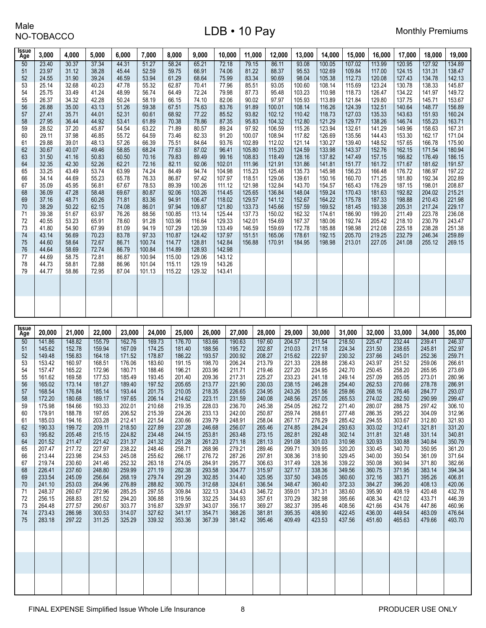| Male       |
|------------|
| NO-TOBACCO |

#### LDB • 10 Pay Monthly Premiums

| <b>Issue</b><br>Age | 3,000 | 4,000 | 5,000 | 6,000 | 7.000  | 8,000  | 9,000  | 10.000 | 11.000 | 12,000 | 13,000 | 14.000 | 15,000 | 16,000 | 17,000 | 18,000 | 19,000 |
|---------------------|-------|-------|-------|-------|--------|--------|--------|--------|--------|--------|--------|--------|--------|--------|--------|--------|--------|
| 50                  | 23.40 | 30.37 | 37.34 | 44.31 | 51.27  | 58.24  | 65.21  | 72.18  | 79.15  | 86.11  | 93.08  | 100.05 | 107.02 | 113.99 | 120.95 | 127.92 | 134.89 |
| 51                  | 23.97 | 31.12 | 38.28 | 45.44 | 52.59  | 59.75  | 66.91  | 74.06  | 81.22  | 88.37  | 95.53  | 102.69 | 109.84 | 117.00 | 124.15 | 131.31 | 138.47 |
| 52                  | 24.55 | 31.90 | 39.24 | 46.59 | 53.94  | 61.29  | 68.64  | 75.99  | 83.34  | 90.69  | 98.04  | 105.38 | 112.73 | 120.08 | 127.43 | 134.78 | 142.13 |
| 53                  | 25.14 | 32.68 | 40.23 | 47.78 | 55.32  | 62.87  | 70.41  | 77.96  | 85.51  | 93.05  | 100.60 | 108.14 | 115.69 | 123.24 | 130.78 | 138.33 | 145.87 |
| 54                  | 25.75 | 33.49 | 41.24 | 48.99 | 56.74  | 64.49  | 72.24  | 79.98  | 87.73  | 95.48  | 103.23 | 110.98 | 118.73 | 126.47 | 134.22 | 141.97 | 149.72 |
| 55                  | 26.37 | 34.32 | 42.28 | 50.24 | 58.19  | 66.15  | 74.10  | 82.06  | 90.02  | 97.97  | 105.93 | 113.89 | 121.84 | 129.80 | 137.75 | 145.71 | 153.67 |
| 56                  | 26.88 | 35.00 | 43.13 | 51.26 | 59.38  | 67.51  | 75.63  | 83.76  | 91.89  | 100.01 | 108.14 | 116.26 | 124.39 | 132.51 | 140.64 | 148.77 | 156.89 |
| 57                  | 27.41 | 35.71 | 44.01 | 52.31 | 60.61  | 68.92  | 77.22  | 85.52  | 93.82  | 102.12 | 110.42 | 118.73 | 127.03 | 135.33 | 143.63 | 151.93 | 160.24 |
| 58                  | 27.95 | 36.44 | 44.92 | 53.41 | 61.89  | 70.38  | 78.86  | 87.35  | 95.83  | 104.32 | 112.80 | 121.29 | 129.77 | 138.26 | 146.74 | 155.23 | 163.71 |
| 59                  | 28.52 | 37.20 | 45.87 | 54.54 | 63.22  | 71.89  | 80.57  | 89.24  | 97.92  | 106.59 | 115.26 | 123.94 | 132.61 | 141.29 | 149.96 | 158.63 | 167.31 |
| 60                  | 29.11 | 37.98 | 46.85 | 55.72 | 64.59  | 73.46  | 82.33  | 91.20  | 100.07 | 108.94 | 117.82 | 126.69 | 135.56 | 144.43 | 153.30 | 162.17 | 171.04 |
| 61                  | 29.88 | 39.01 | 48.13 | 57.26 | 66.39  | 75.51  | 84.64  | 93.76  | 102.89 | 112.02 | 121.14 | 130.27 | 139.40 | 148.52 | 157.65 | 166.78 | 175.90 |
| 62                  | 30.67 | 40.07 | 49.46 | 58.85 | 68.24  | 77.63  | 87.02  | 96.41  | 105.80 | 115.20 | 124.59 | 133.98 | 143.37 | 152.76 | 162.15 | 171.54 | 180.94 |
| 63                  | 31.50 | 41.16 | 50.83 | 60.50 | 70.16  | 79.83  | 89.49  | 99.16  | 108.83 | 118.49 | 128.16 | 137.82 | 147.49 | 157.15 | 166.82 | 176.49 | 186.15 |
| 64                  | 32.35 | 42.30 | 52.26 | 62.21 | 72.16  | 82.11  | 92.06  | 102.01 | 111.96 | 121.91 | 131.86 | 141.81 | 151.77 | 161.72 | 171.67 | 181.62 | 191.57 |
| 65                  | 33.25 | 43.49 | 53.74 | 63.99 | 74.24  | 84.49  | 94.74  | 104.98 | 115.23 | 125.48 | 135.73 | 145.98 | 156.23 | 166.48 | 176.72 | 186.97 | 197.22 |
| 66                  | 34.14 | 44.69 | 55.23 | 65.78 | 76.33  | 86.87  | 97.42  | 107.97 | 118.51 | 129.06 | 139.61 | 150.16 | 160.70 | 171.25 | 181.80 | 192.34 | 202.89 |
| 67                  | 35.09 | 45.95 | 56.81 | 67.67 | 78.53  | 89.39  | 100.26 | 111.12 | 121.98 | 132.84 | 143.70 | 154.57 | 165.43 | 176.29 | 187.15 | 198.01 | 208.87 |
| 68                  | 36.09 | 47.28 | 58.48 | 69.67 | 80.87  | 92.06  | 103.26 | 114.45 | 125.65 | 136.84 | 148.04 | 159.24 | 170.43 | 181.63 | 192.82 | 204.02 | 215.21 |
| 69                  | 37.16 | 48.71 | 60.26 | 71.81 | 83.36  | 94.91  | 106.47 | 118.02 | 129.57 | 141.12 | 152.67 | 164.22 | 175.78 | 187.33 | 198.88 | 210.43 | 221.98 |
| 70                  | 38.29 | 50.22 | 62.15 | 74.08 | 86.01  | 97.94  | 109.87 | 121.80 | 133.73 | 145.66 | 157.59 | 169.52 | 181.45 | 193.38 | 205.31 | 217.24 | 229.17 |
| 71                  | 39.38 | 51.67 | 63.97 | 76.26 | 88.56  | 100.85 | 113.14 | 125.44 | 137.73 | 150.02 | 162.32 | 174.61 | 186.90 | 199.20 | 211.49 | 223.78 | 236.08 |
| 72                  | 40.55 | 53.23 | 65.91 | 78.60 | 91.28  | 103.96 | 116.64 | 129.33 | 142.01 | 154.69 | 167.37 | 180.06 | 192.74 | 205.42 | 218.10 | 230.79 | 243.47 |
| 73                  | 41.80 | 54.90 | 67.99 | 81.09 | 94.19  | 107.29 | 120.39 | 133.49 | 146.59 | 159.69 | 172.78 | 185.88 | 198.98 | 212.08 | 225.18 | 238.28 | 251.38 |
| 74                  | 43.14 | 56.69 | 70.23 | 83.78 | 97.33  | 110.87 | 124.42 | 137.97 | 151.51 | 165.06 | 178.61 | 192.15 | 205.70 | 219.25 | 232.79 | 246.34 | 259.89 |
| 75                  | 44.60 | 58.64 | 72.67 | 86.71 | 100.74 | 114.77 | 128.81 | 142.84 | 156.88 | 170.91 | 184.95 | 198.98 | 213.01 | 227.05 | 241.08 | 255.12 | 269.15 |
| 76                  | 44.64 | 58.69 | 72.74 | 86.79 | 100.84 | 114.89 | 128.93 | 142.98 |        |        |        |        |        |        |        |        |        |
| 77                  | 44.69 | 58.75 | 72.81 | 86.87 | 100.94 | 115.00 | 129.06 | 143.12 |        |        |        |        |        |        |        |        |        |
| 78                  | 44.73 | 58.81 | 72.88 | 86.96 | 101.04 | 115.11 | 129.19 | 143.26 |        |        |        |        |        |        |        |        |        |
| 79                  | 44.77 | 58.86 | 72.95 | 87.04 | 101.13 | 115.22 | 129.32 | 143.41 |        |        |        |        |        |        |        |        |        |
|                     |       |       |       |       |        |        |        |        |        |        |        |        |        |        |        |        |        |
|                     |       |       |       |       |        |        |        |        |        |        |        |        |        |        |        |        |        |
|                     |       |       |       |       |        |        |        |        |        |        |        |        |        |        |        |        |        |
|                     |       |       |       |       |        |        |        |        |        |        |        |        |        |        |        |        |        |
|                     |       |       |       |       |        |        |        |        |        |        |        |        |        |        |        |        |        |
|                     |       |       |       |       |        |        |        |        |        |        |        |        |        |        |        |        |        |

| Issue<br>Age | 20,000           | 21,000           | 22,000           | 23,000           | 24,000           | 25,000           | 26,000           | 27,000           | 28,000           | 29,000           | 30,000           | 31,000           | 32,000           | 33,000           | 34,000           | 35,000           |
|--------------|------------------|------------------|------------------|------------------|------------------|------------------|------------------|------------------|------------------|------------------|------------------|------------------|------------------|------------------|------------------|------------------|
| 50           | 141.86           | 148.82           | 155.79           | 162.76           | 169.73           | 176.70           | 183.66           | 190.63           | 197.60           | 204.57           | 211.54           | 218.50           | 225.47           | 232.44           | 239.41           | 246.37           |
| 51           | 145.62           | 152.78           | 159.94           | 167.09           | 174.25           | 181.40           | 188.56           | 195.72           | 202.87           | 210.03           | 217.18           | 224.34           | 231.50           | 238.65           | 245.81           | 252.97           |
| 52           | 149.48           | 156.83           | 164.18           | 171.52           | 178.87           | 186.22           | 193.57           | 200.92           | 208.27           | 215.62           | 222.97           | 230.32           | 237.66           | 245.01           | 252.36           | 259.71           |
| 53           | 153.42           | 160.97           | 168.51           | 176.06           | 183.60           | 191.15           | 198.70           | 206.24           | 213.79           | 221.33           | 228.88           | 236.43           | 243.97           | 251.52           | 259.06           | 266.61           |
| 54           | 157.47           | 165.22           | 172.96           | 180.71           | 188.46           | 196.21           | 203.96           | 211.71           | 219.46           | 227.20           | 234.95           | 242.70           | 250.45           | 258.20           | 265.95           | 273.69           |
| 55           | 161.62           | 169.58           | 177.53           | 185.49           | 193.45           | 201.40           | 209.36           | 217.31           | 225.27           | 233.23           | 241.18           | 249.14           | 257.09           | 265.05           | 273.01           | 280.96           |
| 56           | 165.02           | 173.14           | 181.27           | 189.40           | 197.52           | 205.65           | 213.77           | 221.90           | 230.03           | 238.15           | 246.28           | 254.40           | 262.53           | 270.66           | 278.78           | 286.91           |
| 57           | 168.54           | 176.84           | 185.14           | 193.44           | 201.75           | 210.05           | 218.35           | 226.65           | 234.95           | 243.26           | 251.56           | 259.86           | 268.16           | 276.46           | 284.77           | 293.07           |
| 58           | 172.20           | 180.68           | 189.17           | 197.65           | 206.14           | 214.62           | 223.11           | 231.59           | 240.08           | 248.56           | 257.05           | 265.53           | 274.02           | 282.50           | 290.99           | 299.47           |
| 59           | 175.98           | 184.66           | 193.33           | 202.01           | 210.68           | 219.35           | 228.03           | 236.70           | 245.38           | 254.05           | 262.72           | 271.40           | 280.07           | 288.75           | 297.42           | 306.10           |
| 60           | 179.91           | 188.78           | 197.65           | 206.52           | 215.39           | 224.26           | 233.13           | 242.00           | 250.87           | 259.74           | 268.61           | 277.48           | 286.35           | 295.22           | 304.09           | 312.96           |
| 61           | 185.03           | 194.16           | 203.28           | 212.41           | 221.54           | 230.66           | 239.79           | 248.91           | 258.04           | 267.17           | 276.29           | 285.42           | 294.55           | 303.67           | 312.80           | 321.93           |
| 62           | 190.33           | 199.72           | 209.11           | 218.50           | 227.89           | 237.28           | 246.68           | 256.07           | 265.46           | 274.85           | 284.24           | 293.63           | 303.02           | 312.41           | 321.81           | 331.20           |
| 63           | 195.82           | 205.48           | 215.15           | 224.82           | 234.48           | 244.15           | 253.81           | 263.48           | 273.15           | 282.81           | 292.48           | 302.14           | 311.81           | 321.48           | 331.14           | 340.81           |
| 64           | 201.52           | 211.47           | 221.42           | 231.37           | 241.32           | 251.28           | 261.23           | 271.18           | 281.13           | 291.08           | 301.03           | 310.98           | 320.93           | 330.88           | 340.84           | 350.79           |
| 65           | 207.47           | 217.72           | 227.97           | 238.22           | 248.46           | 258.71           | 268.96           | 279.21           | 289.46           | 299.71           | 309.95           | 320.20           | 330.45           | 340.70           | 350.95           | 361.20           |
| 66           | 213.44           | 223.98           | 234.53           | 245.08           | 255.62           | 266.17           | 276.72           | 287.26           | 297.81           | 308.36           | 318.90           | 329.45           | 340.00           | 350.54           | 361.09           | 371.64           |
| 67           | 219.74           | 230.60           | 241.46           | 252.32           | 263.18           | 274.05           | 284.91           | 295.77           | 306.63           | 317.49           | 328.36           | 339.22           | 350.08           | 360.94           | 371.80           | 382.66           |
| 68           | 226.41           | 237.60           | 248.80           | 259.99           | 271.19           | 282.38           | 293.58           | 304.77           | 315.97           | 327.17           | 338.36           | 349.56           | 360.75           | 371.95           | 383.14           | 394.34           |
| 69           | 233.54           | 245.09           | 256.64           | 268.19           | 279.74           | 291.29           | 302.85           | 314.40           | 325.95           | 337.50           | 349.05           | 360.60           | 372.16           | 383.71           | 395.26           | 406.81           |
| 70           | 241.10           | 253.03           | 264.96           | 276.89           | 288.82           | 300.75           | 312.68           | 324.61           | 336.54           | 348.47           | 360.40           | 372.33           | 384.27           | 396.20           | 408.13           | 420.06           |
| 71           | 248.37           | 260.67           | 272.96           | 285.25           | 297.55           | 309.84           | 322.13           | 334.43           | 346.72           | 359.01           | 371.31           | 383.60           | 395.90           | 408.19           | 420.48           | 432.78           |
| 72           | 256.15           | 268.83           | 281.52           | 294.20           | 306.88           | 319.56           | 332.25           | 344.93           | 357.61           | 370.29<br>382.37 | 382.98           | 395.66           | 408.34           | 421.02           | 433.71           | 446.39           |
| 73           | 264.48           | 277.57           | 290.67           | 303.77           | 316.87<br>327.62 | 329.97<br>341.17 | 343.07<br>354.71 | 356.17<br>368.26 | 369.27<br>381.81 | 395.35           | 395.46           | 408.56           | 421.66<br>436.00 | 434.76<br>449.54 | 447.86           | 460.96<br>476.64 |
| 74<br>75     | 273.43<br>283.18 | 286.98<br>297.22 | 300.53<br>311.25 | 314.07<br>325.29 | 339.32           | 353.36           | 367.39           | 381.42           | 395.46           | 409.49           | 408.90<br>423.53 | 422.45<br>437.56 | 451.60           | 465.63           | 463.09<br>479.66 |                  |
|              |                  |                  |                  |                  |                  |                  |                  |                  |                  |                  |                  |                  |                  |                  |                  | 493.70           |
|              |                  |                  |                  |                  |                  |                  |                  |                  |                  |                  |                  |                  |                  |                  |                  |                  |
|              |                  |                  |                  |                  |                  |                  |                  |                  |                  |                  |                  |                  |                  |                  |                  |                  |
|              |                  |                  |                  |                  |                  |                  |                  |                  |                  |                  |                  |                  |                  |                  |                  |                  |
|              |                  |                  |                  |                  |                  |                  |                  |                  |                  |                  |                  |                  |                  |                  |                  |                  |
|              |                  |                  |                  |                  |                  |                  |                  |                  |                  |                  |                  |                  |                  |                  |                  |                  |
|              |                  |                  |                  |                  |                  |                  |                  |                  |                  |                  |                  |                  |                  |                  |                  |                  |
|              |                  |                  |                  |                  |                  |                  |                  |                  |                  |                  |                  |                  |                  |                  |                  |                  |
|              |                  |                  |                  |                  |                  |                  |                  |                  |                  |                  |                  |                  |                  |                  |                  |                  |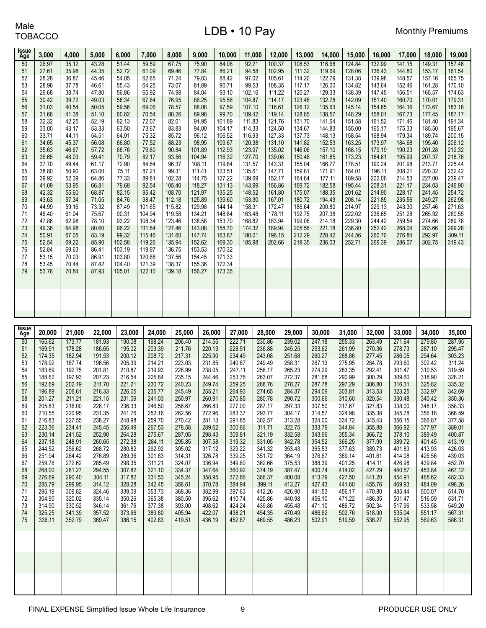LDB • 10 Pay Monthly Premiums

| Issue<br>Age | 3,000 | 4,000 | 5,000 | 6,000  | 7,000  | 8,000  | 9,000  | 10,000 | 11,000 | 12,000 | 13,000 | 14,000 | 15,000 | 16,000 | 17,000 | 18,000 | 19,000 |
|--------------|-------|-------|-------|--------|--------|--------|--------|--------|--------|--------|--------|--------|--------|--------|--------|--------|--------|
| 50           | 26.97 | 35.12 | 43.28 | 51.44  | 59.59  | 67.75  | 75.90  | 84.06  | 92.21  | 100.37 | 108.53 | 116.68 | 124.84 | 132.99 | 141.15 | 149.31 | 157.46 |
| 51           | 27.61 | 35.98 | 44.35 | 52.72  | 61.09  | 69.46  | 77.84  | 86.21  | 94.58  | 102.95 | 111.32 | 119.69 | 128.06 | 136.43 | 144.80 | 153.17 | 161.54 |
| 52           | 28.28 | 36.87 | 45.46 | 54.05  | 62.65  | 71.24  | 79.83  | 88.42  | 97.02  | 105.61 | 114.20 | 122.79 | 131.38 | 139.98 | 148.57 | 157.16 | 165.75 |
| 53           | 28.96 | 37.78 | 46.61 | 55.43  | 64.25  | 73.07  | 81.89  | 90.71  | 99.53  | 108.35 | 117.17 | 126.00 | 134.82 | 143.64 | 152.46 | 161.28 | 170.10 |
| 54           | 29.68 | 38.74 | 47.80 | 56.86  | 65.92  | 74.98  | 84.04  | 93.10  | 102.16 | 111.22 | 120.27 | 129.33 | 138.39 | 147.45 | 156.51 | 165.57 | 174.63 |
| 55           | 30.42 | 39.72 | 49.03 | 58.34  | 67.64  | 76.95  | 86.25  | 95.56  | 104.87 | 114.17 | 123.48 | 132.78 | 142.09 | 151.40 | 160.70 | 170.01 | 179.31 |
| 56           | 31.03 | 40.54 | 50.05 | 59.56  | 69.06  | 78.57  | 88.08  | 97.59  | 107.10 | 116.61 | 126.12 | 135.63 | 145.14 | 154.65 | 164.16 | 173.67 | 183.18 |
| 57           | 31.66 | 41.38 | 51.10 | 60.82  | 70.54  | 80.26  | 89.98  | 99.70  | 109.42 | 119.14 | 128.85 | 138.57 | 148.29 | 158.01 | 167.73 | 177.45 | 187.17 |
| 58           | 32.32 | 42.25 | 52.19 | 62.13  | 72.07  | 82.01  | 91.95  | 101.89 | 111.83 | 121.76 | 131.70 | 141.64 | 151.58 | 161.52 | 171.46 | 181.40 | 191.34 |
| 59           | 33.00 | 43.17 | 53.33 | 63.50  | 73.67  | 83.83  | 94.00  | 104.17 | 114.33 | 124.50 | 134.67 | 144.83 | 155.00 | 165.17 | 175.33 | 185.50 | 195.67 |
| 60           | 33.71 | 44.11 | 54.51 | 64.91  | 75.32  | 85.72  | 96.12  | 106.52 | 116.93 | 127.33 | 137.73 | 148.13 | 158.54 | 168.94 | 179.34 | 189.74 | 200.15 |
| 61           | 34.65 | 45.37 | 56.08 | 66.80  | 77.52  | 88.23  | 98.95  | 109.67 | 120.38 | 131.10 | 141.82 | 152.53 | 163.25 | 173.97 | 184.68 | 195.40 | 206.12 |
| 62           | 35.63 | 46.67 | 57.72 | 68.76  | 79.80  | 90.84  | 101.89 | 112.93 | 123.97 | 135.02 | 146.06 | 157.10 | 168.15 | 179.19 | 190.23 | 201.28 | 212.32 |
| 63           | 36.65 | 48.03 | 59.41 | 70.79  | 82.17  | 93.56  | 104.94 | 116.32 | 127.70 | 139.08 | 150.46 | 161.85 | 173.23 | 184.61 | 195.99 | 207.37 | 218.76 |
| 64           | 37.70 | 49.44 | 61.17 | 72.90  | 84.64  | 96.37  | 108.11 | 119.84 | 131.57 | 143.31 | 155.04 | 166.77 | 178.51 | 190.24 | 201.98 | 213.71 | 225.44 |
| 65           | 38.80 | 50.90 | 63.00 | 75.11  | 87.21  | 99.31  | 111.41 | 123.51 | 135.61 | 147.71 | 159.81 | 171.91 | 184.01 | 196.11 | 208.21 | 220.32 | 232.42 |
| 66           | 39.92 | 52.39 | 64.86 | 77.33  | 89.81  | 102.28 | 114.75 | 127.22 | 139.69 | 152.17 | 164.64 | 177.11 | 189.58 | 202.06 | 214.53 | 227.00 | 239.47 |
| 67           | 41.09 | 53.95 | 66.81 | 79.68  | 92.54  | 105.40 | 118.27 | 131.13 | 143.99 | 156.86 | 169.72 | 182.58 | 195.44 | 208.31 | 221.17 | 234.03 | 246.90 |
| 68           | 42.32 | 55.60 | 68.87 | 82.15  | 95.42  | 108.70 | 121.97 | 135.25 | 148.52 | 161.80 | 175.07 | 188.35 | 201.62 | 214.90 | 228.17 | 241.45 | 254.72 |
| 69           | 43.63 | 57.34 | 71.05 | 84.76  | 98.47  | 112.18 | 125.89 | 139.60 | 153.30 | 167.01 | 180.72 | 194.43 | 208.14 | 221.85 | 235.56 | 249.27 | 262.98 |
| 70           | 44.99 | 59.16 | 73.32 | 87.49  | 101.65 | 115.82 | 129.98 | 144.14 | 158.31 | 172.47 | 186.64 | 200.80 | 214.97 | 229.13 | 243.30 | 257.46 | 271.63 |
| 71           | 46.40 | 61.04 | 75.67 | 90.31  | 104.94 | 119.58 | 134.21 | 148.84 | 163.48 | 178.11 | 192.75 | 207.38 | 222.02 | 236.65 | 251.28 | 265.92 | 280.55 |
| 72           | 47.86 | 62.98 | 78.10 | 93.22  | 108.34 | 123.46 | 138.58 | 153.70 | 168.82 | 183.94 | 199.06 | 214.18 | 229.30 | 244.42 | 259.54 | 274.66 | 289.78 |
| 73           | 49.36 | 64.98 | 80.60 | 96.22  | 111.84 | 127.46 | 143.08 | 158.70 | 174.32 | 189.94 | 205.56 | 221.18 | 236.80 | 252.42 | 268.04 | 283.66 | 299.28 |
| 74           | 50.91 | 67.05 | 83.19 | 99.32  | 115.46 | 131.60 | 147.74 | 163.87 | 180.01 | 196.15 | 212.29 | 228.42 | 244.56 | 260.70 | 276.84 | 292.97 | 309.11 |
| 75           | 52.54 | 69.22 | 85.90 | 102.58 | 119.26 | 135.94 | 152.62 | 169.30 | 185.98 | 202.66 | 219.35 | 236.03 | 252.71 | 269.39 | 286.07 | 302.75 | 319.43 |
| 76           | 52.84 | 69.63 | 86.41 | 103.19 | 119.97 | 136.75 | 153.53 | 170.32 |        |        |        |        |        |        |        |        |        |
| 77           | 53.15 | 70.03 | 86.91 | 103.80 | 120.68 | 137.56 | 154.45 | 171.33 |        |        |        |        |        |        |        |        |        |
| 78           | 53.45 | 70.44 | 87.42 | 104.40 | 121.39 | 138.37 | 155.36 | 172.34 |        |        |        |        |        |        |        |        |        |
| 79           | 53.76 | 70.84 | 87.93 | 105.01 | 122.10 | 139.18 | 156.27 | 173.35 |        |        |        |        |        |        |        |        |        |
|              |       |       |       |        |        |        |        |        |        |        |        |        |        |        |        |        |        |
|              |       |       |       |        |        |        |        |        |        |        |        |        |        |        |        |        |        |
|              |       |       |       |        |        |        |        |        |        |        |        |        |        |        |        |        |        |
|              |       |       |       |        |        |        |        |        |        |        |        |        |        |        |        |        |        |
|              |       |       |       |        |        |        |        |        |        |        |        |        |        |        |        |        |        |

| Issue<br>Age | 20,000 | 21,000 | 22,000 | 23,000 | 24,000 | 25,000 | 26,000 | 27,000 | 28,000 | 29,000 | 30,000 | 31,000 | 32,000 | 33,000 | 34,000 | 35,000 |
|--------------|--------|--------|--------|--------|--------|--------|--------|--------|--------|--------|--------|--------|--------|--------|--------|--------|
| 50           | 165.62 | 173.77 | 181.93 | 190.08 | 198.24 | 206.40 | 214.55 | 222.71 | 230.86 | 239.02 | 247.18 | 255.33 | 263.49 | 271.64 | 279.80 | 287.95 |
| 51           | 169.91 | 178.28 | 186.65 | 195.02 | 203.39 | 211.76 | 220.13 | 228.51 | 236.88 | 245.25 | 253.62 | 261.99 | 270.36 | 278.73 | 287.10 | 295.47 |
| 52           | 174.35 | 182.94 | 191.53 | 200.12 | 208.72 | 217.31 | 225.90 | 234.49 | 243.08 | 251.68 | 260.27 | 268.86 | 277.45 | 286.05 | 294.64 | 303.23 |
| 53           | 178.92 | 187.74 | 196.56 | 205.39 | 214.21 | 223.03 | 231.85 | 240.67 | 249.49 | 258.31 | 267.13 | 275.95 | 284.78 | 293.60 | 302.42 | 311.24 |
| 54           | 183.69 | 192.75 | 201.81 | 210.87 | 219.93 | 228.99 | 238.05 | 247.11 | 256.17 | 265.23 | 274.29 | 283.35 | 292.41 | 301.47 | 310.53 | 319.59 |
| 55           | 188.62 | 197.93 | 207.23 | 216.54 | 225.84 | 235.15 | 244.46 | 253.76 | 263.07 | 272.37 | 281.68 | 290.99 | 300.29 | 309.60 | 318.90 | 328.21 |
| 56           | 192.69 | 202.19 | 211.70 | 221.21 | 230.72 | 240.23 | 249.74 | 259.25 | 268.76 | 278.27 | 287.78 | 297.29 | 306.80 | 316.31 | 325.82 | 335.32 |
| 57           | 196.89 | 206.61 | 216.33 | 226.05 | 235.77 | 245.49 | 255.21 | 264.93 | 274.65 | 284.37 | 294.09 | 303.81 | 313.53 | 323.25 | 332.97 | 342.69 |
| 58           | 201.27 | 211.21 | 221.15 | 231.09 | 241.03 | 250.97 | 260.91 | 270.85 | 280.78 | 290.72 | 300.66 | 310.60 | 320.54 | 330.48 | 340.42 | 350.36 |
| 59           | 205.83 | 216.00 | 226.17 | 236.33 | 246.50 | 256.67 | 266.83 | 277.00 | 287.17 | 297.33 | 307.50 | 317.67 | 327.83 | 338.00 | 348.17 | 358.33 |
| 60           | 210.55 | 220.95 | 231.35 | 241.76 | 252.16 | 262.56 | 272.96 | 283.37 | 293.77 | 304.17 | 314.57 | 324.98 | 335.38 | 345.78 | 356.18 | 366.59 |
| 61           | 216.83 | 227.55 | 238.27 | 248.98 | 259.70 | 270.42 | 281.13 | 291.85 | 302.57 | 313.28 | 324.00 | 334.72 | 345.43 | 356.15 | 366.87 | 377.58 |
| 62           | 223.36 | 234.41 | 245.45 | 256.49 | 267.53 | 278.58 | 289.62 | 300.66 | 311.71 | 322.75 | 333.79 | 344.84 | 355.88 | 366.92 | 377.97 | 389.01 |
| 63           | 230.14 | 241.52 | 252.90 | 264.28 | 275.67 | 287.05 | 298.43 | 309.81 | 321.19 | 332.58 | 343.96 | 355.34 | 366.72 | 378.10 | 389.49 | 400.87 |
| 64           | 237.18 | 248.91 | 260.65 | 272.38 | 284.11 | 295.85 | 307.58 | 319.32 | 331.05 | 342.78 | 354.52 | 366.25 | 377.99 | 389.72 | 401.45 | 413.19 |
| 65           | 244.52 | 256.62 | 268.72 | 280.82 | 292.92 | 305.02 | 317.12 | 329.22 | 341.32 | 353.43 | 365.53 | 377.63 | 389.73 | 401.83 | 413.93 | 426.03 |
| 66           | 251.94 | 264.42 | 276.89 | 289.36 | 301.83 | 314.31 | 326.78 | 339.25 | 351.72 | 364.19 | 376.67 | 389.14 | 401.61 | 414.08 | 426.56 | 439.03 |
| 67           | 259.76 | 272.62 | 285.49 | 298.35 | 311.21 | 324.07 | 336.94 | 349.80 | 362.66 | 375.53 | 388.39 | 401.25 | 414.11 | 426.98 | 439.84 | 452.70 |
| 68           | 268.00 | 281.27 | 294.55 | 307.82 | 321.10 | 334.37 | 347.64 | 360.92 | 374.19 | 387.47 | 400.74 | 414.02 | 427.29 | 440.57 | 453.84 | 467.12 |
| 69           | 276.69 | 290.40 | 304.11 | 317.82 | 331.53 | 345.24 | 358.95 | 372.66 | 386.37 | 400.08 | 413.79 | 427.50 | 441.20 | 454.91 | 468.62 | 482.33 |
| 70           | 285.79 | 299.95 | 314.12 | 328.28 | 342.45 | 356.61 | 370.78 | 384.94 | 399.11 | 413.27 | 427.43 | 441.60 | 455.76 | 469.93 | 484.09 | 498.26 |
| 71           | 295.19 | 309.82 | 324.46 | 339.09 | 353.73 | 368.36 | 382.99 | 397.63 | 412.26 | 426.90 | 441.53 | 456.17 | 470.80 | 485.44 | 500.07 | 514.70 |
| 72           | 304.90 | 320.02 | 335.14 | 350.26 | 365.38 | 380.50 | 395.62 | 410.74 | 425.86 | 440.98 | 456.10 | 471.22 | 486.35 | 501.47 | 516.59 | 531.71 |
| 73           | 314.90 | 330.52 | 346.14 | 361.76 | 377.38 | 393.00 | 408.62 | 424.24 | 439.86 | 455.48 | 471.10 | 486.72 | 502.34 | 517.96 | 533.58 | 549.20 |
| 74           | 325.25 | 341.39 | 357.52 | 373.66 | 389.80 | 405.94 | 422.07 | 438.21 | 454.35 | 470.49 | 486.62 | 502.76 | 518.90 | 535.04 | 551.17 | 567.31 |
| 75           | 336.11 | 352.79 | 369.47 | 386.15 | 402.83 | 419.51 | 436.19 | 452.87 | 469.55 | 486.23 | 502.91 | 519.59 | 536.27 | 552.95 | 569.63 | 586.31 |
|              |        |        |        |        |        |        |        |        |        |        |        |        |        |        |        |        |
|              |        |        |        |        |        |        |        |        |        |        |        |        |        |        |        |        |
|              |        |        |        |        |        |        |        |        |        |        |        |        |        |        |        |        |
|              |        |        |        |        |        |        |        |        |        |        |        |        |        |        |        |        |
|              |        |        |        |        |        |        |        |        |        |        |        |        |        |        |        |        |
|              |        |        |        |        |        |        |        |        |        |        |        |        |        |        |        |        |
|              |        |        |        |        |        |        |        |        |        |        |        |        |        |        |        |        |
|              |        |        |        |        |        |        |        |        |        |        |        |        |        |        |        |        |
|              |        |        |        |        |        |        |        |        |        |        |        |        |        |        |        |        |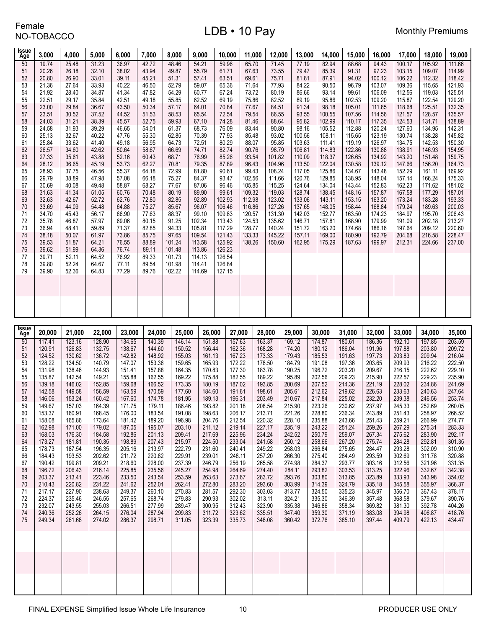| Female     |
|------------|
| NO-TOBACCO |

LDB • 10 Pay Monthly Premiums

| Issue<br>Age | 3,000 | 4,000 | 5.000 | 6.000 | 7,000 | 8,000  | 9,000  | 10.000 | 11,000 | 12,000 | 13,000 | 14,000 | 15,000 | 16,000 | 17,000 | 18.000 | 19.000 |
|--------------|-------|-------|-------|-------|-------|--------|--------|--------|--------|--------|--------|--------|--------|--------|--------|--------|--------|
| 50           | 19.74 | 25.48 | 31.23 | 36.97 | 42.72 | 48.46  | 54.21  | 59.96  | 65.70  | 71.45  | 77.19  | 82.94  | 88.68  | 94.43  | 100.17 | 105.92 | 111.66 |
| 51           | 20.26 | 26.18 | 32.10 | 38.02 | 43.94 | 49.87  | 55.79  | 61.71  | 67.63  | 73.55  | 79.47  | 85.39  | 91.31  | 97.23  | 103.15 | 109.07 | 114.99 |
| 52           | 20.80 | 26.90 | 33.01 | 39.11 | 45.21 | 51.31  | 57.41  | 63.51  | 69.61  | 75.71  | 81.81  | 87.91  | 94.02  | 100.12 | 106.22 | 112.32 | 118.42 |
| 53           | 21.36 | 27.64 | 33.93 | 40.22 | 46.50 | 52.79  | 59.07  | 65.36  | 71.64  | 77.93  | 84.22  | 90.50  | 96.79  | 103.07 | 109.36 | 115.65 | 121.93 |
| 54           | 21.92 | 28.40 | 34.87 | 41.34 | 47.82 | 54.29  | 60.77  | 67.24  | 73.72  | 80.19  | 86.66  | 93.14  | 99.61  | 106.09 | 112.56 | 119.03 | 125.51 |
| 55           | 22.51 | 29.17 | 35.84 | 42.51 | 49.18 | 55.85  | 62.52  | 69.19  | 75.86  | 82.52  | 89.19  | 95.86  | 102.53 | 109.20 | 115.87 | 122.54 | 129.20 |
| 56           | 23.00 | 29.84 | 36.67 | 43.50 | 50.34 | 57.17  | 64.01  | 70.84  | 77.67  | 84.51  | 91.34  | 98.18  | 105.01 | 111.85 | 118.68 | 125.51 | 132.35 |
| 57           | 23.51 | 30.52 | 37.52 | 44.52 | 51.53 | 58.53  | 65.54  | 72.54  | 79.54  | 86.55  | 93.55  | 100.55 | 107.56 | 114.56 | 121.57 | 128.57 | 135.57 |
| 58           | 24.03 | 31.21 | 38.39 | 45.57 | 52.75 | 59.93  | 67.10  | 74.28  | 81.46  | 88.64  | 95.82  | 102.99 | 110.17 | 117.35 | 124.53 | 131.71 | 138.89 |
| 59           | 24.58 | 31.93 | 39.29 | 46.65 | 54.01 | 61.37  | 68.73  | 76.09  | 83.44  | 90.80  | 98.16  | 105.52 | 112.88 | 120.24 | 127.60 | 134.95 | 142.31 |
| 60           | 25.13 | 32.67 | 40.22 | 47.76 | 55.30 | 62.85  | 70.39  | 77.93  | 85.48  | 93.02  | 100.56 | 108.11 | 115.65 | 123.19 | 130.74 | 138.28 | 145.82 |
| 61           | 25.84 | 33.62 | 41.40 | 49.18 | 56.95 | 64.73  | 72.51  | 80.29  | 88.07  | 95.85  | 103.63 | 111.41 | 119.19 | 126.97 | 134.75 | 142.53 | 150.30 |
| 62           | 26.57 | 34.60 | 42.62 | 50.64 | 58.67 | 66.69  | 74.71  | 82.74  | 90.76  | 98.79  | 106.81 | 114.83 | 122.86 | 130.88 | 138.91 | 146.93 | 154.95 |
| 63           | 27.33 | 35.61 | 43.88 | 52.16 | 60.43 | 68.71  | 76.99  | 85.26  | 93.54  | 101.82 | 110.09 | 118.37 | 126.65 | 134.92 | 143.20 | 151.48 | 159.75 |
| 64           | 28.12 | 36.65 | 45.19 | 53.73 | 62.27 | 70.81  | 79.35  | 87.89  | 96.43  | 104.96 | 113.50 | 122.04 | 130.58 | 139.12 | 147.66 | 156.20 | 164.73 |
| 65           | 28.93 | 37.75 | 46.56 | 55.37 | 64.18 | 72.99  | 81.80  | 90.61  | 99.43  | 108.24 | 117.05 | 125.86 | 134.67 | 143.48 | 152.29 | 161.11 | 169.92 |
| 66           | 29.79 | 38.89 | 47.98 | 57.08 | 66.18 | 75.27  | 84.37  | 93.47  | 102.56 | 111.66 | 120.76 | 129.85 | 138.95 | 148.04 | 157.14 | 166.24 | 175.33 |
| 67           | 30.69 | 40.08 | 49.48 | 58.87 | 68.27 | 77.67  | 87.06  | 96.46  | 105.85 | 115.25 | 124.64 | 134.04 | 143.44 | 152.83 | 162.23 | 171.62 | 181.02 |
| 68           | 31.63 | 41.34 | 51.05 | 60.76 | 70.48 | 80.19  | 89.90  | 99.61  | 109.32 | 119.03 | 128.74 | 138.45 | 148.16 | 157.87 | 167.58 | 177.29 | 187.01 |
| 69           | 32.63 | 42.67 | 52.72 | 62.76 | 72.80 | 82.85  | 92.89  | 102.93 | 112.98 | 123.02 | 133.06 | 143.11 | 153.15 | 163.20 | 173.24 | 183.28 | 193.33 |
| 70           | 33.69 | 44.09 | 54.48 | 64.88 | 75.27 | 85.67  | 96.07  | 106.46 | 116.86 | 127.26 | 137.65 | 148.05 | 158.44 | 168.84 | 179.24 | 189.63 | 200.03 |
| 71           | 34.70 | 45.43 | 56.17 | 66.90 | 77.63 | 88.37  | 99.10  | 109.83 | 120.57 | 131.30 | 142.03 | 152.77 | 163.50 | 174.23 | 184.97 | 195.70 | 206.43 |
| 72           | 35.78 | 46.87 | 57.97 | 69.06 | 80.15 | 91.25  | 102.34 | 113.43 | 124.53 | 135.62 | 146.71 | 157.81 | 168.90 | 179.99 | 191.09 | 202.18 | 213.27 |
| 73           | 36.94 | 48.41 | 59.89 | 71.37 | 82.85 | 94.33  | 105.81 | 117.29 | 128.77 | 140.24 | 151.72 | 163.20 | 174.68 | 186.16 | 197.64 | 209.12 | 220.60 |
| 74           | 38.18 | 50.07 | 61.97 | 73.86 | 85.75 | 97.65  | 109.54 | 121.43 | 133.33 | 145.22 | 157.11 | 169.00 | 180.90 | 192.79 | 204.68 | 216.58 | 228.47 |
| 75           | 39.53 | 51.87 | 64.21 | 76.55 | 88.89 | 101.24 | 113.58 | 125.92 | 138.26 | 150.60 | 162.95 | 175.29 | 187.63 | 199.97 | 212.31 | 224.66 | 237.00 |
| 76           | 39.62 | 51.99 | 64.36 | 76.74 | 89.11 | 101.48 | 113.86 | 126.23 |        |        |        |        |        |        |        |        |        |
| 77           | 39.71 | 52.11 | 64.52 | 76.92 | 89.33 | 101.73 | 114.13 | 126.54 |        |        |        |        |        |        |        |        |        |
| 78           | 39.80 | 52.24 | 64.67 | 77.11 | 89.54 | 101.98 | 114.41 | 126.84 |        |        |        |        |        |        |        |        |        |
| 79           | 39.90 | 52.36 | 64.83 | 77.29 | 89.76 | 102.22 | 114.69 | 127.15 |        |        |        |        |        |        |        |        |        |
|              |       |       |       |       |       |        |        |        |        |        |        |        |        |        |        |        |        |
|              |       |       |       |       |       |        |        |        |        |        |        |        |        |        |        |        |        |
|              |       |       |       |       |       |        |        |        |        |        |        |        |        |        |        |        |        |
|              |       |       |       |       |       |        |        |        |        |        |        |        |        |        |        |        |        |
|              |       |       |       |       |       |        |        |        |        |        |        |        |        |        |        |        |        |

| Issue<br>Age | 20,000 | 21,000 | 22,000 | 23,000 | 24,000 | 25,000 | 26,000 | 27,000 | 28,000 | 29,000 | 30,000 | 31,000 | 32,000 | 33,000 | 34,000 | 35,000 |
|--------------|--------|--------|--------|--------|--------|--------|--------|--------|--------|--------|--------|--------|--------|--------|--------|--------|
| 50           | 117.41 | 123.16 | 128.90 | 134.65 | 140.39 | 146.14 | 151.88 | 157.63 | 163.37 | 169.12 | 174.87 | 180.61 | 186.36 | 192.10 | 197.85 | 203.59 |
| 51           | 120.91 | 126.83 | 132.75 | 138.67 | 144.60 | 150.52 | 156.44 | 162.36 | 168.28 | 174.20 | 180.12 | 186.04 | 191.96 | 197.88 | 203.80 | 209.72 |
| 52           | 124.52 | 130.62 | 136.72 | 142.82 | 148.92 | 155.03 | 161.13 | 167.23 | 173.33 | 179.43 | 185.53 | 191.63 | 197.73 | 203.83 | 209.94 | 216.04 |
| 53           | 128.22 | 134.50 | 140.79 | 147.07 | 153.36 | 159.65 | 165.93 | 172.22 | 178.50 | 184.79 | 191.08 | 197.36 | 203.65 | 209.93 | 216.22 | 222.50 |
| 54           | 131.98 | 138.46 | 144.93 | 151.41 | 157.88 | 164.35 | 170.83 | 177.30 | 183.78 | 190.25 | 196.72 | 203.20 | 209.67 | 216.15 | 222.62 | 229.10 |
| 55           | 135.87 | 142.54 | 149.21 | 155.88 | 162.55 | 169.22 | 175.88 | 182.55 | 189.22 | 195.89 | 202.56 | 209.23 | 215.90 | 222.57 | 229.23 | 235.90 |
| 56           | 139.18 | 146.02 | 152.85 | 159.68 | 166.52 | 173.35 | 180.19 | 187.02 | 193.85 | 200.69 | 207.52 | 214.36 | 221.19 | 228.02 | 234.86 | 241.69 |
| 57           | 142.58 | 149.58 | 156.59 | 163.59 | 170.59 | 177.60 | 184.60 | 191.61 | 198.61 | 205.61 | 212.62 | 219.62 | 226.63 | 233.63 | 240.63 | 247.64 |
| 58           | 146.06 | 153.24 | 160.42 | 167.60 | 174.78 | 181.95 | 189.13 | 196.31 | 203.49 | 210.67 | 217.84 | 225.02 | 232.20 | 239.38 | 246.56 | 253.74 |
| 59           | 149.67 | 157.03 | 164.39 | 171.75 | 179.11 | 186.46 | 193.82 | 201.18 | 208.54 | 215.90 | 223.26 | 230.62 | 237.97 | 245.33 | 252.69 | 260.05 |
| 60           | 153.37 | 160.91 | 168.45 | 176.00 | 183.54 | 191.08 | 198.63 | 206.17 | 213.71 | 221.26 | 228.80 | 236.34 | 243.89 | 251.43 | 258.97 | 266.52 |
| 61           | 158.08 | 165.86 | 173.64 | 181.42 | 189.20 | 196.98 | 204.76 | 212.54 | 220.32 | 228.10 | 235.88 | 243.66 | 251.43 | 259.21 | 266.99 | 274.77 |
| 62           | 162.98 | 171.00 | 179.02 | 187.05 | 195.07 | 203.10 | 211.12 | 219.14 | 227.17 | 235.19 | 243.22 | 251.24 | 259.26 | 267.29 | 275.31 | 283.33 |
| 63           | 168.03 | 176.30 | 184.58 | 192.86 | 201.13 | 209.41 | 217.69 | 225.96 | 234.24 | 242.52 | 250.79 | 259.07 | 267.34 | 275.62 | 283.90 | 292.17 |
| 64           | 173.27 | 181.81 | 190.35 | 198.89 | 207.43 | 215.97 | 224.50 | 233.04 | 241.58 | 250.12 | 258.66 | 267.20 | 275.74 | 284.28 | 292.81 | 301.35 |
| 65           | 178.73 | 187.54 | 196.35 | 205.16 | 213.97 | 222.79 | 231.60 | 240.41 | 249.22 | 258.03 | 266.84 | 275.65 | 284.47 | 293.28 | 302.09 | 310.90 |
| 66           | 184.43 | 193.53 | 202.62 | 211.72 | 220.82 | 229.91 | 239.01 | 248.11 | 257.20 | 266.30 | 275.40 | 284.49 | 293.59 | 302.69 | 311.78 | 320.88 |
| 67           | 190.42 | 199.81 | 209.21 | 218.60 | 228.00 | 237.39 | 246.79 | 256.19 | 265.58 | 274.98 | 284.37 | 293.77 | 303.16 | 312.56 | 321.96 | 331.35 |
| 68           | 196.72 | 206.43 | 216.14 | 225.85 | 235.56 | 245.27 | 254.98 | 264.69 | 274.40 | 284.11 | 293.82 | 303.53 | 313.25 | 322.96 | 332.67 | 342.38 |
| 69           | 203.37 | 213.41 | 223.46 | 233.50 | 243.54 | 253.59 | 263.63 | 273.67 | 283.72 | 293.76 | 303.80 | 313.85 | 323.89 | 333.93 | 343.98 | 354.02 |
| 70           | 210.43 | 220.82 | 231.22 | 241.62 | 252.01 | 262.41 | 272.80 | 283.20 | 293.60 | 303.99 | 314.39 | 324.79 | 335.18 | 345.58 | 355.97 | 366.37 |
| 71           | 217.17 | 227.90 | 238.63 | 249.37 | 260.10 | 270.83 | 281.57 | 292.30 | 303.03 | 313.77 | 324.50 | 335.23 | 345.97 | 356.70 | 367.43 | 378.17 |
| 72           | 224.37 | 235.46 | 246.55 | 257.65 | 268.74 | 279.83 | 290.93 | 302.02 | 313.11 | 324.21 | 335.30 | 346.39 | 357.48 | 368.58 | 379.67 | 390.76 |
| 73           | 232.07 | 243.55 | 255.03 | 266.51 | 277.99 | 289.47 | 300.95 | 312.43 | 323.90 | 335.38 | 346.86 | 358.34 | 369.82 | 381.30 | 392.78 | 404.26 |
| 74           | 240.36 | 252.26 | 264.15 | 276.04 | 287.94 | 299.83 | 311.72 | 323.62 | 335.51 | 347.40 | 359.30 | 371.19 | 383.08 | 394.98 | 406.87 | 418.76 |
| 75           | 249.34 | 261.68 | 274.02 | 286.37 | 298.71 | 311.05 | 323.39 | 335.73 | 348.08 | 360.42 | 372.76 | 385.10 | 397.44 | 409.79 | 422.13 | 434.47 |
|              |        |        |        |        |        |        |        |        |        |        |        |        |        |        |        |        |
|              |        |        |        |        |        |        |        |        |        |        |        |        |        |        |        |        |
|              |        |        |        |        |        |        |        |        |        |        |        |        |        |        |        |        |
|              |        |        |        |        |        |        |        |        |        |        |        |        |        |        |        |        |
|              |        |        |        |        |        |        |        |        |        |        |        |        |        |        |        |        |
|              |        |        |        |        |        |        |        |        |        |        |        |        |        |        |        |        |
|              |        |        |        |        |        |        |        |        |        |        |        |        |        |        |        |        |
|              |        |        |        |        |        |        |        |        |        |        |        |        |        |        |        |        |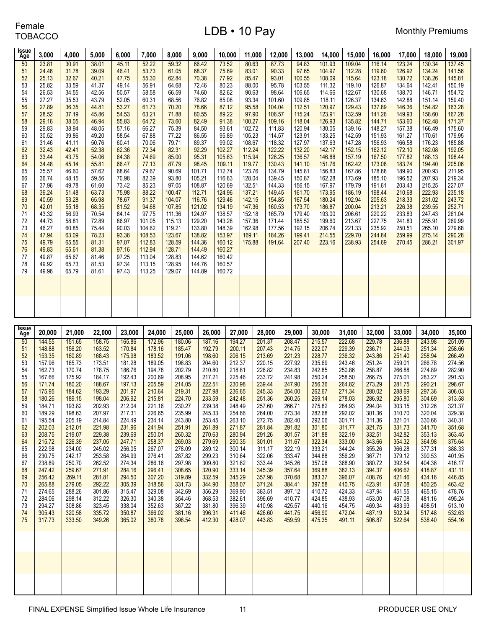Female<br>TOBACCO

### LDB • 10 Pay Monthly Premiums

| <b>Issue</b><br>Age | 3,000 | 4,000 | 5,000 | 6,000 | 7,000  | 8,000  | 9,000  | 10,000 | 11,000 | 12,000 | 13,000 | 14,000 | 15,000 | 16,000 | 17,000 | 18,000 | 19,000 |
|---------------------|-------|-------|-------|-------|--------|--------|--------|--------|--------|--------|--------|--------|--------|--------|--------|--------|--------|
| 50                  | 23.81 | 30.91 | 38.01 | 45.11 | 52.22  | 59.32  | 66.42  | 73.52  | 80.63  | 87.73  | 94.83  | 101.93 | 109.04 | 116.14 | 123.24 | 130.34 | 137.45 |
| 51                  | 24.46 | 31.78 | 39.09 | 46.41 | 53.73  | 61.05  | 68.37  | 75.69  | 83.01  | 90.33  | 97.65  | 104.97 | 112.28 | 119.60 | 126.92 | 134.24 | 141.56 |
| 52                  | 25.13 | 32.67 | 40.21 | 47.75 | 55.30  | 62.84  | 70.38  | 77.92  | 85.47  | 93.01  | 100.55 | 108.09 | 115.64 | 123.18 | 130.72 | 138.26 | 145.81 |
| 53                  | 25.82 | 33.59 | 41.37 | 49.14 | 56.91  | 64.68  | 72.46  | 80.23  | 88.00  | 95.78  | 103.55 | 111.32 | 119.10 | 126.87 | 134.64 | 142.41 | 150.19 |
| 54                  | 26.53 | 34.55 | 42.56 | 50.57 | 58.58  | 66.59  | 74.60  | 82.62  | 90.63  | 98.64  | 106.65 | 114.66 | 122.67 | 130.68 | 138.70 | 146.71 | 154.72 |
| 55                  | 27.27 | 35.53 | 43.79 | 52.05 | 60.31  | 68.56  | 76.82  | 85.08  | 93.34  | 101.60 | 109.85 | 118.11 | 126.37 | 134.63 | 142.88 | 151.14 | 159.40 |
| 56                  | 27.89 | 36.35 | 44.81 | 53.27 | 61.73  | 70.20  | 78.66  | 87.12  | 95.58  | 104.04 | 112.51 | 120.97 | 129.43 | 137.89 | 146.36 | 154.82 | 163.28 |
| 57                  | 28.52 | 37.19 | 45.86 | 54.53 | 63.21  | 71.88  | 80.55  | 89.22  | 97.90  | 106.57 | 115.24 | 123.91 | 132.59 | 141.26 | 149.93 | 158.60 | 167.28 |
| 58                  | 29.16 | 38.05 | 46.94 | 55.83 | 64.72  | 73.60  | 82.49  | 91.38  | 100.27 | 109.16 | 118.04 | 126.93 | 135.82 | 144.71 | 153.60 | 162.48 | 171.37 |
| 59                  | 29.83 | 38.94 | 48.05 | 57.16 | 66.27  | 75.39  | 84.50  | 93.61  | 102.72 | 111.83 | 120.94 | 130.05 | 139.16 | 148.27 | 157.38 | 166.49 | 175.60 |
| 60                  | 30.52 | 39.86 | 49.20 | 58.54 | 67.88  | 77.22  | 86.55  | 95.89  | 105.23 | 114.57 | 123.91 | 133.25 | 142.59 | 151.93 | 161.27 | 170.61 | 179.95 |
| 61                  | 31.46 | 41.11 | 50.76 | 60.41 | 70.06  | 79.71  | 89.37  | 99.02  | 108.67 | 118.32 | 127.97 | 137.63 | 147.28 | 156.93 | 166.58 | 176.23 | 185.88 |
| 62                  | 32.43 | 42.41 | 52.38 | 62.36 | 72.34  | 82.31  | 92.29  | 102.27 | 112.24 | 122.22 | 132.20 | 142.17 | 152.15 | 162.12 | 172.10 | 182.08 | 192.05 |
| 63                  | 33.44 | 43.75 | 54.06 | 64.38 | 74.69  | 85.00  | 95.31  | 105.63 | 115.94 | 126.25 | 136.57 | 146.88 | 157.19 | 167.50 | 177.82 | 188.13 | 198.44 |
| 64                  | 34.48 | 45.14 | 55.81 | 66.47 | 77.13  | 87.79  | 98.45  | 109.11 | 119.77 | 130.43 | 141.10 | 151.76 | 162.42 | 173.08 | 183.74 | 194.40 | 205.06 |
| 65                  | 35.57 | 46.60 | 57.62 | 68.64 | 79.67  | 90.69  | 101.71 | 112.74 | 123.76 | 134.79 | 145.81 | 156.83 | 167.86 | 178.88 | 189.90 | 200.93 | 211.95 |
| 66                  | 36.74 | 48.15 | 59.56 | 70.98 | 82.39  | 93.80  | 105.21 | 116.63 | 128.04 | 139.45 | 150.87 | 162.28 | 173.69 | 185.10 | 196.52 | 207.93 | 219.34 |
| 67                  | 37.96 | 49.78 | 61.60 | 73.42 | 85.23  | 97.05  | 108.87 | 120.69 | 132.51 | 144.33 | 156.15 | 167.97 | 179.79 | 191.61 | 203.43 | 215.25 | 227.07 |
| 68                  | 39.24 | 51.48 | 63.73 | 75.98 | 88.22  | 100.47 | 112.71 | 124.96 | 137.21 | 149.45 | 161.70 | 173.95 | 186.19 | 198.44 | 210.68 | 222.93 | 235.18 |
| 69                  | 40.59 | 53.28 | 65.98 | 78.67 | 91.37  | 104.07 | 116.76 | 129.46 | 142.15 | 154.85 | 167.54 | 180.24 | 192.94 | 205.63 | 218.33 | 231.02 | 243.72 |
| 70                  | 42.01 | 55.18 | 68.35 | 81.52 | 94.68  | 107.85 | 121.02 | 134.19 | 147.36 | 160.53 | 173.70 | 186.87 | 200.04 | 213.21 | 226.38 | 239.55 | 252.71 |
| 71                  | 43.32 | 56.93 | 70.54 | 84.14 | 97.75  | 111.36 | 124.97 | 138.57 | 152.18 | 165.79 | 179.40 | 193.00 | 206.61 | 220.22 | 233.83 | 247.43 | 261.04 |
| 72                  | 44.73 | 58.81 | 72.89 | 86.97 | 101.05 | 115.13 | 129.20 | 143.28 | 157.36 | 171.44 | 185.52 | 199.60 | 213.67 | 227.75 | 241.83 | 255.91 | 269.99 |
| 73                  | 46.27 | 60.85 | 75.44 | 90.03 | 104.62 | 119.21 | 133.80 | 148.39 | 162.98 | 177.56 | 192.15 | 206.74 | 221.33 | 235.92 | 250.51 | 265.10 | 279.68 |
| 74                  | 47.94 | 63.09 | 78.23 | 93.38 | 108.53 | 123.67 | 138.82 | 153.97 | 169.11 | 184.26 | 199.41 | 214.55 | 229.70 | 244.84 | 259.99 | 275.14 | 290.28 |
| 75                  | 49.79 | 65.55 | 81.31 | 97.07 | 112.83 | 128.59 | 144.36 | 160.12 | 175.88 | 191.64 | 207.40 | 223.16 | 238.93 | 254.69 | 270.45 | 286.21 | 301.97 |
| 76                  | 49.83 | 65.61 | 81.38 | 97.16 | 112.94 | 128.71 | 144.49 | 160.27 |        |        |        |        |        |        |        |        |        |
| 77                  | 49.87 | 65.67 | 81.46 | 97.25 | 113.04 | 128.83 | 144.62 | 160.42 |        |        |        |        |        |        |        |        |        |
| 78                  | 49.92 | 65.73 | 81.53 | 97.34 | 113.15 | 128.95 | 144.76 | 160.57 |        |        |        |        |        |        |        |        |        |
| 79                  | 49.96 | 65.79 | 81.61 | 97.43 | 113.25 | 129.07 | 144.89 | 160.72 |        |        |        |        |        |        |        |        |        |
|                     |       |       |       |       |        |        |        |        |        |        |        |        |        |        |        |        |        |
|                     |       |       |       |       |        |        |        |        |        |        |        |        |        |        |        |        |        |
|                     |       |       |       |       |        |        |        |        |        |        |        |        |        |        |        |        |        |
|                     |       |       |       |       |        |        |        |        |        |        |        |        |        |        |        |        |        |
|                     |       |       |       |       |        |        |        |        |        |        |        |        |        |        |        |        |        |
|                     |       |       |       |       |        |        |        |        |        |        |        |        |        |        |        |        |        |

| Issue<br>Age | 20,000 | 21,000 | 22,000 | 23,000 | 24,000 | 25,000 | 26,000 | 27,000 | 28,000 | 29,000 | 30,000 | 31,000 | 32,000 | 33,000 | 34,000 | 35,000 |
|--------------|--------|--------|--------|--------|--------|--------|--------|--------|--------|--------|--------|--------|--------|--------|--------|--------|
| 50           | 144.55 | 151.65 | 158.75 | 165.86 | 172.96 | 180.06 | 187.16 | 194.27 | 201.37 | 208.47 | 215.57 | 222.68 | 229.78 | 236.88 | 243.98 | 251.09 |
| 51           | 148.88 | 156.20 | 163.52 | 170.84 | 178.16 | 185.47 | 192.79 | 200.11 | 207.43 | 214.75 | 222.07 | 229.39 | 236.71 | 244.03 | 251.34 | 258.66 |
| 52           | 153.35 | 160.89 | 168.43 | 175.98 | 183.52 | 191.06 | 198.60 | 206.15 | 213.69 | 221.23 | 228.77 | 236.32 | 243.86 | 251.40 | 258.94 | 266.49 |
| 53           | 157.96 | 165.73 | 173.51 | 181.28 | 189.05 | 196.83 | 204.60 | 212.37 | 220.15 | 227.92 | 235.69 | 243.46 | 251.24 | 259.01 | 266.78 | 274.56 |
| 54           | 162.73 | 170.74 | 178.75 | 186.76 | 194.78 | 202.79 | 210.80 | 218.81 | 226.82 | 234.83 | 242.85 | 250.86 | 258.87 | 266.88 | 274.89 | 282.90 |
| 55           | 167.66 | 175.92 | 184.17 | 192.43 | 200.69 | 208.95 | 217.21 | 225.46 | 233.72 | 241.98 | 250.24 | 258.50 | 266.75 | 275.01 | 283.27 | 291.53 |
| 56           | 171.74 | 180.20 | 188.67 | 197.13 | 205.59 | 214.05 | 222.51 | 230.98 | 239.44 | 247.90 | 256.36 | 264.82 | 273.29 | 281.75 | 290.21 | 298.67 |
| 57           | 175.95 | 184.62 | 193.29 | 201.97 | 210.64 | 219.31 | 227.98 | 236.65 | 245.33 | 254.00 | 262.67 | 271.34 | 280.02 | 288.69 | 297.36 | 306.03 |
| 58           | 180.26 | 189.15 | 198.04 | 206.92 | 215.81 | 224.70 | 233.59 | 242.48 | 251.36 | 260.25 | 269.14 | 278.03 | 286.92 | 295.80 | 304.69 | 313.58 |
| 59           | 184.71 | 193.82 | 202.93 | 212.04 | 221.16 | 230.27 | 239.38 | 248.49 | 257.60 | 266.71 | 275.82 | 284.93 | 294.04 | 303.15 | 312.26 | 321.37 |
| 60           | 189.29 | 198.63 | 207.97 | 217.31 | 226.65 | 235.99 | 245.33 | 254.66 | 264.00 | 273.34 | 282.68 | 292.02 | 301.36 | 310.70 | 320.04 | 329.38 |
| 61           | 195.54 | 205.19 | 214.84 | 224.49 | 234.14 | 243.80 | 253.45 | 263.10 | 272.75 | 282.40 | 292.06 | 301.71 | 311.36 | 321.01 | 330.66 | 340.31 |
| 62           | 202.03 | 212.01 | 221.98 | 231.96 | 241.94 | 251.91 | 261.89 | 271.87 | 281.84 | 291.82 | 301.80 | 311.77 | 321.75 | 331.73 | 341.70 | 351.68 |
| 63           | 208.75 | 219.07 | 229.38 | 239.69 | 250.01 | 260.32 | 270.63 | 280.94 | 291.26 | 301.57 | 311.88 | 322.19 | 332.51 | 342.82 | 353.13 | 363.45 |
| 64           | 215.72 | 226.39 | 237.05 | 247.71 | 258.37 | 269.03 | 279.69 | 290.35 | 301.01 | 311.67 | 322.34 | 333.00 | 343.66 | 354.32 | 364.98 | 375.64 |
| 65           | 222.98 | 234.00 | 245.02 | 256.05 | 267.07 | 278.09 | 289.12 | 300.14 | 311.17 | 322.19 | 333.21 | 344.24 | 355.26 | 366.28 | 377.31 | 388.33 |
| 66           | 230.75 | 242.17 | 253.58 | 264.99 | 276.41 | 287.82 | 299.23 | 310.64 | 322.06 | 333.47 | 344.88 | 356.29 | 367.71 | 379.12 | 390.53 | 401.95 |
| 67           | 238.89 | 250.70 | 262.52 | 274.34 | 286.16 | 297.98 | 309.80 | 321.62 | 333.44 | 345.26 | 357.08 | 368.90 | 380.72 | 392.54 | 404.36 | 416.17 |
| 68           | 247.42 | 259.67 | 271.91 | 284.16 | 296.41 | 308.65 | 320.90 | 333.14 | 345.39 | 357.64 | 369.88 | 382.13 | 394.37 | 406.62 | 418.87 | 431.11 |
| 69           | 256.42 | 269.11 | 281.81 | 294.50 | 307.20 | 319.89 | 332.59 | 345.29 | 357.98 | 370.68 | 383.37 | 396.07 | 408.76 | 421.46 | 434.16 | 446.85 |
| 70           | 265.88 | 279.05 | 292.22 | 305.39 | 318.56 | 331.73 | 344.90 | 358.07 | 371.24 | 384.41 | 397.58 | 410.75 | 423.91 | 437.08 | 450.25 | 463.42 |
| 71           | 274.65 | 288.26 | 301.86 | 315.47 | 329.08 | 342.69 | 356.29 | 369.90 | 383.51 | 397.12 | 410.72 | 424.33 | 437.94 | 451.55 | 465.15 | 478.76 |
| 72           | 284.06 | 298.14 | 312.22 | 326.30 | 340.38 | 354.46 | 368.53 | 382.61 | 396.69 | 410.77 | 424.85 | 438.93 | 453.00 | 467.08 | 481.16 | 495.24 |
| 73           | 294.27 | 308.86 | 323.45 | 338.04 | 352.63 | 367.22 | 381.80 | 396.39 | 410.98 | 425.57 | 440.16 | 454.75 | 469.34 | 483.93 | 498.51 | 513.10 |
| 74           | 305.43 | 320.58 | 335.72 | 350.87 | 366.02 | 381.16 | 396.31 | 411.46 | 426.60 | 441.75 | 456.90 | 472.04 | 487.19 | 502.34 | 517.48 | 532.63 |
| 75           | 317.73 | 333.50 | 349.26 | 365.02 | 380.78 | 396.54 | 412.30 | 428.07 | 443.83 | 459.59 | 475.35 | 491.11 | 506.87 | 522.64 | 538.40 | 554.16 |
|              |        |        |        |        |        |        |        |        |        |        |        |        |        |        |        |        |
|              |        |        |        |        |        |        |        |        |        |        |        |        |        |        |        |        |
|              |        |        |        |        |        |        |        |        |        |        |        |        |        |        |        |        |
|              |        |        |        |        |        |        |        |        |        |        |        |        |        |        |        |        |
|              |        |        |        |        |        |        |        |        |        |        |        |        |        |        |        |        |
|              |        |        |        |        |        |        |        |        |        |        |        |        |        |        |        |        |
|              |        |        |        |        |        |        |        |        |        |        |        |        |        |        |        |        |
|              |        |        |        |        |        |        |        |        |        |        |        |        |        |        |        |        |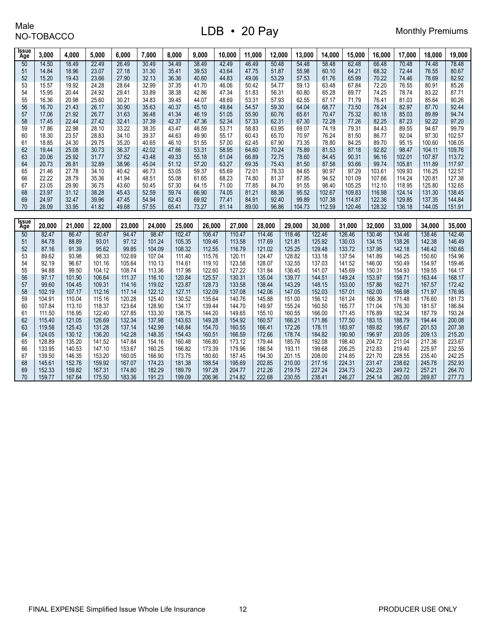### LDB • 20 Pay Monthly Premiums

| Issue<br>Age | 3,000            | 4,000            | 5,000            | 6,000            | 7,000            | 8,000            | 9,000            | 10,000           | 11,000         | 12,000           | 13,000           | 14,000           | 15,000           | 16,000           | 17,000           | 18,000           | 19,000           |
|--------------|------------------|------------------|------------------|------------------|------------------|------------------|------------------|------------------|----------------|------------------|------------------|------------------|------------------|------------------|------------------|------------------|------------------|
| 50           | 14.50            | 18.49            | 22.49            | 26.49            | 30.49            | 34.49            | 38.49            | 42.49            | 46.49          | 50.48            | 54.48            | 58.48            | 62.48            | 66.48            | 70.48            | 74.48            | 78.48            |
| 51           | 14.84            | 18.96            | 23.07            | 27.18            | 31.30            | 35.41            | 39.53            | 43.64            | 47.75          | 51.87            | 55.98            | 60.10            | 64.21            | 68.32            | 72.44            | 76.55            | 80.67            |
| 52           | 15.20            | 19.43            | 23.66            | 27.90            | 32.13            | 36.36            | 40.60            | 44.83            | 49.06          | 53.29            | 57.53            | 61.76            | 65.99            | 70.22            | 74.46            | 78.69            | 82.92            |
| 53           | 15.57            | 19.92            | 24.28            | 28.64            | 32.99            | 37.35            | 41.70            | 46.06            | 50.42          | 54.77            | 59.13            | 63.48            | 67.84            | 72.20            | 76.55            | 80.91            | 85.26            |
| 54           | 15.95            | 20.44            | 24.92            | 29.41            | 33.89            | 38.38            | 42.86            | 47.34            | 51.83          | 56.31            | 60.80            | 65.28            | 69.77            | 74.25            | 78.74            | 83.22            | 87.71            |
| 55           | 16.36            | 20.98            | 25.60            | 30.21            | 34.83            | 39.45            | 44.07            | 48.69            | 53.31          | 57.93            | 62.55            | 67.17            | 71.79            | 76.41            | 81.03            | 85.64            | 90.26            |
| 56           | 16.70            | 21.43            | 26.17            | 30.90            | 35.63            | 40.37            | 45.10            | 49.84            | 54.57          | 59.30            | 64.04            | 68.77            | 73.50            | 78.24            | 82.97            | 87.70            | 92.44            |
| 57           | 17.06            | 21.92            | 26.77            | 31.63            | 36.48            | 41.34            | 46.19            | 51.05            | 55.90          | 60.76            | 65.61            | 70.47            | 75.32            | 80.18            | 85.03            | 89.89            | 94.74            |
| 58<br>59     | 17.45<br>17.86   | 22.44<br>22.98   | 27.42<br>28.10   | 32.41<br>33.22   | 37.39<br>38.35   | 42.37<br>43.47   | 47.36<br>48.59   | 52.34<br>53.71   | 57.33<br>58.83 | 62.31<br>63.95   | 67.30<br>69.07   | 72.28<br>74.19   | 77.26<br>79.31   | 82.25<br>84.43   | 87.23<br>89.55   | 92.22<br>94.67   | 97.20<br>99.79   |
| 60           | 18.30            | 23.57            | 28.83            | 34.10            | 39.37            | 44.63            | 49.90            | 55.17            | 60.43          | 65.70            | 70.97            | 76.24            | 81.50            | 86.77            | 92.04            | 97.30            | 102.57           |
| 61           | 18.85            | 24.30            | 29.75            | 35.20            | 40.65            | 46.10            | 51.55            | 57.00            | 62.45          | 67.90            | 73.35            | 78.80            | 84.25            | 89.70            | 95.15            | 100.60           | 106.05           |
| 62           | 19.44            | 25.08            | 30.73            | 36.37            | 42.02            | 47.66            | 53.31            | 58.95            | 64.60          | 70.24            | 75.89            | 81.53            | 87.18            | 92.82            | 98.47            | 104.11           | 109.76           |
| 63           | 20.06            | 25.92            | 31.77            | 37.62            | 43.48            | 49.33            | 55.18            | 61.04            | 66.89          | 72.75            | 78.60            | 84.45            | 90.31            | 96.16            | 102.01           | 107.87           | 113.72           |
| 64           | 20.73            | 26.81            | 32.89            | 38.96            | 45.04            | 51.12            | 57.20            | 63.27            | 69.35          | 75.43            | 81.50            | 87.58            | 93.66            | 99.74            | 105.81           | 111.89           | 117.97           |
| 65           | 21.46            | 27.78            | 34.10            | 40.42            | 46.73            | 53.05            | 59.37            | 65.69            | 72.01          | 78.33            | 84.65            | 90.97            | 97.29            | 103.61           | 109.93           | 116.25           | 122.57           |
| 66           | 22.22            | 28.79            | 35.36            | 41.94            | 48.51            | 55.08            | 61.65            | 68.23            | 74.80          | 81.37            | 87.95            | 94.52            | 101.09           | 107.66           | 114.24           | 120.81           | 127.38           |
| 67           | 23.05            | 29.90            | 36.75            | 43.60            | 50.45            | 57.30            | 64.15            | 71.00            | 77.85          | 84.70            | 91.55            | 98.40            | 105.25           | 112.10           | 118.95           | 125.80           | 132.65           |
| 68           | 23.97            | 31.12            | 38.28            | 45.43            | 52.59            | 59.74            | 66.90            | 74.05            | 81.21          | 88.36            | 95.52            | 102.67           | 109.83           | 116.98           | 124.14           | 131.30           | 138.45           |
| 69           | 24.97            | 32.47            | 39.96            | 47.45            | 54.94            | 62.43            | 69.92            | 77.41            | 84.91          | 92.40            | 99.89            | 107.38           | 114.87           | 122.36           | 129.85           | 137.35           | 144.84           |
| 70           | 26.09            | 33.95            | 41.82            | 49.68            | 57.55            | 65.41            | 73.27            | 81.14            | 89.00          | 96.86            | 104.73           | 112.59           | 120.46           | 128.32           | 136.18           | 144.05           | 151.91           |
|              |                  |                  |                  |                  |                  |                  |                  |                  |                |                  |                  |                  |                  |                  |                  |                  |                  |
|              |                  |                  |                  |                  |                  |                  |                  |                  |                |                  |                  |                  |                  |                  |                  |                  |                  |
| Issue<br>Age | 20,000           | 21,000           | 22,000           | 23,000           | 24,000           | 25,000           | 26,000           |                  | 27,000         | 28,000           | 29,000           | 30,000           | 31,000           | 32,000           | 33,000           | 34,000           | 35,000           |
| 50           | 82.47            | 86.47            | 90.47            | 94.47            | 98.47            | 102.47           | 106.47           | 110.47           |                | 114.46           | 118.46           | 122.46           | 126.46           | 130.46           | 134.46           | 138.46           | 142.46           |
| 51           | 84.78            | 88.89            | 93.01            | 97.12            | 101.24           | 105.35           | 109.46           | 113.58           |                | 117.69           | 121.81           | 125.92           | 130.03           | 134.15           | 138.26           | 142.38           | 146.49           |
| 52           | 87.16            | 91.39            | 95.62            | 99.85            | 104.09           | 108.32           | 112.55           | 116.79           |                | 121.02           | 125.25           | 129.48           | 133.72           | 137.95           | 142.18           | 146.42           | 150.65           |
| 53           | 89.62            | 93.98            | 98.33            | 102.69           | 107.04           | 111.40           | 115.76           | 120.11           |                | 124.47           | 128.82           | 133.18           | 137.54           | 141.89           | 146.25           | 150.60           | 154.96           |
| 54           | 92.19            | 96.67            | 101.16           | 105.64           | 110.13           | 114.61           | 119.10           | 123.58           |                | 128.07           | 132.55           | 137.03           | 141.52           | 146.00           | 150.49           | 154.97           | 159.46           |
| 55           | 94.88            | 99.50            | 104.12           | 108.74           | 113.36           | 117.98           | 122.60           | 127.22           |                | 131.84           | 136.45           | 141.07           | 145.69           | 150.31           | 154.93           | 159.55           | 164.17           |
| 56           | 97.17            | 101.90           | 106.64           | 111.37           | 116.10           | 120.84           | 125.57           | 130.31           |                | 135.04           | 139.77           | 144.51           | 149.24           | 153.97           | 158.71           | 163.44           | 168.17           |
| 57           | 99.60            | 104.45           | 109.31           | 114.16           | 119.02           | 123.87           | 128.73           | 133.58           |                | 138.44           | 143.29           | 148.15           | 153.00           | 157.86           | 162.71           | 167.57           | 172.42           |
| 58           | 102.19           | 107.17           | 112.16           | 117.14           | 122.12           | 127.11           | 132.09           | 137.08           |                | 142.06           | 147.05           | 152.03           | 157.01           | 162.00           | 166.98           | 171.97           | 176.95           |
| 59<br>60     | 104.91<br>107.84 | 110.04<br>113.10 | 115.16<br>118.37 | 120.28<br>123.64 | 125.40           | 130.52<br>134.17 | 135.64<br>139.44 | 140.76<br>144.70 |                | 145.88           | 151.00<br>155.24 | 156.12<br>160.50 | 161.24<br>165.77 | 166.36           | 171.48<br>176.30 | 176.60<br>181.57 | 181.73<br>186.84 |
| 61           | 111.50           | 116.95           | 122.40           | 127.85           | 128.90<br>133.30 | 138.75           | 144.20           | 149.65           |                | 149.97<br>155.10 | 160.55           | 166.00           | 171.45           | 171.04<br>176.89 | 182.34           | 187.79           | 193.24           |
| 62           | 115.40           | 121.05           | 126.69           | 132.34           | 137.98           | 143.63           | 149.28           | 154.92           |                | 160.57           | 166.21           | 171.86           | 177.50           | 183.15           | 188.79           | 194.44           | 200.08           |
| 63           | 119.58           | 125.43           | 131.28           | 137.14           | 142.99           | 148.84           | 154.70           | 160.55           |                | 166.41           | 172.26           | 178.11           | 183.97           | 189.82           | 195.67           | 201.53           | 207.38           |
| 64           | 124.05           | 130.12           | 136.20           | 142.28           | 148.35           | 154.43           | 160.51           | 166.59           |                | 172.66           | 178.74           | 184.82           | 190.90           | 196.97           | 203.05           | 209.13           | 215.20           |
| 65           | 128.89           | 135.20           | 141.52           | 147.84           | 154.16           | 160.48           | 166.80           | 173.12           |                | 179.44           | 185.76           | 192.08           | 198.40           | 204.72           | 211.04           | 217.36           | 223.67           |
| 66           | 133.95           | 140.53           | 147.10           | 153.67           | 160.25           | 166.82           | 173.39           | 179.96           |                | 186.54           | 193.11           | 199.68           | 206.25           | 212.83           | 219.40           | 225.97           | 232.55           |
| 67           | 139.50           | 146.35           | 153.20           | 160.05           | 166.90           | 173.75           | 180.60           | 187.45           |                | 194.30           | 201.15           | 208.00           | 214.85           | 221.70           | 228.55           | 235.40           | 242.25           |
| 68           | 145.61           | 152.76           | 159.92           | 167.07           | 174.23           | 181.38           | 188.54           | 195.69           |                | 202.85           | 210.00           | 217.16           | 224.31           | 231.47           | 238.62           | 245.78           | 252.93           |
| 69<br>70     | 152.33<br>159.77 | 159.82<br>167.64 | 167.31<br>175.50 | 174.80<br>183.36 | 182.29<br>191.23 | 189.79<br>199.09 | 197.28<br>206.96 | 204.77<br>214.82 |                | 212.26<br>222.68 | 219.75<br>230.55 | 227.24<br>238.41 | 234.73<br>246.27 | 242.23<br>254.14 | 249.72<br>262.00 | 257.21<br>269.87 | 264.70<br>277.73 |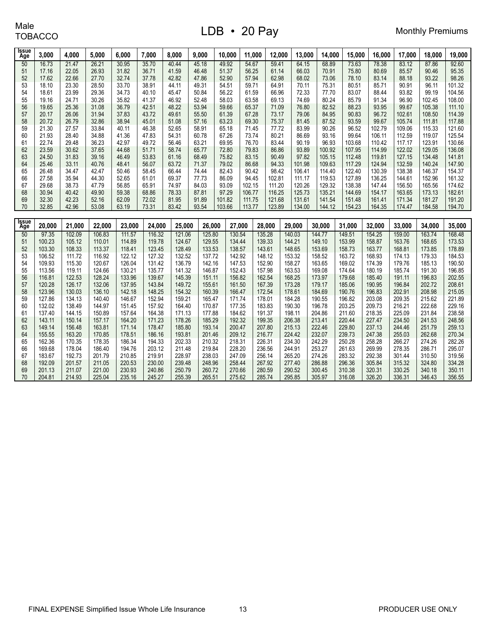### LDB • 20 Pay Monthly Premiums

| Issue<br>Age   | 3,000                      | 4,000            | 5,000                      | 6,000                      | 7,000                                                    | 8,000                      | 9,000                      | 10,000                                         | 11,000         | 12,000                               | 13,000                     | 14,000                               | 15,000                               | 16,000                                         | 17,000                                         | 18,000                               | 19,000           |
|----------------|----------------------------|------------------|----------------------------|----------------------------|----------------------------------------------------------|----------------------------|----------------------------|------------------------------------------------|----------------|--------------------------------------|----------------------------|--------------------------------------|--------------------------------------|------------------------------------------------|------------------------------------------------|--------------------------------------|------------------|
| 50             | 16.73                      | 21.47            | 26.21                      | 30.95                      | 35.70                                                    | 40.44                      | 45.18                      | 49.92                                          | 54.67          | 59.41                                | 64.15                      | 68.89                                | 73.63                                | 78.38                                          | 83.12                                          | 87.86                                | 92.60            |
| 51             | 17.16                      | 22.05            | 26.93                      | 31.82                      | 36.71                                                    | 41.59                      | 46.48                      | 51.37                                          | 56.25          | 61.14                                | 66.03                      | 70.91                                | 75.80                                | 80.69                                          | 85.57                                          | 90.46                                | 95.35            |
| 52             | 17.62                      | 22.66            | 27.70                      | 32.74                      | 37.78                                                    | 42.82                      | 47.86                      | 52.90                                          | 57.94          | 62.98                                | 68.02                      | 73.06                                | 78.10                                | 83.14                                          | 88.18                                          | 93.22                                | 98.26            |
| 53             | 18.10                      | 23.30            | 28.50                      | 33.70                      | 38.91                                                    | 44.11                      | 49.31                      | 54.51                                          | 59.71          | 64.91                                | 70.11                      | 75.31                                | 80.51                                | 85.71                                          | 90.91                                          | 96.11                                | 101.32           |
| 54             | 18.61                      | 23.99            | 29.36                      | 34.73                      | 40.10                                                    | 45.47                      | 50.84                      | 56.22                                          | 61.59          | 66.96                                | 72.33                      | 77.70                                | 83.07                                | 88.44                                          | 93.82                                          | 99.19                                | 104.56           |
| 55             | 19.16                      | 24.71            | 30.26                      | 35.82                      | 41.37                                                    | 46.92                      | 52.48                      | 58.03                                          | 63.58          | 69.13                                | 74.69                      | 80.24                                | 85.79                                | 91.34                                          | 96.90                                          | 102.45                               | 108.00           |
| 56             | 19.65                      | 25.36            | 31.08                      | 36.79                      | 42.51                                                    | 48.22                      | 53.94                      | 59.66                                          | 65.37          | 71.09                                | 76.80                      | 82.52                                | 88.23                                | 93.95                                          | 99.67                                          | 105.38                               | 111.10           |
| 57<br>58       | 20.17<br>20.72             | 26.06<br>26.79   | 31.94<br>32.86             | 37.83<br>38.94             | 43.72<br>45.01                                           | 49.61<br>51.08             | 55.50<br>57.16             | 61.39<br>63.23                                 | 67.28<br>69.30 | 73.17<br>75.37                       | 79.06<br>81.45             | 84.95<br>87.52                       | 90.83<br>93.59                       | 96.72<br>99.67                                 | 102.61<br>105.74                               | 108.50<br>111.81                     | 114.39<br>117.88 |
| 59             | 21.30                      | 27.57            | 33.84                      | 40.11                      | 46.38                                                    | 52.65                      | 58.91                      | 65.18                                          | 71.45          | 77.72                                | 83.99                      | 90.26                                | 96.52                                | 102.79                                         | 109.06                                         | 115.33                               | 121.60           |
| 60             | 21.93                      | 28.40            | 34.88                      | 41.36                      | 47.83                                                    | 54.31                      | 60.78                      | 67.26                                          | 73.74          | 80.21                                | 86.69                      | 93.16                                | 99.64                                | 106.11                                         | 112.59                                         | 119.07                               | 125.54           |
| 61             | 22.74                      | 29.48            | 36.23                      | 42.97                      | 49.72                                                    | 56.46                      | 63.21                      | 69.95                                          | 76.70          | 83.44                                | 90.19                      | 96.93                                | 103.68                               | 110.42                                         | 117.17                                         | 123.91                               | 130.66           |
| 62             | 23.59                      | 30.62            | 37.65                      | 44.68                      | 51.71                                                    | 58.74                      | 65.77                      | 72.80                                          | 79.83          | 86.86                                | 93.89                      | 100.92                               | 107.95                               | 114.99                                         | 122.02                                         | 129.05                               | 136.08           |
| 63             | 24.50                      | 31.83            | 39.16                      | 46.49                      | 53.83                                                    | 61.16                      | 68.49                      | 75.82                                          | 83.15          | 90.49                                | 97.82                      | 105.15                               | 112.48                               | 119.81                                         | 127.15                                         | 134.48                               | 141.81           |
| 64             | 25.46                      | 33.11            | 40.76                      | 48.41                      | 56.07                                                    | 63.72                      | 71.37                      | 79.02                                          | 86.68          | 94.33                                | 101.98                     | 109.63                               | 117.29                               | 124.94                                         | 132.59                                         | 140.24                               | 147.90           |
| 65             | 26.48                      | 34.47            | 42.47                      | 50.46                      | 58.45                                                    | 66.44                      | 74.44                      | 82.43                                          | 90.42          | 98.42                                | 106.41                     | 114.40                               | 122.40                               | 130.39                                         | 138.38                                         | 146.37                               | 154.37           |
| 66             | 27.58                      | 35.94            | 44.30                      | 52.65                      | 61.01                                                    | 69.37                      | 77.73                      | 86.09                                          | 94.45          | 102.81                               | 111.17                     | 119.53                               | 127.89                               | 136.25                                         | 144.61                                         | 152.96                               | 161.32           |
| 67             | 29.68                      | 38.73            | 47.79                      | 56.85                      | 65.91                                                    | 74.97                      | 84.03                      | 93.09                                          | 102.15         | 111.20                               | 120.26                     | 129.32                               | 138.38                               | 147.44                                         | 156.50                                         | 165.56                               | 174.62           |
| 68             | 30.94                      | 40.42            | 49.90                      | 59.38                      | 68.86                                                    | 78.33                      | 87.81                      | 97.29                                          | 106.77         | 116.25                               | 125.73                     | 135.21                               | 144.69                               | 154.17                                         | 163.65                                         | 173.13                               | 182.61           |
| 69             | 32.30                      | 42.23            | 52.16                      | 62.09                      | 72.02                                                    | 81.95                      | 91.89                      | 101.82                                         | 111.75         | 121.68                               | 131.61                     | 141.54                               | 151.48                               | 161.41                                         | 171.34                                         | 181.27                               | 191.20           |
| 70             | 32.85                      | 42.96            | 53.08                      | 63.19                      | 73.31                                                    | 83.42                      | 93.54                      | 103.66                                         | 113.77         | 123.89                               | 134.00                     | 144.12                               | 154.23                               | 164.35                                         | 174.47                                         | 184.58                               | 194.70           |
| Issue          |                            |                  |                            |                            |                                                          |                            |                            |                                                |                |                                      |                            |                                      |                                      |                                                |                                                |                                      |                  |
| Age            | 20,000                     | 21,000           | 22,000                     | 23,000                     | 24,000                                                   | 25,000                     | 26,000                     |                                                | 27,000         | 28,000                               | 29,000                     | 30,000                               | 31,000                               | 32,000                                         | 33,000                                         | 34,000                               | 35,000           |
| 50             | 97.35                      | 102.09           | 106.83                     | 111.57                     | 116.32                                                   | 121.06                     | 125.80                     | 130.54                                         |                | 135.28                               | 140.03                     | 144.77                               | 149.51                               | 154.25                                         | 159.00                                         | 163.74                               | 168.48           |
| 51             | 100.23                     | 105.12           | 110.01                     | 114.89                     | 119.78                                                   | 124.67                     | 129.55                     | 134.44                                         |                | 139.33                               | 144.21                     | 149.10                               | 153.99                               | 158.87                                         | 163.76                                         | 168.65                               | 173.53           |
| 52<br>53       | 103.30<br>106.52           | 108.33<br>111.72 | 113.37<br>116.92           | 118.41<br>122.12           | 123.45<br>127.32                                         | 128.49<br>132.52           | 133.53<br>137.72           | 138.57<br>142.92                               |                | 143.61<br>148.12                     | 148.65<br>153.32           | 153.69<br>158.52                     | 158.73<br>163.72                     | 163.77<br>168.93                               | 168.81<br>174.13                               | 173.85<br>179.33                     | 178.89<br>184.53 |
| 54             | 109.93                     | 115.30           | 120.67                     | 126.04                     | 131.42                                                   | 136.79                     | 142.16                     | 147.53                                         |                | 152.90                               | 158.27                     | 163.65                               | 169.02                               | 174.39                                         | 179.76                                         | 185.13                               | 190.50           |
| 55             | 113.56                     | 119.11           | 124.66                     | 130.21                     | 135.77                                                   | 141.32                     | 146.87                     | 152.43                                         |                | 157.98                               | 163.53                     | 169.08                               | 174.64                               | 180.19                                         | 185.74                                         | 191.30                               | 196.85           |
| 56             | 116.81                     | 122.53           | 128.24                     | 133.96                     | 139.67                                                   | 145.39                     | 151.11                     | 156.82                                         |                | 162.54                               | 168.25                     | 173.97                               | 179.68                               | 185.40                                         | 191.11                                         | 196.83                               | 202.55           |
| 57             | 120.28                     | 126.17           | 132.06                     | 137.95                     | 143.84                                                   | 149.72                     | 155.61                     | 161.50                                         |                | 167.39                               | 173.28                     | 179.17                               | 185.06                               | 190.95                                         | 196.84                                         | 202.72                               | 208.61           |
| 58             | 123.96                     | 130.03           | 136.10                     | 142.18                     | 148.25                                                   | 154.32                     | 160.39                     | 166.47                                         |                | 172.54                               | 178.61                     | 184.69                               | 190.76                               | 196.83                                         | 202.91                                         | 208.98                               | 215.05           |
| 59             | 127.86                     | 134.13           | 140.40                     | 146.67                     |                                                          | 159.21                     | 165.47                     | 171.74                                         |                | 178.01                               | 184.28                     | 190.55                               | 196.82                               |                                                | 209.35                                         | 215.62                               | 221.89           |
| 60             | 132.02                     | 138.49           | 144.97                     | 151.45                     | 157.92                                                   | 164.40                     | 170.87                     | 177.35                                         |                | 183.83                               | 190.30                     | 196.78                               | 203.25                               | 209.73                                         | 216.21                                         | 222.68                               | 229.16           |
| 61             | 137.40                     | 144.15           | 150.89                     | 157.64                     |                                                          | 171.13                     | 177.88                     |                                                |                |                                      | 198.11                     | 204.86                               |                                      |                                                |                                                | 231.84                               | 238.58           |
|                |                            | 150.14           |                            | 164.20                     |                                                          | 178.26                     | 185.29                     |                                                |                | 199.35                               | 206.38                     |                                      | 220.44                               | 227.47                                         |                                                |                                      | 248.56           |
|                |                            |                  |                            |                            |                                                          |                            |                            |                                                |                |                                      |                            |                                      |                                      |                                                |                                                |                                      | 259.13           |
|                |                            |                  |                            |                            |                                                          |                            |                            |                                                |                |                                      |                            |                                      |                                      |                                                |                                                |                                      | 270.34           |
|                |                            |                  |                            |                            |                                                          |                            |                            |                                                |                |                                      |                            |                                      |                                      |                                                |                                                |                                      | 282.26           |
| 65             | 162.36                     | 170.35           | 178.35                     |                            |                                                          |                            |                            |                                                |                |                                      |                            |                                      |                                      |                                                |                                                |                                      |                  |
| 66             | 169.68                     | 178.04           | 186.40                     | 194.76                     | 203.12                                                   | 211.48                     | 219.84                     | 228.20                                         |                | 236.56                               | 244.91                     | 253.27                               | 261.63                               | 269.99                                         | 278.35                                         | 286.71                               | 295.07           |
| 67             | 183.67                     | 192.73           | 201.79                     | 210.85                     | 219.91                                                   | 228.97                     | 238.03                     | 247.09                                         |                | 256.14                               | 265.20                     | 274.26                               | 283.32                               | 292.38                                         | 301.44                                         | 310.50                               | 319.56           |
| 68<br>69       | 192.09<br>201.13           | 201.57<br>211.07 | 211.05<br>221.00           | 220.53<br>230.93           | 230.00<br>240.86                                         | 239.48<br>250.79           | 248.96<br>260.72           | 258.44<br>270.66                               |                | 267.92<br>280.59                     | 277.40<br>290.52           | 286.88<br>300.45                     | 296.36<br>310.38                     | 305.84<br>320.31                               | 315.32<br>330.25                               | 324.80<br>340.18                     | 334.28<br>350.11 |
| 62<br>63<br>64 | 143.11<br>149.14<br>155.55 | 156.48<br>163.20 | 157.17<br>163.81<br>170.85 | 171.14<br>178.51<br>186.34 | 152.94<br>164.38<br>171.23<br>178.47<br>186.16<br>194.33 | 185.80<br>193.81<br>202.33 | 193.14<br>201.46<br>210.32 | 184.62<br>192.32<br>200.47<br>209.12<br>218.31 |                | 191.37<br>207.80<br>216.77<br>226.31 | 215.13<br>224.42<br>234.30 | 213.41<br>222.46<br>232.07<br>242.29 | 211.60<br>229.80<br>239.73<br>250.28 | 203.08<br>218.35<br>237.13<br>247.38<br>258.28 | 225.09<br>234.50<br>244.46<br>255.03<br>266.27 | 241.53<br>251.79<br>262.68<br>274.26 |                  |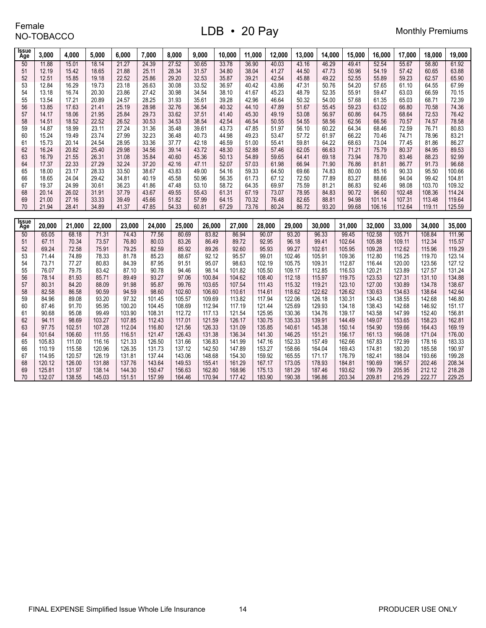Female<br>NO-TOBACCO

#### LDB • 20 Pay Monthly Premiums

| Işsue<br>Age | 3,000            | 4,000            | 5,000            | 6,000            | 7,000            | 8,000            | 9,000            | 10,000           | 11,000           | 12,000         | 13,000           | 14,000           | 15,000           | 16,000           | 17,000           | 18,000           | 19,000           |
|--------------|------------------|------------------|------------------|------------------|------------------|------------------|------------------|------------------|------------------|----------------|------------------|------------------|------------------|------------------|------------------|------------------|------------------|
| 50           | 11.88            | 15.01            | 18.14            | 21.27            | 24.39            | 27.52            | 30.65            | 33.78            | 36.90            | 40.03          | 43.16            | 46.29            | 49.41            | 52.54            | 55.67            | 58.80            | 61.92            |
| 51           | 12.19            | 15.42            | 18.65            | 21.88            | 25.11            | 28.34            | 31.57            | 34.80            | 38.04            | 41.27          | 44.50            | 47.73            | 50.96            | 54.19            | 57.42            | 60.65            | 63.88            |
| 52           | 12.51            | 15.85            | 19.18            | 22.52            | 25.86            | 29.20            | 32.53            | 35.87            | 39.21            | 42.54          | 45.88            | 49.22            | 52.55            | 55.89            | 59.23            | 62.57            | 65.90            |
| 53           | 12.84            | 16.29            | 19.73            | 23.18            | 26.63            | 30.08            | 33.52            | 36.97            | 40.42            | 43.86          | 47.31            | 50.76            | 54.20            | 57.65            | 61.10            | 64.55            | 67.99            |
| 54           | 13.18            | 16.74            | 20.30            | 23.86            | 27.42            | 30.98            | 34.54            | 38.10            | 41.67            | 45.23          | 48.79            | 52.35            | 55.91            | 59.47            | 63.03            | 66.59            | 70.15            |
| 55           | 13.54            | 17.21            | 20.89            | 24.57            | 28.25            | 31.93            | 35.61            | 39.28            | 42.96            | 46.64          | 50.32            | 54.00            | 57.68            | 61.35            | 65.03            | 68.71            | 72.39            |
| 56           | 13.85            | 17.63            | 21.41            | 25.19            | 28.98            | 32.76            | 36.54            | 40.32            | 44.10            | 47.89          | 51.67            | 55.45            | 59.23            | 63.02            | 66.80            | 70.58            | 74.36            |
| 57           | 14.17            | 18.06            | 21.95            | 25.84<br>26.52   | 29.73            | 33.62            | 37.51            | 41.40            | 45.30            | 49.19          | 53.08            | 56.97            | 60.86<br>62.56   | 64.75            | 68.64            | 72.53            | 76.42            |
| 58<br>59     | 14.51<br>14.87   | 18.52<br>18.99   | 22.52<br>23.11   | 27.24            | 30.53<br>31.36   | 34.53<br>35.48   | 38.54<br>39.61   | 42.54<br>43.73   | 46.54<br>47.85   | 50.55<br>51.97 | 54.55<br>56.10   | 58.56<br>60.22   | 64.34            | 66.56<br>68.46   | 70.57<br>72.59   | 74.57<br>76.71   | 78.58<br>80.83   |
| 60           | 15.24            | 19.49            | 23.74            | 27.99            | 32.23            | 36.48            | 40.73            | 44.98            | 49.23            | 53.47          | 57.72            | 61.97            | 66.22            | 70.46            | 74.71            | 78.96            | 83.21            |
| 61           | 15.73            | 20.14            | 24.54            | 28.95            | 33.36            | 37.77            | 42.18            | 46.59            | 51.00            | 55.41          | 59.81            | 64.22            | 68.63            | 73.04            | 77.45            | 81.86            | 86.27            |
| 62           | 16.24            | 20.82            | 25.40            | 29.98            | 34.56            | 39.14            | 43.72            | 48.30            | 52.88            | 57.46          | 62.05            | 66.63            | 71.21            | 75.79            | 80.37            | 84.95            | 89.53            |
| 63           | 16.79            | 21.55            | 26.31            | 31.08            | 35.84            | 40.60            | 45.36            | 50.13            | 54.89            | 59.65          | 64.41            | 69.18            | 73.94            | 78.70            | 83.46            | 88.23            | 92.99            |
| 64           | 17.37            | 22.33            | 27.29            | 32.24            | 37.20            | 42.16            | 47.11            | 52.07            | 57.03            | 61.98          | 66.94            | 71.90            | 76.86            | 81.81            | 86.77            | 91.73            | 96.68            |
| 65           | 18.00            | 23.17            | 28.33            | 33.50            | 38.67            | 43.83            | 49.00            | 54.16            | 59.33            | 64.50          | 69.66            | 74.83            | 80.00            | 85.16            | 90.33            | 95.50            | 100.66           |
| 66           | 18.65            | 24.04            | 29.42            | 34.81            | 40.19            | 45.58            | 50.96            | 56.35            | 61.73            | 67.12          | 72.50            | 77.89            | 83.27            | 88.66            | 94.04            | 99.42            | 104.81           |
| 67           | 19.37            | 24.99            | 30.61            | 36.23            | 41.86            | 47.48            | 53.10            | 58.72            | 64.35            | 69.97          | 75.59            | 81.21            | 86.83            | 92.46            | 98.08            | 103.70           | 109.32           |
| 68           | 20.14            | 26.02            | 31.91            | 37.79            | 43.67            | 49.55            | 55.43            | 61.31            | 67.19            | 73.07          | 78.95            | 84.83            | 90.72            | 96.60            | 102.48           | 108.36           | 114.24           |
| 69           | 21.00            | 27.16            | 33.33            | 39.49            | 45.66            | 51.82            | 57.99            | 64.15            | 70.32            | 76.48          | 82.65            | 88.81            | 94.98            | 101.14           | 107.31           | 113.48           | 119.64           |
| 70           | 21.94            | 28.41            | 34.89            | 41.37            | 47.85            | 54.33            | 60.81            | 67.29            | 73.76            | 80.24          | 86.72            | 93.20            | 99.68            | 106.16           | 112.64           | 119.11           | 125.59           |
|              |                  |                  |                  |                  |                  |                  |                  |                  |                  |                |                  |                  |                  |                  |                  |                  |                  |
| Issue<br>Age | 20,000           | 21,000           | 22,000           | 23,000           | 24,000           | 25,000           | 26,000           | 27,000           | 28,000           |                | 29,000           | 30,000           | 31,000           | 32,000           |                  | 34,000           | 35,000           |
| 50           | 65.05            | 68.18            |                  |                  |                  |                  |                  |                  |                  |                |                  |                  |                  |                  | 33,000           |                  |                  |
| 51           |                  |                  | 71.31            | 74.43            | 77.56            | 80.69            | 83.82            | 86.94            |                  | 90.07          | 93.20            | 96.33            | 99.45            | 102.58           | 105.71           | 108.84           | 111.96           |
|              | 67.11            | 70.34            | 73.57            | 76.80            | 80.03            | 83.26            | 86.49            | 89.72            |                  | 92.95          | 96.18            | 99.41            | 102.64           | 105.88           | 109.11           | 112.34           | 115.57           |
| 52           | 69.24            | 72.58            | 75.91            | 79.25            | 82.59            | 85.92            | 89.26            | 92.60            |                  | 95.93          | 99.27            | 102.61           | 105.95           | 109.28           | 112.62           | 115.96           | 119.29           |
| 53           | 71.44            | 74.89            | 78.33            | 81.78            | 85.23            | 88.67            | 92.12            | 95.57            |                  | 99.01          | 102.46           | 105.91           | 109.36           | 112.80           | 116.25           | 119.70           | 123.14           |
| 54           | 73.71            | 77.27            | 80.83            | 84.39            | 87.95            | 91.51            | 95.07            | 98.63            | 102.19           |                | 105.75           | 109.31           | 112.87           | 116.44           | 120.00           | 123.56           | 127.12           |
| 55           | 76.07            | 79.75            | 83.42            | 87.10            | 90.78            | 94.46            | 98.14            | 101.82           | 105.50           |                | 109.17           | 112.85           | 116.53           | 120.21           | 123.89           | 127.57           | 131.24           |
| 56           | 78.14            | 81.93            | 85.71            | 89.49            | 93.27            | 97.06            | 100.84           | 104.62           | 108.40           |                | 112.18           | 115.97           | 119.75           | 123.53           | 127.31           | 131.10           | 134.88           |
| 57           | 80.31            | 84.20            | 88.09            | 91.98            | 95.87            | 99.76            | 103.65           | 107.54           | 111.43           |                | 115.32           | 119.21           | 123.10           | 127.00           | 130.89           | 134.78           | 138.67           |
| 58           | 82.58            | 86.58            | 90.59            | 94.59            | 98.60            | 102.60           | 106.60           | 110.61           | 114.61           |                | 118.62           | 122.62           | 126.62           | 130.63           | 134.63           | 138.64           | 142.64           |
| 59           | 84.96            | 89.08            | 93.20            | 97.32            | 101.45           | 105.57           | 109.69           | 113.82           | 117.94           |                | 122.06           | 126.18           | 130.31           | 134.43           | 138.55           | 142.68           | 146.80           |
| 60<br>61     | 87.46<br>90.68   | 91.70<br>95.08   | 95.95<br>99.49   | 100.20<br>103.90 | 104.45           | 108.69<br>112.72 | 112.94<br>117.13 | 117.19<br>121.54 | 121.44           |                | 125.69<br>130.36 | 129.93           | 134.18           | 138.43           | 142.68<br>147.99 | 146.92<br>152.40 | 151.17           |
| 62           | 94.11            | 98.69            |                  |                  | 108.31           | 117.01           | 121.59           |                  | 125.95           |                |                  | 134.76           | 139.17           | 143.58           |                  |                  | 156.81           |
| 63           | 97.75            | 102.51           | 103.27<br>107.28 | 107.85<br>112.04 | 112.43<br>116.80 | 121.56           | 126.33           | 126.17<br>131.09 | 130.75<br>135.85 |                | 135.33<br>140.61 | 139.91<br>145.38 | 144.49<br>150.14 | 149.07<br>154.90 | 153.65<br>159.66 | 158.23<br>164.43 | 162.81<br>169.19 |
| 64           | 101.64           | 106.60           | 111.55           | 116.51           | 121.47           | 126.43           | 131.38           | 136.34           | 141.30           |                | 146.25           | 151.21           | 156.17           | 161.13           | 166.08           | 171.04           | 176.00           |
| 65           | 105.83           | 111.00           | 116.16           | 121.33           | 126.50           | 131.66           | 136.83           | 141.99           | 147.16           |                | 152.33           | 157.49           | 162.66           | 167.83           | 172.99           | 178.16           | 183.33           |
| 66           | 110.19           | 115.58           | 120.96           | 126.35           | 131.73           | 137.12           | 142.50           | 147.89           | 153.27           |                | 158.66           | 164.04           | 169.43           | 174.81           | 180.20           | 185.58           | 190.97           |
| 67           | 114.95           | 120.57           | 126.19           | 131.81           | 137.44           | 143.06           | 148.68           | 154.30           | 159.92           |                | 165.55           | 171.17           | 176.79           | 182.41           | 188.04           | 193.66           | 199.28           |
| 68           | 120.12           | 126.00           | 131.88           | 137.76           | 143.64           | 149.53           | 155.41           | 161.29           | 167.17           |                | 173.05           | 178.93           | 184.81           | 190.69           | 196.57           | 202.46           | 208.34           |
| 69<br>70     | 125.81<br>132.07 | 131.97<br>138.55 | 138.14<br>145.03 | 144.30<br>151.51 | 150.47<br>157.99 | 156.63<br>164.46 | 162.80<br>170.94 | 168.96<br>177.42 | 175.13<br>183.90 |                | 181.29<br>190.38 | 187.46<br>196.86 | 193.62<br>203.34 | 199.79<br>209.81 | 205.95<br>216.29 | 212.12<br>222.77 | 218.28<br>229.25 |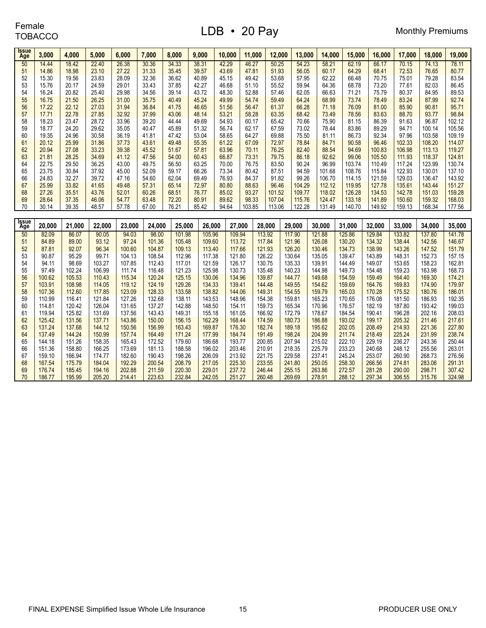Female<br>TOBACCO

LDB • 20 Pay Monthly Premiums

| Issue<br>Age | 3,000            | 4,000            | 5,000            | 6,000            | 7,000            | 8,000            | 9,000            | 10,000           | 11,000         | 12,000           | 13,000           | 14,000           | 15,000           | 16,000           | 17,000           | 18,000           | 19,000           |
|--------------|------------------|------------------|------------------|------------------|------------------|------------------|------------------|------------------|----------------|------------------|------------------|------------------|------------------|------------------|------------------|------------------|------------------|
| 50           | 14.44            | 18.42            | 22.40            | 26.38            | 30.36            | 34.33            | 38.31            | 42.29            | 46.27          | 50.25            | 54.23            | 58.21            | 62.19            | 66.17            | 70.15            | 74.13            | 78.11            |
| 51           | 14.86            | 18.98            | 23.10            | 27.22            | 31.33            | 35.45            | 39.57            | 43.69            | 47.81          | 51.93            | 56.05            | 60.17            | 64.29            | 68.41            | 72.53            | 76.65            | 80.77            |
| 52           | 15.30            | 19.56            | 23.83            | 28.09            | 32.36            | 36.62            | 40.89            | 45.15            | 49.42          | 53.68            | 57.95            | 62.22            | 66.48            | 70.75            | 75.01            | 79.28            | 83.54            |
| 53           | 15.76            | 20.17            | 24.59            | 29.01            | 33.43            | 37.85            | 42.27            | 46.68            | 51.10          | 55.52            | 59.94            | 64.36            | 68.78            | 73.20            | 77.61            | 82.03            | 86.45            |
| 54           | 16.24            | 20.82            | 25.40            | 29.98            | 34.56            | 39.14            | 43.72            | 48.30            | 52.88          | 57.46            | 62.05            | 66.63            | 71.21            | 75.79            | 80.37            | 84.95            | 89.53            |
| 55           | 16.75            | 21.50            | 26.25            | 31.00            | 35.75            | 40.49            | 45.24            | 49.99            | 54.74          | 59.49            | 64.24            | 68.99            | 73.74            | 78.49            | 83.24            | 87.99            | 92.74            |
| 56           | 17.22            | 22.12            | 27.03            | 31.94            | 36.84            | 41.75            | 46.65            | 51.56            | 56.47          | 61.37            | 66.28            | 71.18            | 76.09            | 81.00            | 85.90            | 90.81            | 95.71            |
| 57           | 17.71            | 22.78            | 27.85            | 32.92            | 37.99            | 43.06            | 48.14            | 53.21            | 58.28          | 63.35            | 68.42            | 73.49            | 78.56            | 83.63            | 88.70            | 93.77            | 98.84            |
| 58<br>59     | 18.23<br>18.77   | 23.47<br>24.20   | 28.72<br>29.62   | 33.96<br>35.05   | 39.20<br>40.47   | 44.44<br>45.89   | 49.69<br>51.32   | 54.93<br>56.74   | 60.17<br>62.17 | 65.42<br>67.59   | 70.66<br>73.02   | 75.90<br>78.44   | 81.15<br>83.86   | 86.39<br>89.29   | 91.63<br>94.71   | 96.87<br>100.14  | 102.12<br>105.56 |
| 60           | 19.35            | 24.96            | 30.58            | 36.19            | 41.81            | 47.42            | 53.04            | 58.65            | 64.27          | 69.88            | 75.50            | 81.11            | 86.73            | 92.34            | 97.96            | 103.58           | 109.19           |
| 61           | 20.12            | 25.99            | 31.86            | 37.73            | 43.61            | 49.48            | 55.35            | 61.22            | 67.09          | 72.97            | 78.84            | 84.71            | 90.58            | 96.46            | 102.33           | 108.20           | 114.07           |
| 62           | 20.94            | 27.08            | 33.23            | 39.38            | 45.52            | 51.67            | 57.81            | 63.96            | 70.11          | 76.25            | 82.40            | 88.54            | 94.69            | 100.83           | 106.98           | 113.13           | 119.27           |
| 63           | 21.81            | 28.25            | 34.69            | 41.12            | 47.56            | 54.00            | 60.43            | 66.87            | 73.31          | 79.75            | 86.18            | 92.62            | 99.06            | 105.50           | 111.93           | 118.37           | 124.81           |
| 64           | 22.75            | 29.50            | 36.25            | 43.00            | 49.75            | 56.50            | 63.25            | 70.00            | 76.75          | 83.50            | 90.24            | 96.99            | 103.74           | 110.49           | 117.24           | 123.99           | 130.74           |
| 65           | 23.75            | 30.84            | 37.92            | 45.00            | 52.09            | 59.17            | 66.26            | 73.34            | 80.42          | 87.51            | 94.59            | 101.68           | 108.76           | 115.84           | 122.93           | 130.01           | 137.10           |
| 66           | 24.83            | 32.27            | 39.72            | 47.16            | 54.60            | 62.04            | 69.49            | 76.93            | 84.37          | 91.82            | 99.26            | 106.70           | 114.15           | 121.59           | 129.03           | 136.47           | 143.92           |
| 67           | 25.99            | 33.82            | 41.65            | 49.48            | 57.31            | 65.14            | 72.97            | 80.80            | 88.63          | 96.46            | 104.29           | 112.12           | 119.95           | 127.78           | 135.61           | 143.44           | 151.27           |
| 68           | 27.26            | 35.51            | 43.76            | 52.01            | 60.26            | 68.51            | 76.77            | 85.02            | 93.27          | 101.52           | 109.77           | 118.02           | 126.28           | 134.53           | 142.78           | 151.03           | 159.28           |
| 69           | 28.64            | 37.35            | 46.06            | 54.77            | 63.48            | 72.20            | 80.91            | 89.62            | 98.33          | 107.04           | 115.76           | 124.47           | 133.18           | 141.89           | 150.60           | 159.32           | 168.03           |
| 70           | 30.14            | 39.35            | 48.57            | 57.78            | 67.00            | 76.21            | 85.42            | 94.64            | 103.85         | 113.06           | 122.28           | 131.49           | 140.70           | 149.92           | 159.13           | 168.34           | 177.56           |
|              |                  |                  |                  |                  |                  |                  |                  |                  |                |                  |                  |                  |                  |                  |                  |                  |                  |
|              |                  |                  |                  |                  |                  |                  |                  |                  |                |                  |                  |                  |                  |                  |                  |                  |                  |
| Issue<br>Age | 20,000           | 21,000           | 22,000           | 23,000           | 24,000           | 25,000           | 26,000           | 27,000           |                | 28,000           | 29,000           | 30,000           | 31,000           | 32,000           | 33,000           | 34,000           | 35,000           |
| 50           | 82.09            | 86.07            | 90.05            | 94.03            | 98.00            | 101.98           | 105.96           | 109.94           |                | 113.92           | 117.90           | 121.88           | 125.86           | 129.84           | 133.82           | 137.80           | 141.78           |
| 51           | 84.89            | 89.00            | 93.12            | 97.24            | 101.36           | 105.48           | 109.60           | 113.72           |                | 117.84           | 121.96           | 126.08           | 130.20           | 134.32           | 138.44           | 142.56           | 146.67           |
| 52           | 87.81            | 92.07            | 96.34            | 100.60           | 104.87           | 109.13           | 113.40           | 117.66           |                | 121.93           | 126.20           | 130.46           | 134.73           | 138.99           | 143.26           | 147.52           | 151.79           |
| 53           | 90.87            | 95.29            | 99.71            | 104.13           | 108.54           | 112.96           | 117.38           | 121.80           |                | 126.22           | 130.64           | 135.05           | 139.47           | 143.89           | 148.31           | 152.73           | 157.15           |
| 54           | 94.11            | 98.69            | 103.27           | 107.85           | 112.43           | 117.01           | 121.59           | 126.17           |                | 130.75           | 135.33           | 139.91           | 144.49           | 149.07           | 153.65           | 158.23           | 162.81           |
| 55           | 97.49            | 102.24           | 106.99           | 111.74           | 116.48           | 121.23           | 125.98           | 130.73           |                | 135.48           | 140.23           | 144.98           | 149.73           | 154.48           | 159.23           | 163.98           | 168.73           |
| 56           | 100.62           | 105.53           | 110.43           | 115.34           | 120.24           | 125.15           | 130.06           | 134.96           |                | 139.87           | 144.77           | 149.68           | 154.59           | 159.49           | 164.40           | 169.30           | 174.21           |
| 57           | 103.91           | 108.98           | 114.05           | 119.12           | 124.19           | 129.26           | 134.33           | 139.41           |                | 144.48           | 149.55           | 154.62           | 159.69           | 164.76           | 169.83           | 174.90           | 179.97           |
| 58           | 107.36           | 112.60           | 117.85           | 123.09           | 128.33           | 133.58           | 138.82           | 144.06           |                | 149.31           | 154.55           | 159.79           | 165.03           | 170.28           | 175.52           | 180.76           | 186.01           |
| 59           | 110.99           | 116.41           | 121.84           | 127.26           | 132.68           | 138.11           | 143.53           | 148.96           |                | 154.38           | 159.81           | 165.23           | 170.65           | 176.08           | 181.50           | 186.93           | 192.35           |
| 60           | 114.81           | 120.42           | 126.04           | 131.65           | 137.27           | 142.88           | 148.50           | 154.11           |                | 159.73           | 165.34           | 170.96           | 176.57           | 182.19           | 187.80           | 193.42           | 199.03           |
| 61           | 119.94           | 125.82           | 131.69           | 137.56           | 143.43           | 149.31           | 155.18           | 161.05           |                | 166.92           | 172.79           | 178.67           | 184.54           | 190.41           | 196.28           | 202.16           | 208.03           |
| 62           | 125.42           | 131.56           | 137.71           | 143.86           | 150.00           | 156.15           | 162.29           | 168.44           |                | 174.59           | 180.73           | 186.88           | 193.02           | 199.17           | 205.32           | 211.46           | 217.61           |
| 63           | 131.24           | 137.68           | 144.12           | 150.56           | 156.99           | 163.43           | 169.87           | 176.30           |                | 182.74           | 189.18           | 195.62           | 202.05           | 208.49           | 214.93           | 221.36           | 227.80           |
| 64<br>65     | 137.49<br>144.18 | 144.24<br>151.26 | 150.99<br>158.35 | 157.74<br>165.43 | 164.49           | 171.24<br>179.60 | 177.99<br>186.68 | 184.74<br>193.77 |                | 191.49<br>200.85 | 198.24           | 204.99           | 211.74<br>222.10 | 218.49<br>229.19 | 225.24           | 231.99<br>243.36 | 238.74           |
| 66           | 151.36           | 158.80           |                  |                  | 172.52<br>181.13 | 188.58           | 196.02           | 203.46           |                |                  | 207.94           | 215.02<br>225.79 |                  | 240.68           | 236.27           | 255.56           | 250.44           |
| 67           | 159.10           | 166.94           | 166.25<br>174.77 | 173.69<br>182.60 | 190.43           | 198.26           | 206.09           | 213.92           |                | 210.91<br>221.75 | 218.35<br>229.58 | 237.41           | 233.23<br>245.24 | 253.07           | 248.12<br>260.90 | 268.73           | 263.01<br>276.56 |
| 68           | 167.54           | 175.79           | 184.04           | 192.29           | 200.54           | 208.79           | 217.05           | 225.30           |                | 233.55           | 241.80           | 250.05           | 258.30           | 266.56           | 274.81           | 283.06           | 291.31           |
| 69           | 176.74           | 185.45           | 194.16           | 202.88<br>214.41 | 211.59           | 220.30           | 229.01           | 237.72           |                | 246.44           | 255.15           | 263.86           | 272.57           | 281.28<br>297.34 | 290.00           | 298.71           | 307.42           |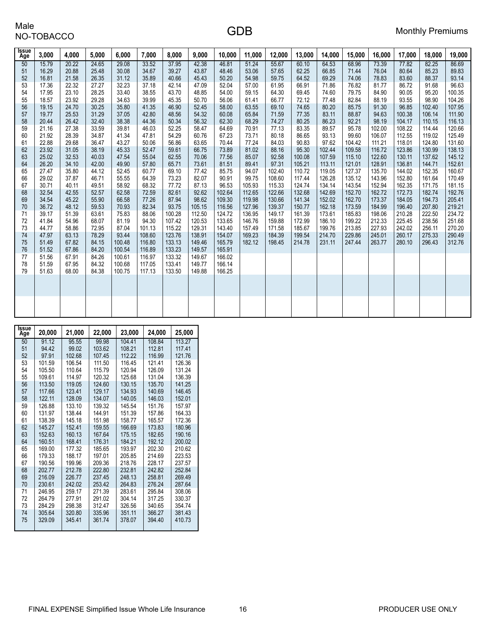| Male       |
|------------|
| NO-TOBACCO |

| Issue<br>Age | 3,000 | 4,000 | 5,000 | 6,000  | 7,000  | 8,000  | 9,000  | 10,000 | 11,000 | 12,000 | 13,000 | 14,000 | 15,000 | 16,000 | 17,000 | 18,000 | 19,000 |
|--------------|-------|-------|-------|--------|--------|--------|--------|--------|--------|--------|--------|--------|--------|--------|--------|--------|--------|
| 50           | 15.79 | 20.22 | 24.65 | 29.08  | 33.52  | 37.95  | 42.38  | 46.81  | 51.24  | 55.67  | 60.10  | 64.53  | 68.96  | 73.39  | 77.82  | 82.25  | 86.69  |
| 51           | 16.29 | 20.88 | 25.48 | 30.08  | 34.67  | 39.27  | 43.87  | 48.46  | 53.06  | 57.65  | 62.25  | 66.85  | 71.44  | 76.04  | 80.64  | 85.23  | 89.83  |
| 52           | 16.81 | 21.58 | 26.35 | 31.12  | 35.89  | 40.66  | 45.43  | 50.20  | 54.98  | 59.75  | 64.52  | 69.29  | 74.06  | 78.83  | 83.60  | 88.37  | 93.14  |
| 53           | 17.36 | 22.32 | 27.27 | 32.23  | 37.18  | 42.14  | 47.09  | 52.04  | 57.00  | 61.95  | 66.91  | 71.86  | 76.82  | 81.77  | 86.72  | 91.68  | 96.63  |
| 54           | 17.95 | 23.10 | 28.25 | 33.40  | 38.55  | 43.70  | 48.85  | 54.00  | 59.15  | 64.30  | 69.45  | 74.60  | 79.75  | 84.90  | 90.05  | 95.20  | 100.35 |
| 55           | 18.57 | 23.92 | 29.28 | 34.63  | 39.99  | 45.35  | 50.70  | 56.06  | 61.41  | 66.77  | 72.12  | 77.48  | 82.84  | 88.19  | 93.55  | 98.90  | 104.26 |
| 56           | 19.15 | 24.70 | 30.25 | 35.80  | 41.35  | 46.90  | 52.45  | 58.00  | 63.55  | 69.10  | 74.65  | 80.20  | 85.75  | 91.30  | 96.85  | 102.40 | 107.95 |
| 57           | 19.77 | 25.53 | 31.29 | 37.05  | 42.80  | 48.56  | 54.32  | 60.08  | 65.84  | 71.59  | 77.35  | 83.11  | 88.87  | 94.63  | 100.38 | 106.14 | 111.90 |
| 58           | 20.44 | 26.42 | 32.40 | 38.38  | 44.36  | 50.34  | 56.32  | 62.30  | 68.29  | 74.27  | 80.25  | 86.23  | 92.21  | 98.19  | 104.17 | 110.15 | 116.13 |
| 59           | 21.16 | 27.38 | 33.59 | 39.81  | 46.03  | 52.25  | 58.47  | 64.69  | 70.91  | 77.13  | 83.35  | 89.57  | 95.78  | 102.00 | 108.22 | 114.44 | 120.66 |
| 60           | 21.92 | 28.39 | 34.87 | 41.34  | 47.81  | 54.29  | 60.76  | 67.23  | 73.71  | 80.18  | 86.65  | 93.13  | 99.60  | 106.07 | 112.55 | 119.02 | 125.49 |
| 61           | 22.88 | 29.68 | 36.47 | 43.27  | 50.06  | 56.86  | 63.65  | 70.44  | 77.24  | 84.03  | 90.83  | 97.62  | 104.42 | 111.21 | 118.01 | 124.80 | 131.60 |
| 62           | 23.92 | 31.05 | 38.19 | 45.33  | 52.47  | 59.61  | 66.75  | 73.89  | 81.02  | 88.16  | 95.30  | 102.44 | 109.58 | 116.72 | 123.86 | 130.99 | 138.13 |
| 63           | 25.02 | 32.53 | 40.03 | 47.54  | 55.04  | 62.55  | 70.06  | 77.56  | 85.07  | 92.58  | 100.08 | 107.59 | 115.10 | 122.60 | 130.11 | 137.62 | 145.12 |
| 64           | 26.20 | 34.10 | 42.00 | 49.90  | 57.80  | 65.71  | 73.61  | 81.51  | 89.41  | 97.31  | 105.21 | 113.11 | 121.01 | 128.91 | 136.81 | 144.71 | 152.61 |
| 65           | 27.47 | 35.80 | 44.12 | 52.45  | 60.77  | 69.10  | 77.42  | 85.75  | 94.07  | 102.40 | 110.72 | 119.05 | 127.37 | 135.70 | 144.02 | 152.35 | 160.67 |
| 66           | 29.02 | 37.87 | 46.71 | 55.55  | 64.39  | 73.23  | 82.07  | 90.91  | 99.75  | 108.60 | 117.44 | 126.28 | 135.12 | 143.96 | 152.80 | 161.64 | 170.49 |
| 67           | 30.71 | 40.11 | 49.51 | 58.92  | 68.32  | 77.72  | 87.13  | 96.53  | 105.93 | 115.33 | 124.74 | 134.14 | 143.54 | 152.94 | 162.35 | 171.75 | 181.15 |
| 68           | 32.54 | 42.55 | 52.57 | 62.58  | 72.59  | 82.61  | 92.62  | 102.64 | 112.65 | 122.66 | 132.68 | 142.69 | 152.70 | 162.72 | 172.73 | 182.74 | 192.76 |
| 69           | 34.54 | 45.22 | 55.90 | 66.58  | 77.26  | 87.94  | 98.62  | 109.30 | 119.98 | 130.66 | 141.34 | 152.02 | 162.70 | 173.37 | 184.05 | 194.73 | 205.41 |
| 70           | 36.72 | 48.12 | 59.53 | 70.93  | 82.34  | 93.75  | 105.15 | 116.56 | 127.96 | 139.37 | 150.77 | 162.18 | 173.59 | 184.99 | 196.40 | 207.80 | 219.21 |
| 71           | 39.17 | 51.39 | 63.61 | 75.83  | 88.06  | 100.28 | 112.50 | 124.72 | 136.95 | 149.17 | 161.39 | 173.61 | 185.83 | 198.06 | 210.28 | 222.50 | 234.72 |
| 72           | 41.84 | 54.96 | 68.07 | 81.19  | 94.30  | 107.42 | 120.53 | 133.65 | 146.76 | 159.88 | 172.99 | 186.10 | 199.22 | 212.33 | 225.45 | 238.56 | 251.68 |
| 73           | 44.77 | 58.86 | 72.95 | 87.04  | 101.13 | 115.22 | 129.31 | 143.40 | 157.49 | 171.58 | 185.67 | 199.76 | 213.85 | 227.93 | 242.02 | 256.11 | 270.20 |
| 74           | 47.97 | 63.13 | 78.29 | 93.44  | 108.60 | 123.76 | 138.91 | 154.07 | 169.23 | 184.39 | 199.54 | 214.70 | 229.86 | 245.01 | 260.17 | 275.33 | 290.49 |
| 75           | 51.49 | 67.82 | 84.15 | 100.48 | 116.80 | 133.13 | 149.46 | 165.79 | 182.12 | 198.45 | 214.78 | 231.11 | 247.44 | 263.77 | 280.10 | 296.43 | 312.76 |
| 76           | 51.52 | 67.86 | 84.20 | 100.54 | 116.89 | 133.23 | 149.57 | 165.91 |        |        |        |        |        |        |        |        |        |
| 77           | 51.56 | 67.91 | 84.26 | 100.61 | 116.97 | 133.32 | 149.67 | 166.02 |        |        |        |        |        |        |        |        |        |
| 78           | 51.59 | 67.95 | 84.32 | 100.68 | 117.05 | 133.41 | 149.77 | 166.14 |        |        |        |        |        |        |        |        |        |
| 79           | 51.63 | 68.00 | 84.38 | 100.75 | 117.13 | 133.50 | 149.88 | 166.25 |        |        |        |        |        |        |        |        |        |
|              |       |       |       |        |        |        |        |        |        |        |        |        |        |        |        |        |        |
|              |       |       |       |        |        |        |        |        |        |        |        |        |        |        |        |        |        |
|              |       |       |       |        |        |        |        |        |        |        |        |        |        |        |        |        |        |
|              |       |       |       |        |        |        |        |        |        |        |        |        |        |        |        |        |        |
|              |       |       |       |        |        |        |        |        |        |        |        |        |        |        |        |        |        |
|              |       |       |       |        |        |        |        |        |        |        |        |        |        |        |        |        |        |

| Issue<br>Age | 20,000 | 21,000 | 22,000 | 23,000 | 24,000 | 25,000 |
|--------------|--------|--------|--------|--------|--------|--------|
| 50           | 91.12  | 95.55  | 99.98  | 104.41 | 108.84 | 113.27 |
| 51           | 94.42  | 99.02  | 103.62 | 108.21 | 112.81 | 117.41 |
| 52           | 97.91  | 102.68 | 107.45 | 112.22 | 116.99 | 121.76 |
| 53           | 101.59 | 106.54 | 111.50 | 116.45 | 121.41 | 126.36 |
| 54           | 105.50 | 110.64 | 115.79 | 120.94 | 126.09 | 131.24 |
| 55           | 109.61 | 114.97 | 120.32 | 125.68 | 131.04 | 136.39 |
| 56           | 113.50 | 119.05 | 124.60 | 130.15 | 135.70 | 141.25 |
| 57           | 117.66 | 123.41 | 129.17 | 134.93 | 140.69 | 146.45 |
| 58           | 122.11 | 128.09 | 134.07 | 140.05 | 146.03 | 152.01 |
| 59           | 126.88 | 133.10 | 139.32 | 145.54 | 151.76 | 157.97 |
| 60           | 131.97 | 138.44 | 144.91 | 151.39 | 157.86 | 164.33 |
| 61           | 138.39 | 145.18 | 151.98 | 158.77 | 165.57 | 172.36 |
| 62           | 145.27 | 152.41 | 159.55 | 166.69 | 173.83 | 180.96 |
| 63           | 152.63 | 160.13 | 167.64 | 175.15 | 182.65 | 190.16 |
| 64           | 160.51 | 168.41 | 176.31 | 184.21 | 192.12 | 200.02 |
| 65           | 169.00 | 177.32 | 185.65 | 193.97 | 202.30 | 210.62 |
| 66           | 179.33 | 188.17 | 197.01 | 205.85 | 214.69 | 223.53 |
| 67           | 190.56 | 199.96 | 209.36 | 218.76 | 228.17 | 237.57 |
| 68           | 202.77 | 212.78 | 222.80 | 232.81 | 242.82 | 252.84 |
| 69           | 216.09 | 226.77 | 237.45 | 248.13 | 258.81 | 269.49 |
| 70           | 230.61 | 242.02 | 253.42 | 264.83 | 276.24 | 287.64 |
| 71           | 246.95 | 259.17 | 271.39 | 283.61 | 295.84 | 308.06 |
| 72           | 264.79 | 277.91 | 291.02 | 304.14 | 317.25 | 330.37 |
| 73           | 284.29 | 298.38 | 312.47 | 326.56 | 340.65 | 354.74 |
| 74           | 305.64 | 320.80 | 335.96 | 351.11 | 366.27 | 381.43 |
| 75           | 329.09 | 345.41 | 361.74 | 378.07 | 394.40 | 410.73 |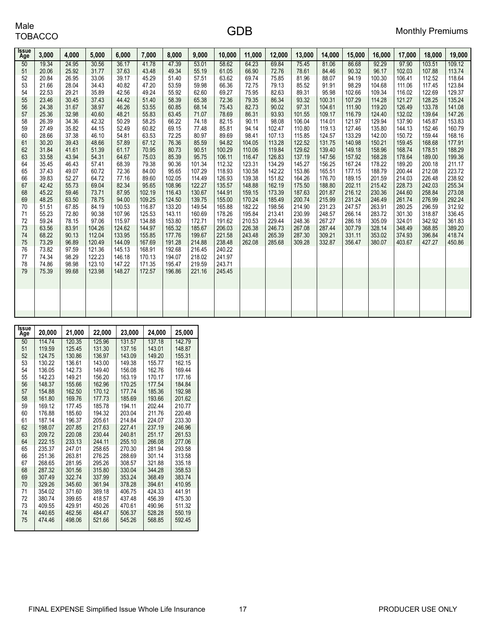| <b>Issue</b><br>Age | 3,000 | 4,000 | 5,000  | 6,000  | 7,000  | 8,000  | 9,000  | 10,000 | 11,000 | 12,000 | 13,000 | 14,000 | 15,000 | 16,000 | 17,000 | 18,000 | 19,000 |
|---------------------|-------|-------|--------|--------|--------|--------|--------|--------|--------|--------|--------|--------|--------|--------|--------|--------|--------|
| 50                  | 19.34 | 24.95 | 30.56  | 36.17  | 41.78  | 47.39  | 53.01  | 58.62  | 64.23  | 69.84  | 75.45  | 81.06  | 86.68  | 92.29  | 97.90  | 103.51 | 109.12 |
| 51                  | 20.06 | 25.92 | 31.77  | 37.63  | 43.48  | 49.34  | 55.19  | 61.05  | 66.90  | 72.76  | 78.61  | 84.46  | 90.32  | 96.17  | 102.03 | 107.88 | 113.74 |
| 52                  | 20.84 | 26.95 | 33.06  | 39.17  | 45.29  | 51.40  | 57.51  | 63.62  | 69.74  | 75.85  | 81.96  | 88.07  | 94.19  | 100.30 | 106.41 | 112.52 | 118.64 |
| 53                  | 21.66 | 28.04 | 34.43  | 40.82  | 47.20  | 53.59  | 59.98  | 66.36  | 72.75  | 79.13  | 85.52  | 91.91  | 98.29  | 104.68 | 111.06 | 117.45 | 123.84 |
| 54                  | 22.53 | 29.21 | 35.89  | 42.56  | 49.24  | 55.92  | 62.60  | 69.27  | 75.95  | 82.63  | 89.31  | 95.98  | 102.66 | 109.34 | 116.02 | 122.69 | 129.37 |
| 55                  | 23.46 | 30.45 | 37.43  | 44.42  | 51.40  | 58.39  | 65.38  | 72.36  | 79.35  | 86.34  | 93.32  | 100.31 | 107.29 | 114.28 | 121.27 | 128.25 | 135.24 |
| 56                  | 24.38 | 31.67 | 38.97  | 46.26  | 53.55  | 60.85  | 68.14  | 75.43  | 82.73  | 90.02  | 97.31  | 104.61 | 111.90 | 119.20 | 126.49 | 133.78 | 141.08 |
| 57                  | 25.36 | 32.98 | 40.60  | 48.21  | 55.83  | 63.45  | 71.07  | 78.69  | 86.31  | 93.93  | 101.55 | 109.17 | 116.79 | 124.40 | 132.02 | 139.64 | 147.26 |
| 58                  | 26.39 | 34.36 | 42.32  | 50.29  | 58.25  | 66.22  | 74.18  | 82.15  | 90.11  | 98.08  | 106.04 | 114.01 | 121.97 | 129.94 | 137.90 | 145.87 | 153.83 |
| 59                  | 27.49 | 35.82 | 44.15  | 52.49  | 60.82  | 69.15  | 77.48  | 85.81  | 94.14  | 102.47 | 110.80 | 119.13 | 127.46 | 135.80 | 144.13 | 152.46 | 160.79 |
| 60                  | 28.66 | 37.38 | 46.10  | 54.81  | 63.53  | 72.25  | 80.97  | 89.69  | 98.41  | 107.13 | 115.85 | 124.57 | 133.29 | 142.00 | 150.72 | 159.44 | 168.16 |
| 61                  | 30.20 | 39.43 | 48.66  | 57.89  | 67.12  | 76.36  | 85.59  | 94.82  | 104.05 | 113.28 | 122.52 | 131.75 | 140.98 | 150.21 | 159.45 | 168.68 | 177.91 |
| 62                  | 31.84 | 41.61 | 51.39  | 61.17  | 70.95  | 80.73  | 90.51  | 100.29 | 110.06 | 119.84 | 129.62 | 139.40 | 149.18 | 158.96 | 168.74 | 178.51 | 188.29 |
| 63                  | 33.58 | 43.94 | 54.31  | 64.67  | 75.03  | 85.39  | 95.75  | 106.11 | 116.47 | 126.83 | 137.19 | 147.56 | 157.92 | 168.28 | 178.64 | 189.00 | 199.36 |
| 64                  | 35.45 | 46.43 | 57.41  | 68.39  | 79.38  | 90.36  | 101.34 | 112.32 | 123.31 | 134.29 | 145.27 | 156.25 | 167.24 | 178.22 | 189.20 | 200.18 | 211.17 |
| 65                  | 37.43 | 49.07 | 60.72  | 72.36  | 84.00  | 95.65  | 107.29 | 118.93 | 130.58 | 142.22 | 153.86 | 165.51 | 177.15 | 188.79 | 200.44 | 212.08 | 223.72 |
| 66                  | 39.83 | 52.27 | 64.72  | 77.16  | 89.60  | 102.05 | 114.49 | 126.93 | 139.38 | 151.82 | 164.26 | 176.70 | 189.15 | 201.59 | 214.03 | 226.48 | 238.92 |
| 67                  | 42.42 | 55.73 | 69.04  | 82.34  | 95.65  | 108.96 | 122.27 | 135.57 | 148.88 | 162.19 | 175.50 | 188.80 | 202.11 | 215.42 | 228.73 | 242.03 | 255.34 |
| 68                  | 45.22 | 59.46 | 73.71  | 87.95  | 102.19 | 116.43 | 130.67 | 144.91 | 159.15 | 173.39 | 187.63 | 201.87 | 216.12 | 230.36 | 244.60 | 258.84 | 273.08 |
| 69                  | 48.25 | 63.50 | 78.75  | 94.00  | 109.25 | 124.50 | 139.75 | 155.00 | 170.24 | 185.49 | 200.74 | 215.99 | 231.24 | 246.49 | 261.74 | 276.99 | 292.24 |
| 70                  | 51.51 | 67.85 | 84.19  | 100.53 | 116.87 | 133.20 | 149.54 | 165.88 | 182.22 | 198.56 | 214.90 | 231.23 | 247.57 | 263.91 | 280.25 | 296.59 | 312.92 |
| 71                  | 55.23 | 72.80 | 90.38  | 107.96 | 125.53 | 143.11 | 160.69 | 178.26 | 195.84 | 213.41 | 230.99 | 248.57 | 266.14 | 283.72 | 301.30 | 318.87 | 336.45 |
| 72                  | 59.24 | 78.15 | 97.06  | 115.97 | 134.88 | 153.80 | 172.71 | 191.62 | 210.53 | 229.44 | 248.36 | 267.27 | 286.18 | 305.09 | 324.01 | 342.92 | 361.83 |
| 73                  | 63.56 | 83.91 | 104.26 | 124.62 | 144.97 | 165.32 | 185.67 | 206.03 | 226.38 | 246.73 | 267.08 | 287.44 | 307.79 | 328.14 | 348.49 | 368.85 | 389.20 |
| 74                  | 68.22 | 90.13 | 112.04 | 133.95 | 155.85 | 177.76 | 199.67 | 221.58 | 243.48 | 265.39 | 287.30 | 309.21 | 331.11 | 353.02 | 374.93 | 396.84 | 418.74 |
| 75                  | 73.29 | 96.89 | 120.49 | 144.09 | 167.69 | 191.28 | 214.88 | 238.48 | 262.08 | 285.68 | 309.28 | 332.87 | 356.47 | 380.07 | 403.67 | 427.27 | 450.86 |
| 76                  | 73.82 | 97.59 | 121.36 | 145.13 | 168.91 | 192.68 | 216.45 | 240.22 |        |        |        |        |        |        |        |        |        |
| 77                  | 74.34 | 98.29 | 122.23 | 146.18 | 170.13 | 194.07 | 218.02 | 241.97 |        |        |        |        |        |        |        |        |        |
| 78                  | 74.86 | 98.98 | 123.10 | 147.22 | 171.35 | 195.47 | 219.59 | 243.71 |        |        |        |        |        |        |        |        |        |
| 79                  | 75.39 | 99.68 | 123.98 | 148.27 | 172.57 | 196.86 | 221.16 | 245.45 |        |        |        |        |        |        |        |        |        |
|                     |       |       |        |        |        |        |        |        |        |        |        |        |        |        |        |        |        |
|                     |       |       |        |        |        |        |        |        |        |        |        |        |        |        |        |        |        |
|                     |       |       |        |        |        |        |        |        |        |        |        |        |        |        |        |        |        |
|                     |       |       |        |        |        |        |        |        |        |        |        |        |        |        |        |        |        |
|                     |       |       |        |        |        |        |        |        |        |        |        |        |        |        |        |        |        |

| Issue<br>Age | 20,000 | 21,000 | 22,000 | 23,000 | 24,000 | 25,000 |
|--------------|--------|--------|--------|--------|--------|--------|
| 50           | 114 74 | 120.35 | 125.96 | 131.57 | 137.18 | 142.79 |
| 51           | 119.59 | 125.45 | 131.30 | 137.16 | 143.01 | 148.87 |
| 52           | 124.75 | 130.86 | 136.97 | 143.09 | 149.20 | 155.31 |
| 53           | 130.22 | 136.61 | 143.00 | 149.38 | 155.77 | 162.15 |
| 54           | 136.05 | 142.73 | 149.40 | 156.08 | 162.76 | 169.44 |
| 55           | 142.23 | 149.21 | 156.20 | 163.19 | 170.17 | 177.16 |
| 56           | 148.37 | 155.66 | 162.96 | 170.25 | 177.54 | 184.84 |
| 57           | 154.88 | 162.50 | 170.12 | 177.74 | 185.36 | 192.98 |
| 58           | 161.80 | 169.76 | 177.73 | 185.69 | 193.66 | 201.62 |
| 59           | 169.12 | 177.45 | 185.78 | 194.11 | 202.44 | 210.77 |
| 60           | 176.88 | 185.60 | 194.32 | 203.04 | 211.76 | 220.48 |
| 61           | 187.14 | 196.37 | 205.61 | 214.84 | 224.07 | 233.30 |
| 62           | 198.07 | 207.85 | 217.63 | 227.41 | 237.19 | 246.96 |
| 63           | 209 72 | 220.08 | 230.44 | 240.81 | 251.17 | 261.53 |
| 64           | 222.15 | 233.13 | 244.11 | 255.10 | 266.08 | 277.06 |
| 65           | 235.37 | 247.01 | 258.65 | 270.30 | 281.94 | 293.58 |
| 66           | 251.36 | 263.81 | 276.25 | 288.69 | 301.14 | 313.58 |
| 67           | 268.65 | 281.95 | 295.26 | 308.57 | 321.88 | 335.18 |
| 68           | 287.32 | 301.56 | 315.80 | 330.04 | 344.28 | 358.53 |
| 69           | 307.49 | 322.74 | 337.99 | 353.24 | 368.49 | 383.74 |
| 70           | 329.26 | 345.60 | 361.94 | 378.28 | 394.61 | 410.95 |
| 71           | 354.02 | 371.60 | 389.18 | 406.75 | 424.33 | 441.91 |
| 72           | 380.74 | 399.65 | 418.57 | 437.48 | 456.39 | 475.30 |
| 73           | 409.55 | 429.91 | 450.26 | 470.61 | 490.96 | 511.32 |
| 74           | 440.65 | 462.56 | 484.47 | 506.37 | 528.28 | 550.19 |
| 75           | 474.46 | 498.06 | 521.66 | 545.26 | 568.85 | 592.45 |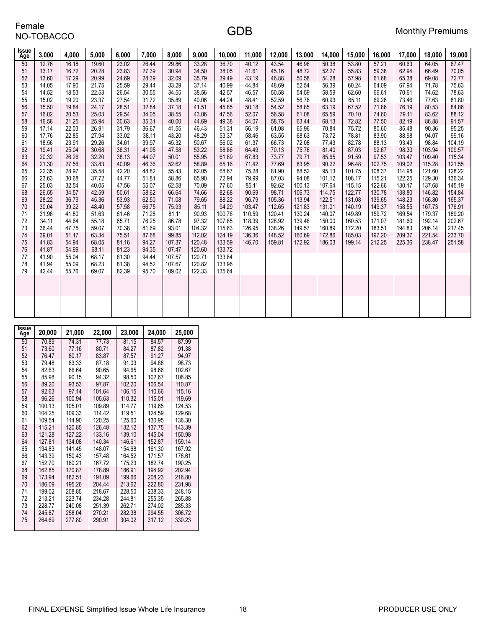| Female     |  |
|------------|--|
| NO-TOBACCO |  |

| Issue<br>Age | 3,000          | 4.000          | 5,000          | 6,000          | 7,000          | 8.000            | 9,000            | 10.000           | 11,000 | 12,000 | 13,000 | 14.000 | 15.000 | 16,000 | 17,000 | 18,000 | 19.000 |
|--------------|----------------|----------------|----------------|----------------|----------------|------------------|------------------|------------------|--------|--------|--------|--------|--------|--------|--------|--------|--------|
| 50           | 12.76          | 16.18          | 19.60          | 23.02          | 26.44          | 29.86            | 33.28            | 36.70            | 40.12  | 43.54  | 46.96  | 50.38  | 53.80  | 57.21  | 60.63  | 64.05  | 67.47  |
| 51           | 13.17          | 16.72          | 20.28          | 23.83          | 27.39          | 30.94            | 34.50            | 38.05            | 41.61  | 45.16  | 48.72  | 52.27  | 55.83  | 59.38  | 62.94  | 66.49  | 70.05  |
| 52           | 13.60          | 17.29          | 20.99          | 24.69          | 28.39          | 32.09            | 35.79            | 39.49            | 43.19  | 46.88  | 50.58  | 54.28  | 57.98  | 61.68  | 65.38  | 69.08  | 72.77  |
| 53           | 14.05          | 17.90          | 21.75          | 25.59          | 29.44          | 33.29            | 37.14            | 40.99            | 44.84  | 48.69  | 52.54  | 56.39  | 60.24  | 64.09  | 67.94  | 71.78  | 75.63  |
| 54           | 14.52          | 18.53          | 22.53          | 26.54          | 30.55          | 34.55            | 38.56            | 42.57            | 46.57  | 50.58  | 54.59  | 58.59  | 62.60  | 66.61  | 70.61  | 74.62  | 78.63  |
| 55           | 15.02          | 19.20          | 23.37          | 27.54          | 31.72          | 35.89            | 40.06            | 44.24            | 48.41  | 52.59  | 56.76  | 60.93  | 65.11  | 69.28  | 73.46  | 77.63  | 81.80  |
| 56           | 15.50          | 19.84          | 24.17          | 28.51          | 32.84          | 37.18            | 41.51            | 45.85            | 50.18  | 54.52  | 58.85  | 63.19  | 67.52  | 71.86  | 76.19  | 80.53  | 84.86  |
| 57           | 16.02          | 20.53          | 25.03          | 29.54          | 34.05          | 38.55            | 43.06            | 47.56            | 52.07  | 56.58  | 61.08  | 65.59  | 70.10  | 74.60  | 79.11  | 83.62  | 88.12  |
| 58           | 16.56          | 21.25          | 25.94          | 30.63          | 35.31          | 40.00            | 44.69            | 49.38            | 54.07  | 58.75  | 63.44  | 68.13  | 72.82  | 77.50  | 82.19  | 86.88  | 91.57  |
| 59           | 17.14          | 22.03          | 26.91          | 31.79          | 36.67          | 41.55            | 46.43            | 51.31            | 56.19  | 61.08  | 65.96  | 70.84  | 75.72  | 80.60  | 85.48  | 90.36  | 95.25  |
| 60           | 17.76          | 22.85          | 27.94          | 33.02          | 38.11          | 43.20            | 48.29            | 53.37            | 58.46  | 63.55  | 68.63  | 73.72  | 78.81  | 83.90  | 88.98  | 94.07  | 99.16  |
| 61           | 18.56          | 23.91          | 29.26          | 34.61          | 39.97          | 45.32            | 50.67            | 56.02            | 61.37  | 66.73  | 72.08  | 77.43  | 82.78  | 88.13  | 93.49  | 98.84  | 104.19 |
| 62           | 19.41          | 25.04          | 30.68          | 36.31          | 41.95          | 47.58            | 53.22            | 58.86            | 64.49  | 70.13  | 75.76  | 81.40  | 87.03  | 92.67  | 98.30  | 103.94 | 109.57 |
| 63           | 20.32          | 26.26          | 32.20          | 38.13          | 44.07          | 50.01            | 55.95            | 61.89            | 67.83  | 73.77  | 79.71  | 85.65  | 91.59  | 97.53  | 103.47 | 109.40 | 115.34 |
| 64           | 21.30          | 27.56          | 33.83          | 40.09          | 46.36          | 52.62            | 58.89            | 65.16            | 71.42  | 77.69  | 83.95  | 90.22  | 96.48  | 102.75 | 109.02 | 115.28 | 121.55 |
| 65           | 22.35          | 28.97          | 35.58          | 42.20          | 48.82          | 55.43            | 62.05            | 68.67            | 75.28  | 81.90  | 88.52  | 95.13  | 101.75 | 108.37 | 114.98 | 121.60 | 128.22 |
| 66           | 23.63          | 30.68          | 37.72          | 44.77          | 51.81          | 58.86            | 65.90            | 72.94            | 79.99  | 87.03  | 94.08  | 101.12 | 108.17 | 115.21 | 122.25 | 129.30 | 136.34 |
| 67           | 25.03          | 32.54          | 40.05          | 47.56          | 55.07          | 62.58            | 70.09            | 77.60            | 85.11  | 92.62  | 100.13 | 107.64 | 115.15 | 122.66 | 130.17 | 137.68 | 145.19 |
| 68           | 26.55          | 34.57          | 42.59          | 50.61          | 58.62          | 66.64            | 74.66            | 82.68            | 90.69  | 98.71  | 106.73 | 114.75 | 122.77 | 130.78 | 138.80 | 146.82 | 154.84 |
| 69           | 28.22          | 36.79          | 45.36          | 53.93          | 62.50          | 71.08            | 79.65            | 88.22            | 96.79  | 105.36 | 113.94 | 122.51 | 131.08 | 139.65 | 148.23 | 156.80 | 165.37 |
| 70           | 30.04          | 39.22          | 48.40          | 57.58          | 66.75          | 75.93            | 85.11            | 94.29            | 103.47 | 112.65 | 121.83 | 131.01 | 140.19 | 149.37 | 158.55 | 167.73 | 176.91 |
| 71           | 31.98          | 41.80          | 51.63          | 61.46          | 71.28          | 81.11            | 90.93            | 100.76           | 110.59 | 120.41 | 130.24 | 140.07 | 149.89 | 159.72 | 169.54 | 179.37 | 189.20 |
| 72           | 34.11          | 44.64          | 55.18          | 65.71          | 76.25          | 86.78            | 97.32            | 107.85           | 118.39 | 128.92 | 139.46 | 150.00 | 160.53 | 171.07 | 181.60 | 192.14 | 202.67 |
| 73           | 36.44          | 47.75          | 59.07          | 70.38          | 81.69          | 93.01            | 104.32           | 115.63           | 126.95 | 138.26 | 149.57 | 160.89 | 172.20 | 183.51 | 194.83 | 206.14 | 217.45 |
| 74           | 39.01          | 51.17          | 63.34          | 75.51          | 87.68          | 99.85            | 112.02           | 124.19           | 136.36 | 148.52 | 160.69 | 172.86 | 185.03 | 197.20 | 209.37 | 221.54 | 233.70 |
| 75           | 41.83          | 54.94          | 68.05          | 81.16          | 94.27          | 107.37           | 120.48           | 133.59           | 146.70 | 159.81 | 172.92 | 186.03 | 199.14 | 212.25 | 225.36 | 238.47 | 251.58 |
| 76           | 41.87<br>41.90 | 54.99          | 68.11<br>68.17 | 81.23<br>81.30 | 94.35<br>94.44 | 107.47<br>107.57 | 120.60<br>120.71 | 133.72<br>133.84 |        |        |        |        |        |        |        |        |        |
| 77<br>78     | 41.94          | 55.04<br>55.09 | 68.23          | 81.38          | 94.52          | 107.67           | 120.82           | 133.96           |        |        |        |        |        |        |        |        |        |
| 79           | 42.44          | 55.76          | 69.07          | 82.39          | 95.70          | 109.02           | 122.33           | 135.64           |        |        |        |        |        |        |        |        |        |
|              |                |                |                |                |                |                  |                  |                  |        |        |        |        |        |        |        |        |        |
|              |                |                |                |                |                |                  |                  |                  |        |        |        |        |        |        |        |        |        |
|              |                |                |                |                |                |                  |                  |                  |        |        |        |        |        |        |        |        |        |
|              |                |                |                |                |                |                  |                  |                  |        |        |        |        |        |        |        |        |        |
|              |                |                |                |                |                |                  |                  |                  |        |        |        |        |        |        |        |        |        |

| <b>Issue</b><br>Age | 20,000 | 21,000 | 22,000 | 23,000 | 24,000 | 25,000 |
|---------------------|--------|--------|--------|--------|--------|--------|
| 50                  | 70.89  | 74.31  | 77.73  | 81.15  | 84.57  | 87.99  |
| 51                  | 73.60  | 77.16  | 80.71  | 84.27  | 87.82  | 91.38  |
| 52                  | 76.47  | 80.17  | 83.87  | 87.57  | 91.27  | 94.97  |
| 53                  | 79.48  | 83.33  | 87.18  | 91.03  | 94.88  | 98.73  |
| 54                  | 82.63  | 86.64  | 90.65  | 94.65  | 98.66  | 102.67 |
| 55                  | 85.98  | 90.15  | 94.32  | 98.50  | 102.67 | 106.85 |
| 56                  | 89.20  | 93.53  | 97.87  | 102.20 | 106.54 | 110.87 |
| 57                  | 92.63  | 97.14  | 101.64 | 106.15 | 110.66 | 115.16 |
| 58                  | 96.26  | 100.94 | 105.63 | 110.32 | 115.01 | 119.69 |
| 59                  | 100.13 | 105.01 | 109.89 | 114.77 | 119.65 | 124.53 |
| 60                  | 104.25 | 109.33 | 114.42 | 119.51 | 124.59 | 129.68 |
| 61                  | 109.54 | 114.90 | 120.25 | 125.60 | 130.95 | 136.30 |
| 62                  | 115.21 | 120.85 | 126.48 | 132.12 | 137.75 | 143.39 |
| 63                  | 121.28 | 127.22 | 133.16 | 139.10 | 145.04 | 150.98 |
| 64                  | 127.81 | 134.08 | 140.34 | 146.61 | 152.87 | 159.14 |
| 65                  | 134.83 | 141.45 | 148.07 | 154.68 | 161.30 | 167.92 |
| 66                  | 143.39 | 150.43 | 157.48 | 164.52 | 171.57 | 178.61 |
| 67                  | 152.70 | 160.21 | 167.72 | 175.23 | 182.74 | 190.25 |
| 68                  | 162.85 | 170.87 | 178.89 | 186.91 | 194.92 | 202.94 |
| 69                  | 173.94 | 182.51 | 191.09 | 199.66 | 208.23 | 216.80 |
| 70                  | 186.09 | 195.26 | 204.44 | 213.62 | 222.80 | 231.98 |
| 71                  | 199.02 | 208.85 | 218.67 | 228.50 | 238.33 | 248.15 |
| 72                  | 213.21 | 223.74 | 234.28 | 244.81 | 255.35 | 265.88 |
| 73                  | 228.77 | 240.08 | 251.39 | 262.71 | 274.02 | 285.33 |
| 74                  | 245.87 | 258.04 | 270.21 | 282.38 | 294.55 | 306.72 |
| 75                  | 264.69 | 277.80 | 290.91 | 304.02 | 317.12 | 330.23 |
|                     |        |        |        |        |        |        |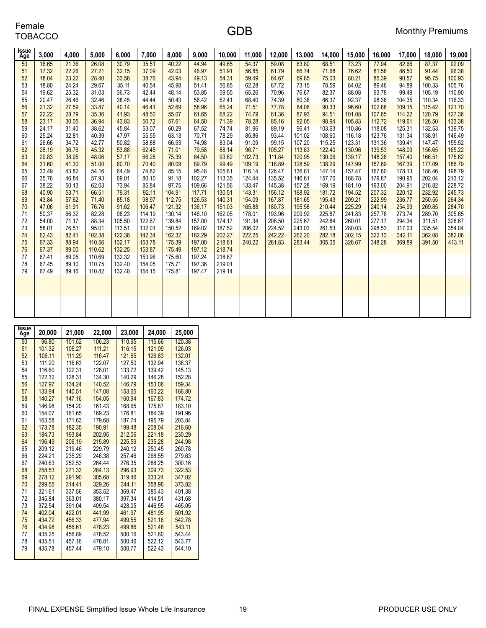|  | Female  |  |  |
|--|---------|--|--|
|  | TOBACCO |  |  |

| Issue<br>Age | 3,000 | 4,000 | 5,000  | 6,000  | 7,000  | 8,000  | 9,000  | 10,000 | 11,000 | 12,000 | 13,000 | 14,000 | 15,000 | 16,000 | 17,000 | 18,000 | 19,000 |
|--------------|-------|-------|--------|--------|--------|--------|--------|--------|--------|--------|--------|--------|--------|--------|--------|--------|--------|
| 50           | 16.65 | 21.36 | 26.08  | 30.79  | 35.51  | 40.22  | 44.94  | 49.65  | 54.37  | 59.08  | 63.80  | 68.51  | 73.23  | 77.94  | 82.66  | 87.37  | 92.09  |
| 51           | 17.32 | 22.26 | 27.21  | 32.15  | 37.09  | 42.03  | 46.97  | 51.91  | 56.85  | 61.79  | 66.74  | 71.68  | 76.62  | 81.56  | 86.50  | 91.44  | 96.38  |
| 52           | 18.04 | 23.22 | 28.40  | 33.58  | 38.76  | 43.94  | 49.13  | 54.31  | 59.49  | 64.67  | 69.85  | 75.03  | 80.21  | 85.39  | 90.57  | 95.75  | 100.93 |
| 53           | 18.80 | 24.24 | 29.67  | 35.11  | 40.54  | 45.98  | 51.41  | 56.85  | 62.28  | 67.72  | 73.15  | 78.59  | 84.02  | 89.46  | 94.89  | 100.33 | 105.76 |
| 54           | 19.62 | 25.32 | 31.03  | 36.73  | 42.44  | 48.14  | 53.85  | 59.55  | 65.26  | 70.96  | 76.67  | 82.37  | 88.08  | 93.78  | 99.49  | 105.19 | 110.90 |
| 55           | 20.47 | 26.46 | 32.46  | 38.45  | 44.44  | 50.43  | 56.42  | 62.41  | 68.40  | 74.39  | 80.38  | 86.37  | 92.37  | 98.36  | 104.35 | 110.34 | 116.33 |
| 56           | 21.32 | 27.59 | 33.87  | 40.14  | 46.41  | 52.69  | 58.96  | 65.24  | 71.51  | 77.78  | 84.06  | 90.33  | 96.60  | 102.88 | 109.15 | 115.42 | 121.70 |
| 57           | 22.22 | 28.79 | 35.36  | 41.93  | 48.50  | 55.07  | 61.65  | 68.22  | 74.79  | 81.36  | 87.93  | 94.51  | 101.08 | 107.65 | 114.22 | 120.79 | 127.36 |
| 58           | 23.17 | 30.05 | 36.94  | 43.83  | 50.72  | 57.61  | 64.50  | 71.39  | 78.28  | 85.16  | 92.05  | 98.94  | 105.83 | 112.72 | 119.61 | 126.50 | 133.38 |
| 59           | 24.17 | 31.40 | 38.62  | 45.84  | 53.07  | 60.29  | 67.52  | 74.74  | 81.96  | 89.19  | 96.41  | 103.63 | 110.86 | 118.08 | 125.31 | 132.53 | 139.75 |
| 60           | 25.24 | 32.81 | 40.39  | 47.97  | 55.55  | 63.13  | 70.71  | 78.29  | 85.86  | 93.44  | 101.02 | 108.60 | 116.18 | 123.76 | 131.34 | 138.91 | 146.49 |
| 61           | 26.66 | 34.72 | 42.77  | 50.82  | 58.88  | 66.93  | 74.98  | 83.04  | 91.09  | 99.15  | 107.20 | 115.25 | 123.31 | 131.36 | 139.41 | 147.47 | 155.52 |
| 62           | 28.19 | 36.76 | 45.32  | 53.88  | 62.45  | 71.01  | 79.58  | 88.14  | 96.71  | 105.27 | 113.83 | 122.40 | 130.96 | 139.53 | 148.09 | 156.65 | 165.22 |
| 63           | 29.83 | 38.95 | 48.06  | 57.17  | 66.28  | 75.39  | 84.50  | 93.62  | 102.73 | 111.84 | 120.95 | 130.06 | 139.17 | 148.28 | 157.40 | 166.51 | 175.62 |
| 64           | 31.60 | 41.30 | 51.00  | 60.70  | 70.40  | 80.09  | 89.79  | 99.49  | 109.19 | 118.89 | 128.59 | 138.29 | 147.99 | 157.69 | 167.39 | 177.09 | 186.79 |
| 65           | 33.49 | 43.82 | 54.16  | 64.49  | 74.82  | 85.15  | 95.48  | 105.81 | 116.14 | 126.47 | 136.81 | 147.14 | 157.47 | 167.80 | 178.13 | 188.46 | 198.79 |
| 66           | 35.76 | 46.84 | 57.93  | 69.01  | 80.10  | 91.18  | 102.27 | 113.35 | 124.44 | 135.52 | 146.61 | 157.70 | 168.78 | 179.87 | 190.95 | 202.04 | 213.12 |
| 67           | 38.22 | 50.13 | 62.03  | 73.94  | 85.84  | 97.75  | 109.66 | 121.56 | 133.47 | 145.38 | 157.28 | 169.19 | 181.10 | 193.00 | 204.91 | 216.82 | 228.72 |
| 68           | 40.90 | 53.71 | 66.51  | 79.31  | 92.11  | 104.91 | 117.71 | 130.51 | 143.31 | 156.12 | 168.92 | 181.72 | 194.52 | 207.32 | 220.12 | 232.92 | 245.73 |
| 69           | 43.84 | 57.62 | 71.40  | 85.18  | 98.97  | 112.75 | 126.53 | 140.31 | 154.09 | 167.87 | 181.65 | 195.43 | 209.21 | 222.99 | 236.77 | 250.55 | 264.34 |
| 70           | 47.06 | 61.91 | 76.76  | 91.62  | 106.47 | 121.32 | 136.17 | 151.03 | 165.88 | 180.73 | 195.58 | 210.44 | 225.29 | 240.14 | 254.99 | 269.85 | 284.70 |
| 71           | 50.37 | 66.32 | 82.28  | 98.23  | 114.19 | 130.14 | 146.10 | 162.05 | 178.01 | 193.96 | 209.92 | 225.87 | 241.83 | 257.78 | 273.74 | 289.70 | 305.65 |
| 72           | 54.00 | 71.17 | 88.34  | 105.50 | 122.67 | 139.84 | 157.00 | 174.17 | 191.34 | 208.50 | 225.67 | 242.84 | 260.01 | 277.17 | 294.34 | 311.51 | 328.67 |
| 73           | 58.01 | 76.51 | 95.01  | 113.51 | 132.01 | 150.52 | 169.02 | 187.52 | 206.02 | 224.52 | 243.03 | 261.53 | 280.03 | 298.53 | 317.03 | 335.54 | 354.04 |
| 74           | 62.43 | 82.41 | 102.38 | 122.36 | 142.34 | 162.32 | 182.29 | 202.27 | 222.25 | 242.22 | 262.20 | 282.18 | 302.15 | 322.13 | 342.11 | 362.08 | 382.06 |
| 75           | 67.33 | 88.94 | 110.56 | 132.17 | 153.78 | 175.39 | 197.00 | 218.61 | 240.22 | 261.83 | 283.44 | 305.05 | 326.67 | 348.28 | 369.89 | 391.50 | 413.11 |
| 76           | 67.37 | 89.00 | 110.62 | 132.25 | 153.87 | 175.49 | 197.12 | 218.74 |        |        |        |        |        |        |        |        |        |
| 77           | 67.41 | 89.05 | 110.69 | 132.32 | 153.96 | 175.60 | 197.24 | 218.87 |        |        |        |        |        |        |        |        |        |
| 78           | 67.45 | 89.10 | 110.75 | 132.40 | 154.05 | 175.71 | 197.36 | 219.01 |        |        |        |        |        |        |        |        |        |
| 79           | 67.49 | 89.16 | 110.82 | 132.48 | 154.15 | 175.81 | 197.47 | 219.14 |        |        |        |        |        |        |        |        |        |
|              |       |       |        |        |        |        |        |        |        |        |        |        |        |        |        |        |        |
|              |       |       |        |        |        |        |        |        |        |        |        |        |        |        |        |        |        |
|              |       |       |        |        |        |        |        |        |        |        |        |        |        |        |        |        |        |
|              |       |       |        |        |        |        |        |        |        |        |        |        |        |        |        |        |        |
|              |       |       |        |        |        |        |        |        |        |        |        |        |        |        |        |        |        |
|              |       |       |        |        |        |        |        |        |        |        |        |        |        |        |        |        |        |

| <b>Issue</b><br>Age | 20,000           | 21,000           | 22,000           | 23,000           | 24,000           | 25,000           |
|---------------------|------------------|------------------|------------------|------------------|------------------|------------------|
| 50                  | 96.80            | 101.52           | 106.23           | 110.95           | 115.66           | 120.38           |
| 51                  | 101.32           | 106.27           | 111.21           | 116.15           | 121.09           | 126.03           |
| 52                  | 106.11           | 111.29           | 116.47           | 121.65           | 126.83           | 132.01           |
| 53                  | 111.20           | 116.63           | 122.07           | 127.50           | 132.94           | 138.37           |
| 54                  | 116.60           | 122.31           | 128.01           | 133.72           | 139.42           | 145.13           |
| 55                  | 122.32           | 128.31           | 134.30           | 140.29           | 146.28           | 152.28           |
| 56                  | 127.97           | 134.24           | 140.52           | 146.79           | 153.06           | 159.34           |
| 57                  | 133.94           | 140.51           | 147.08           | 153.65           | 160.22           | 166.80           |
| 58<br>59            | 140.27<br>146.98 | 147.16<br>154.20 | 154.05<br>161.43 | 160.94<br>168.65 | 167.83<br>175.87 | 174.72<br>183.10 |
| 60                  | 154.07           | 161.65           | 169.23           | 176.81           | 184.39           | 191.96           |
| 61                  | 163.58           | 171.63           | 179.68           | 187.74           | 195.79           | 203.84           |
| 62                  | 173.78           | 182.35           | 190.91           | 199.48           | 208.04           | 216.60           |
| 63                  | 184.73           | 193.84           | 202.95           | 212.06           | 221.18           | 230.29           |
| 64                  | 196.49           | 206.19           | 215.89           | 225.59           | 235.28           | 244.98           |
| 65                  | 209.12           | 219.46           | 229.79           | 240.12           | 250.45           | 260.78           |
| 66                  | 224.21           | 235.29           | 246.38           | 257.46           | 268.55           | 279.63           |
| 67                  | 240.63           | 252.53           | 264.44           | 276.35           | 288.25           | 300.16           |
| 68                  | 258.53           | 271.33           | 284.13           | 296.93           | 309.73           | 322.53           |
| 69                  | 278.12           | 291.90           | 305.68           | 319.46           | 333.24           | 347.02           |
| 70                  | 299.55           | 314.41           | 329.26           | 344.11           | 358.96           | 373.82           |
| 71                  | 321.61           | 337.56           | 353.52           | 369.47           | 385.43           | 401.38           |
| 72                  | 345.84           | 363.01           | 380.17           | 397.34           | 414.51           | 431.68           |
| 73                  | 372.54           | 391.04           | 409.54           | 428.05           | 446.55           | 465.05           |
| 74                  | 402.04           | 422.01           | 441.99           | 461.97           | 481.95           | 501.92           |
| 75<br>76            | 434.72<br>434.98 | 456.33<br>456.61 | 477.94<br>478.23 | 499.55<br>499.86 | 521.16<br>521.48 | 542.78<br>543.11 |
| 77                  | 435.25           | 456.89           | 478.52           | 500.16           | 521.80           | 543.44           |
| 78                  | 435.51           | 457.16           | 478.81           | 500.46           | 522.12           | 543.77           |
| 79                  | 435.78           | 457.44           | 479.10           | 500.77           | 522.43           | 544.10           |
|                     |                  |                  |                  |                  |                  |                  |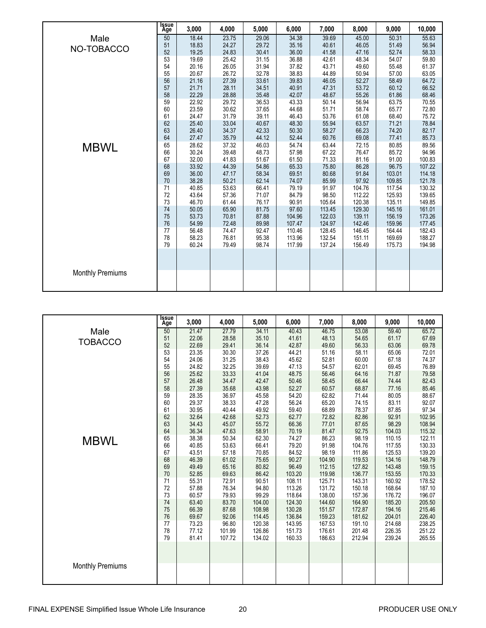|                         | Issue<br>Age | 3,000          | 4,000          | 5,000          | 6,000          | 7,000          | 8,000          | 9,000          | 10,000         |
|-------------------------|--------------|----------------|----------------|----------------|----------------|----------------|----------------|----------------|----------------|
| Male                    | 50           | 18.44          | 23.75          | 29.06          | 34.38          | 39.69          | 45.00          | 50.31          | 55.63          |
| NO-TOBACCO              | 51           | 18.83          | 24.27          | 29.72          | 35.16          | 40.61          | 46.05          | 51.49          | 56.94          |
|                         | 52           | 19.25          | 24.83          | 30.41          | 36.00          | 41.58          | 47.16          | 52.74          | 58.33          |
|                         | 53           | 19.69          | 25.42          | 31.15          | 36.88          | 42.61          | 48.34          | 54.07          | 59.80          |
|                         | 54           | 20.16          | 26.05          | 31.94          | 37.82          | 43.71          | 49.60          | 55.48          | 61.37          |
|                         | 55           | 20.67          | 26.72          | 32.78          | 38.83          | 44.89          | 50.94          | 57.00          | 63.05          |
|                         | 56           | 21.16          | 27.39          | 33.61          | 39.83          | 46.05          | 52.27          | 58.49          | 64.72          |
|                         | 57           | 21.71          | 28.11          | 34.51          | 40.91          | 47.31          | 53.72          | 60.12          | 66.52          |
|                         | 58           | 22.29          | 28.88          | 35.48          | 42.07          | 48.67          | 55.26          | 61.86          | 68.46          |
|                         | 59           | 22.92          | 29.72          | 36.53          | 43.33          | 50.14          | 56.94          | 63.75          | 70.55          |
|                         | 60           | 23.59          | 30.62          | 37.65          | 44.68          | 51.71          | 58.74          | 65.77          | 72.80          |
|                         | 61           | 24.47          | 31.79          | 39.11          | 46.43          | 53.76          | 61.08          | 68.40          | 75.72          |
|                         | 62<br>63     | 25.40<br>26.40 | 33.04<br>34.37 | 40.67<br>42.33 | 48.30          | 55.94<br>58.27 | 63.57<br>66.23 | 71.21<br>74.20 | 78.84<br>82.17 |
|                         | 64           | 27.47          | 35.79          | 44.12          | 50.30<br>52.44 | 60.76          | 69.08          | 77.41          | 85.73          |
|                         | 65           | 28.62          | 37.32          | 46.03          | 54.74          | 63.44          | 72.15          | 80.85          | 89.56          |
| <b>MBWL</b>             | 66           | 30.24          | 39.48          | 48.73          | 57.98          | 67.22          | 76.47          | 85.72          | 94.96          |
|                         | 67           | 32.00          | 41.83          | 51.67          | 61.50          | 71.33          | 81.16          | 91.00          | 100.83         |
|                         | 68           | 33.92          | 44.39          | 54.86          | 65.33          | 75.80          | 86.28          | 96.75          | 107.22         |
|                         | 69           | 36.00          | 47.17          | 58.34          | 69.51          | 80.68          | 91.84          | 103.01         | 114.18         |
|                         | 70           | 38.28          | 50.21          | 62.14          | 74.07          | 85.99          | 97.92          | 109.85         | 121.78         |
|                         | 71           | 40.85          | 53.63          | 66.41          | 79.19          | 91.97          | 104.76         | 117.54         | 130.32         |
|                         | 72           | 43.64          | 57.36          | 71.07          | 84.79          | 98.50          | 112.22         | 125.93         | 139.65         |
|                         | 73           | 46.70          | 61.44          | 76.17          | 90.91          | 105.64         | 120.38         | 135.11         | 149.85         |
|                         | 74           | 50.05          | 65.90          | 81.75          | 97.60          | 113.45         | 129.30         | 145.16         | 161.01         |
|                         | 75           | 53.73          | 70.81          | 87.88          | 104.96         | 122.03         | 139.11         | 156.19         | 173.26         |
|                         | 76           | 54.99          | 72.48          | 89.98          | 107.47         | 124.97         | 142.46         | 159.96         | 177.45         |
|                         | 77           | 56.48          | 74.47          | 92.47          | 110.46         | 128.45         | 146.45         | 164.44         | 182.43         |
|                         | 78           | 58.23          | 76.81          | 95.38          | 113.96         | 132.54         | 151.11         | 169.69         | 188.27         |
|                         | 79           | 60.24          | 79.49          | 98.74          | 117.99         | 137.24         | 156.49         | 175.73         | 194.98         |
|                         |              |                |                |                |                |                |                |                |                |
|                         |              |                |                |                |                |                |                |                |                |
| <b>Monthly Premiums</b> |              |                |                |                |                |                |                |                |                |
|                         |              |                |                |                |                |                |                |                |                |
|                         |              |                |                |                |                |                |                |                |                |

|                         | Issue<br>Age | 3,000 | 4,000  | 5,000  | 6,000  | 7,000  | 8,000  | 9,000  | 10,000 |
|-------------------------|--------------|-------|--------|--------|--------|--------|--------|--------|--------|
| Male                    | 50           | 21.47 | 27.79  | 34.11  | 40.43  | 46.75  | 53.08  | 59.40  | 65.72  |
| <b>TOBACCO</b>          | 51           | 22.06 | 28.58  | 35.10  | 41.61  | 48.13  | 54.65  | 61.17  | 67.69  |
|                         | 52           | 22.69 | 29.41  | 36.14  | 42.87  | 49.60  | 56.33  | 63.06  | 69.78  |
|                         | 53           | 23.35 | 30.30  | 37.26  | 44.21  | 51.16  | 58.11  | 65.06  | 72.01  |
|                         | 54           | 24.06 | 31.25  | 38.43  | 45.62  | 52.81  | 60.00  | 67.18  | 74.37  |
|                         | 55           | 24.82 | 32.25  | 39.69  | 47.13  | 54.57  | 62.01  | 69.45  | 76.89  |
|                         | 56           | 25.62 | 33.33  | 41.04  | 48.75  | 56.46  | 64.16  | 71.87  | 79.58  |
|                         | 57           | 26.48 | 34.47  | 42.47  | 50.46  | 58.45  | 66.44  | 74.44  | 82.43  |
|                         | 58           | 27.39 | 35.68  | 43.98  | 52.27  | 60.57  | 68.87  | 77.16  | 85.46  |
|                         | 59           | 28.35 | 36.97  | 45.58  | 54.20  | 62.82  | 71.44  | 80.05  | 88.67  |
|                         | 60           | 29.37 | 38.33  | 47.28  | 56.24  | 65.20  | 74.15  | 83.11  | 92.07  |
|                         | 61           | 30.95 | 40.44  | 49.92  | 59.40  | 68.89  | 78.37  | 87.85  | 97.34  |
|                         | 62           | 32.64 | 42.68  | 52.73  | 62.77  | 72.82  | 82.86  | 92.91  | 102.95 |
|                         | 63           | 34.43 | 45.07  | 55.72  | 66.36  | 77.01  | 87.65  | 98.29  | 108.94 |
|                         | 64           | 36.34 | 47.63  | 58.91  | 70.19  | 81.47  | 92.75  | 104.03 | 115.32 |
| <b>MBWL</b>             | 65           | 38.38 | 50.34  | 62.30  | 74.27  | 86.23  | 98.19  | 110.15 | 122.11 |
|                         | 66           | 40.85 | 53.63  | 66.41  | 79.20  | 91.98  | 104.76 | 117.55 | 130.33 |
|                         | 67           | 43.51 | 57.18  | 70.85  | 84.52  | 98.19  | 111.86 | 125.53 | 139.20 |
|                         | 68           | 46.39 | 61.02  | 75.65  | 90.27  | 104.90 | 119.53 | 134.16 | 148.79 |
|                         | 69           | 49.49 | 65.16  | 80.82  | 96.49  | 112.15 | 127.82 | 143.48 | 159.15 |
|                         | 70           | 52.85 | 69.63  | 86.42  | 103.20 | 119.98 | 136.77 | 153.55 | 170.33 |
|                         | 71           | 55.31 | 72.91  | 90.51  | 108.11 | 125.71 | 143.31 | 160.92 | 178.52 |
|                         | 72           | 57.88 | 76.34  | 94.80  | 113.26 | 131.72 | 150.18 | 168.64 | 187.10 |
|                         | 73           | 60.57 | 79.93  | 99.29  | 118.64 | 138.00 | 157.36 | 176.72 | 196.07 |
|                         | 74           | 63.40 | 83.70  | 104.00 | 124.30 | 144.60 | 164.90 | 185.20 | 205.50 |
|                         | 75           | 66.39 | 87.68  | 108.98 | 130.28 | 151.57 | 172.87 | 194.16 | 215.46 |
|                         | 76           | 69.67 | 92.06  | 114.45 | 136.84 | 159.23 | 181.62 | 204.01 | 226.40 |
|                         | 77           | 73.23 | 96.80  | 120.38 | 143.95 | 167.53 | 191.10 | 214.68 | 238.25 |
|                         | 78           | 77.12 | 101.99 | 126.86 | 151.73 | 176.61 | 201.48 | 226.35 | 251.22 |
|                         | 79           | 81.41 | 107.72 | 134.02 | 160.33 | 186.63 | 212.94 | 239.24 | 265.55 |
|                         |              |       |        |        |        |        |        |        |        |
|                         |              |       |        |        |        |        |        |        |        |
| <b>Monthly Premiums</b> |              |       |        |        |        |        |        |        |        |
|                         |              |       |        |        |        |        |        |        |        |
|                         |              |       |        |        |        |        |        |        |        |
|                         |              |       |        |        |        |        |        |        |        |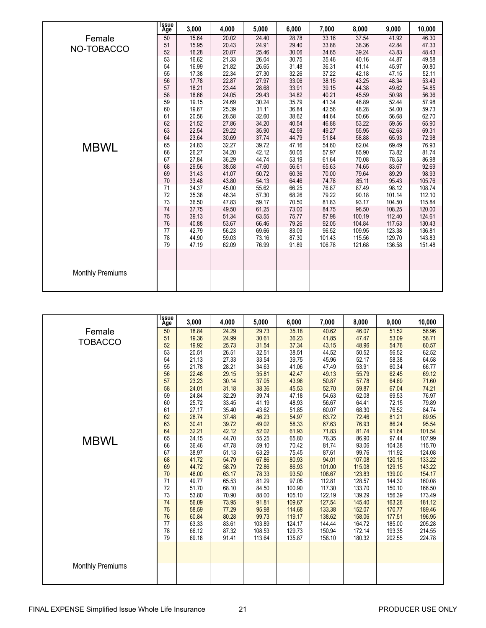|                         | Issue<br>Age | 3,000          | 4,000          | 5,000          | 6,000          | 7,000          | 8,000          | 9,000          | 10,000         |
|-------------------------|--------------|----------------|----------------|----------------|----------------|----------------|----------------|----------------|----------------|
| Female                  | 50           | 15.64          | 20.02          | 24.40          | 28.78          | 33.16          | 37.54          | 41.92          | 46.30          |
| NO-TOBACCO              | 51           | 15.95          | 20.43          | 24.91          | 29.40          | 33.88          | 38.36          | 42.84          | 47.33          |
|                         | 52           | 16.28          | 20.87          | 25.46          | 30.06          | 34.65          | 39.24          | 43.83          | 48.43          |
|                         | 53           | 16.62          | 21.33          | 26.04          | 30.75          | 35.46          | 40.16          | 44.87          | 49.58          |
|                         | 54           | 16.99          | 21.82          | 26.65          | 31.48          | 36.31          | 41.14          | 45.97          | 50.80          |
|                         | 55           | 17.38          | 22.34          | 27.30          | 32.26          | 37.22          | 42.18          | 47.15          | 52.11          |
|                         | 56           | 17.78          | 22.87          | 27.97          | 33.06          | 38.15          | 43.25          | 48.34          | 53.43          |
|                         | 57           | 18.21          | 23.44          | 28.68          | 33.91          | 39.15          | 44.38          | 49.62          | 54.85          |
|                         | 58           | 18.66          | 24.05          | 29.43          | 34.82          | 40.21          | 45.59          | 50.98          | 56.36          |
|                         | 59           | 19.15          | 24.69          | 30.24          | 35.79          | 41.34          | 46.89          | 52.44          | 57.98          |
|                         | 60           | 19.67          | 25.39          | 31.11          | 36.84          | 42.56          | 48.28          | 54.00          | 59.73          |
|                         | 61           | 20.56          | 26.58          | 32.60          | 38.62          | 44.64          | 50.66          | 56.68          | 62.70          |
|                         | 62           | 21.52          | 27.86          | 34.20          | 40.54          | 46.88          | 53.22          | 59.56          | 65.90          |
|                         | 63<br>64     | 22.54<br>23.64 | 29.22<br>30.69 | 35.90<br>37.74 | 42.59<br>44.79 | 49.27<br>51.84 | 55.95<br>58.88 | 62.63<br>65.93 | 69.31<br>72.98 |
|                         | 65           | 24.83          | 32.27          | 39.72          | 47.16          | 54.60          | 62.04          | 69.49          | 76.93          |
| <b>MBWL</b>             | 66           | 26.27          | 34.20          | 42.12          | 50.05          | 57.97          | 65.90          | 73.82          | 81.74          |
|                         | 67           | 27.84          | 36.29          | 44.74          | 53.19          | 61.64          | 70.08          | 78.53          | 86.98          |
|                         | 68           | 29.56          | 38.58          | 47.60          | 56.61          | 65.63          | 74.65          | 83.67          | 92.69          |
|                         | 69           | 31.43          | 41.07          | 50.72          | 60.36          | 70.00          | 79.64          | 89.29          | 98.93          |
|                         | 70           | 33.48          | 43.80          | 54.13          | 64.46          | 74.78          | 85.11          | 95.43          | 105.76         |
|                         | 71           | 34.37          | 45.00          | 55.62          | 66.25          | 76.87          | 87.49          | 98.12          | 108.74         |
|                         | 72           | 35.38          | 46.34          | 57.30          | 68.26          | 79.22          | 90.18          | 101.14         | 112.10         |
|                         | 73           | 36.50          | 47.83          | 59.17          | 70.50          | 81.83          | 93.17          | 104.50         | 115.84         |
|                         | 74           | 37.75          | 49.50          | 61.25          | 73.00          | 84.75          | 96.50          | 108.25         | 120.00         |
|                         | 75           | 39.13          | 51.34          | 63.55          | 75.77          | 87.98          | 100.19         | 112.40         | 124.61         |
|                         | 76           | 40.88          | 53.67          | 66.46          | 79.26          | 92.05          | 104.84         | 117.63         | 130.43         |
|                         | 77           | 42.79          | 56.23          | 69.66          | 83.09          | 96.52          | 109.95         | 123.38         | 136.81         |
|                         | 78           | 44.90          | 59.03          | 73.16          | 87.30          | 101.43         | 115.56         | 129.70         | 143.83         |
|                         | 79           | 47.19          | 62.09          | 76.99          | 91.89          | 106.78         | 121.68         | 136.58         | 151.48         |
|                         |              |                |                |                |                |                |                |                |                |
|                         |              |                |                |                |                |                |                |                |                |
|                         |              |                |                |                |                |                |                |                |                |
| <b>Monthly Premiums</b> |              |                |                |                |                |                |                |                |                |
|                         |              |                |                |                |                |                |                |                |                |
|                         |              |                |                |                |                |                |                |                |                |

|                         | Issue<br>Age | 3,000          | 4,000          | 5,000           | 6,000            | 7,000            | 8,000            | 9,000            | 10,000           |
|-------------------------|--------------|----------------|----------------|-----------------|------------------|------------------|------------------|------------------|------------------|
| Female                  | 50           | 18.84          | 24.29          | 29.73           | 35.18            | 40.62            | 46.07            | 51.52            | 56.96            |
| <b>TOBACCO</b>          | 51           | 19.36          | 24.99          | 30.61           | 36.23            | 41.85            | 47.47            | 53.09            | 58.71            |
|                         | 52           | 19.92          | 25.73          | 31.54           | 37.34            | 43.15            | 48.96            | 54.76            | 60.57            |
|                         | 53           | 20.51          | 26.51          | 32.51           | 38.51            | 44.52            | 50.52            | 56.52            | 62.52            |
|                         | 54           | 21.13          | 27.33          | 33.54           | 39.75            | 45.96            | 52.17            | 58.38            | 64.58            |
|                         | 55           | 21.78          | 28.21          | 34.63           | 41.06            | 47.49            | 53.91            | 60.34            | 66.77            |
|                         | 56           | 22.48          | 29.15          | 35.81           | 42.47            | 49.13            | 55.79            | 62.45            | 69.12            |
|                         | 57           | 23.23          | 30.14          | 37.05           | 43.96            | 50.87            | 57.78            | 64.69            | 71.60            |
|                         | 58           | 24.01          | 31.18          | 38.36           | 45.53            | 52.70            | 59.87            | 67.04            | 74.21            |
|                         | 59           | 24.84          | 32.29          | 39.74           | 47.18            | 54.63            | 62.08            | 69.53            | 76.97            |
|                         | 60           | 25.72          | 33.45          | 41.19           | 48.93            | 56.67            | 64.41            | 72.15            | 79.89            |
|                         | 61           | 27.17          | 35.40          | 43.62           | 51.85            | 60.07            | 68.30            | 76.52            | 84.74            |
|                         | 62           | 28.74          | 37.48          | 46.23           | 54.97            | 63.72            | 72.46            | 81.21            | 89.95            |
|                         | 63           | 30.41          | 39.72          | 49.02           | 58.33            | 67.63            | 76.93            | 86.24            | 95.54            |
|                         | 64           | 32.21          | 42.12          | 52.02           | 61.93            | 71.83            | 81.74            | 91.64            | 101.54           |
| <b>MBWL</b>             | 65           | 34.15          | 44.70          | 55.25           | 65.80            | 76.35            | 86.90            | 97.44            | 107.99           |
|                         | 66           | 36.46          | 47.78          | 59.10           | 70.42            | 81.74            | 93.06            | 104.38           | 115.70           |
|                         | 67           | 38.97          | 51.13          | 63.29           | 75.45            | 87.61            | 99.76            | 111.92           | 124.08           |
|                         | 68           | 41.72          | 54.79          | 67.86           | 80.93            | 94.01            | 107.08           | 120.15           | 133.22           |
|                         | 69           | 44.72          | 58.79          | 72.86           | 86.93            | 101.00           | 115.08           | 129.15           | 143.22           |
|                         | 70           | 48.00          | 63.17          | 78.33           | 93.50            | 108.67           | 123.83           | 139.00           | 154.17           |
|                         | 71           | 49.77          | 65.53          | 81.29           | 97.05            | 112.81           | 128.57           | 144.32           | 160.08           |
|                         | 72           | 51.70          | 68.10          | 84.50           | 100.90           | 117.30           | 133.70           | 150.10           | 166.50           |
|                         | 73           | 53.80          | 70.90          | 88.00           | 105.10           | 122.19           | 139.29           | 156.39           | 173.49           |
|                         | 74           | 56.09          | 73.95          | 91.81           | 109.67           | 127.54           | 145.40           | 163.26           | 181.12           |
|                         | 75           | 58.59          | 77.29          | 95.98           | 114.68           | 133.38           | 152.07           | 170.77           | 189.46           |
|                         | 76<br>77     | 60.84<br>63.33 | 80.28<br>83.61 | 99.73<br>103.89 | 119.17<br>124.17 | 138.62<br>144.44 | 158.06<br>164.72 | 177.51<br>185.00 | 196.95<br>205.28 |
|                         | 78           | 66.12          |                | 108.53          |                  |                  |                  |                  |                  |
|                         | 79           | 69.18          | 87.32<br>91.41 | 113.64          | 129.73<br>135.87 | 150.94<br>158.10 | 172.14<br>180.32 | 193.35<br>202.55 | 214.55<br>224.78 |
|                         |              |                |                |                 |                  |                  |                  |                  |                  |
|                         |              |                |                |                 |                  |                  |                  |                  |                  |
|                         |              |                |                |                 |                  |                  |                  |                  |                  |
| <b>Monthly Premiums</b> |              |                |                |                 |                  |                  |                  |                  |                  |
|                         |              |                |                |                 |                  |                  |                  |                  |                  |
|                         |              |                |                |                 |                  |                  |                  |                  |                  |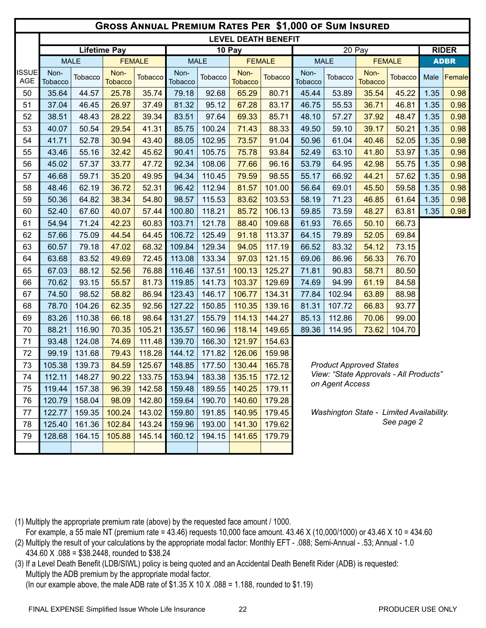|                     | <b>GROSS ANNUAL PREMIUM RATES PER \$1,000 OF SUM INSURED</b> |             |                        |                |                        |             |                            |                |                 |                                |                        |                                          |             |              |
|---------------------|--------------------------------------------------------------|-------------|------------------------|----------------|------------------------|-------------|----------------------------|----------------|-----------------|--------------------------------|------------------------|------------------------------------------|-------------|--------------|
|                     |                                                              |             |                        |                |                        |             | <b>LEVEL DEATH BENEFIT</b> |                |                 |                                |                        |                                          |             |              |
|                     |                                                              |             | <b>Lifetime Pay</b>    |                |                        |             | 10 Pay                     |                |                 |                                | $20$ Pay               |                                          |             | <b>RIDER</b> |
|                     |                                                              | <b>MALE</b> |                        | <b>FEMALE</b>  |                        | <b>MALE</b> |                            | <b>FEMALE</b>  |                 | <b>MALE</b>                    |                        | <b>FEMALE</b>                            | <b>ADBR</b> |              |
| <b>ISSUE</b><br>AGE | Non-<br><b>Tobacco</b>                                       | Tobacco     | Non-<br><b>Tobacco</b> | <b>Tobacco</b> | Non-<br><b>Tobacco</b> | Tobacco     | Non-<br><b>Tobacco</b>     | <b>Tobacco</b> | Non-<br>Tobacco | Tobacco                        | Non-<br><b>Tobacco</b> | <b>Tobacco</b>                           | Male        | Female       |
| 50                  | 35.64                                                        | 44.57       | 25.78                  | 35.74          | 79.18                  | 92.68       | 65.29                      | 80.71          | 45.44           | 53.89                          | 35.54                  | 45.22                                    | 1.35        | 0.98         |
| 51                  | 37.04                                                        | 46.45       | 26.97                  | 37.49          | 81.32                  | 95.12       | 67.28                      | 83.17          | 46.75           | 55.53                          | 36.71                  | 46.81                                    | 1.35        | 0.98         |
| 52                  | 38.51                                                        | 48.43       | 28.22                  | 39.34          | 83.51                  | 97.64       | 69.33                      | 85.71          | 48.10           | 57.27                          | 37.92                  | 48.47                                    | 1.35        | 0.98         |
| 53                  | 40.07                                                        | 50.54       | 29.54                  | 41.31          | 85.75                  | 100.24      | 71.43                      | 88.33          | 49.50           | 59.10                          | 39.17                  | 50.21                                    | 1.35        | 0.98         |
| 54                  | 41.71                                                        | 52.78       | 30.94                  | 43.40          | 88.05                  | 102.95      | 73.57                      | 91.04          | 50.96           | 61.04                          | 40.46                  | 52.05                                    | 1.35        | 0.98         |
| 55                  | 43.46                                                        | 55.16       | 32.42                  | 45.62          | 90.41                  | 105.75      | 75.78                      | 93.84          | 52.49           | 63.10                          | 41.80                  | 53.97                                    | 1.35        | 0.98         |
| 56                  | 45.02                                                        | 57.37       | 33.77                  | 47.72          | 92.34                  | 108.06      | 77.66                      | 96.16          | 53.79           | 64.95                          | 42.98                  | 55.75                                    | 1.35        | 0.98         |
| 57                  | 46.68                                                        | 59.71       | 35.20                  | 49.95          | 94.34                  | 110.45      | 79.59                      | 98.55          | 55.17           | 66.92                          | 44.21                  | 57.62                                    | 1.35        | 0.98         |
| 58                  | 48.46                                                        | 62.19       | 36.72                  | 52.31          | 96.42                  | 112.94      | 81.57                      | 101.00         | 56.64           | 69.01                          | 45.50                  | 59.58                                    | 1.35        | 0.98         |
| 59                  | 50.36                                                        | 64.82       | 38.34                  | 54.80          | 98.57                  | 115.53      | 83.62                      | 103.53         | 58.19           | 71.23                          | 46.85                  | 61.64                                    | 1.35        | 0.98         |
| 60                  | 52.40                                                        | 67.60       | 40.07                  | 57.44          | 100.80                 | 118.21      | 85.72                      | 106.13         | 59.85           | 73.59                          | 48.27                  | 63.81                                    | 1.35        | 0.98         |
| 61                  | 54.94                                                        | 71.24       | 42.23                  | 60.83          | 103.71                 | 121.78      | 88.40                      | 109.68         | 61.93           | 76.65                          | 50.10                  | 66.73                                    |             |              |
| 62                  | 57.66                                                        | 75.09       | 44.54                  | 64.45          | 106.72                 | 125.49      | 91.18                      | 113.37         | 64.15           | 79.89                          | 52.05                  | 69.84                                    |             |              |
| 63                  | 60.57                                                        | 79.18       | 47.02                  | 68.32          | 109.84                 | 129.34      | 94.05                      | 117.19         | 66.52           | 83.32                          | 54.12                  | 73.15                                    |             |              |
| 64                  | 63.68                                                        | 83.52       | 49.69                  | 72.45          | 113.08                 | 133.34      | 97.03                      | 121.15         | 69.06           | 86.96                          | 56.33                  | 76.70                                    |             |              |
| 65                  | 67.03                                                        | 88.12       | 52.56                  | 76.88          | 116.46                 | 137.51      | 100.13                     | 125.27         | 71.81           | 90.83                          | 58.71                  | 80.50                                    |             |              |
| 66                  | 70.62                                                        | 93.15       | 55.57                  | 81.73          | 119.85                 | 141.73      | 103.37                     | 129.69         | 74.69           | 94.99                          | 61.19                  | 84.58                                    |             |              |
| 67                  | 74.50                                                        | 98.52       | 58.82                  | 86.94          | 123.43                 | 146.17      | 106.77                     | 134.31         | 77.84           | 102.94                         | 63.89                  | 88.98                                    |             |              |
| 68                  | 78.70                                                        | 104.26      | 62.35                  | 92.56          | 127.22                 | 150.85      | 110.35                     | 139.16         | 81.31           | 107.72                         | 66.83                  | 93.77                                    |             |              |
| 69                  | 83.26                                                        | 110.38      | 66.18                  | 98.64          | 131.27                 | 155.79      | 114.13                     | 144.27         | 85.13           | 112.86                         | 70.06                  | 99.00                                    |             |              |
| 70                  | 88.21                                                        | 116.90      | 70.35                  | 105.21         | 135.57                 | 160.96      | 118.14                     | 149.65         | 89.36           | 114.95                         | 73.62                  | 104.70                                   |             |              |
| 71                  | 93.48                                                        | 124.08      | 74.69                  | 111.48         | 139.70                 | 166.30      | 121.97                     | 154.63         |                 |                                |                        |                                          |             |              |
| 72                  | 99.19                                                        | 131.68      | 79.43                  | 118.28         | 144.12                 | 171.82      | 126.06                     | 159.98         |                 |                                |                        |                                          |             |              |
| 73                  | 105.38                                                       | 139.73      | 84.59                  | 125.67         | 148.85                 | 177.50      | 130.44                     | 165.78         |                 | <b>Product Approved States</b> |                        |                                          |             |              |
| 74                  | 112.11                                                       | 148.27      | 90.22                  | 133.75         | 153.94                 | 183.38      | 135.15                     | 172.12         |                 | on Agent Access                |                        | View: "State Approvals - All Products"   |             |              |
| 75                  | 119.44                                                       | 157.38      | 96.39                  | 142.58         | 159.48                 | 189.55      | 140.25                     | 179.11         |                 |                                |                        |                                          |             |              |
| 76                  | 120.79                                                       | 158.04      | 98.09                  | 142.80         | 159.64                 | 190.70      | 140.60                     | 179.28         |                 |                                |                        |                                          |             |              |
| 77                  | 122.77                                                       | 159.35      | 100.24                 | 143.02         | 159.80                 | 191.85      | 140.95                     | 179.45         |                 |                                |                        | Washington State - Limited Availability. |             |              |
| 78                  | 125.40                                                       | 161.36      | 102.84                 | 143.24         | 159.96                 | 193.00      | 141.30                     | 179.62         |                 |                                |                        | See page 2                               |             |              |
| 79                  | 128.68                                                       | 164.15      | 105.88                 | 145.14         | 160.12                 | 194.15      | 141.65                     | 179.79         |                 |                                |                        |                                          |             |              |
|                     |                                                              |             |                        |                |                        |             |                            |                |                 |                                |                        |                                          |             |              |

(1) Multiply the appropriate premium rate (above) by the requested face amount / 1000.

- For example, a 55 male NT (premium rate = 43.46) requests 10,000 face amount. 43.46 X (10,000/1000) or 43.46 X 10 = 434.60 (2) Multiply the result of your calculations by the appropriate modal factor: Monthly EFT - .088; Semi-Annual - .53; Annual - 1.0
- 434.60 X .088 = \$38.2448, rounded to \$38.24

(3) If a Level Death Benefit (LDB/SIWL) policy is being quoted and an Accidental Death Benefit Rider (ADB) is requested: Multiply the ADB premium by the appropriate modal factor. (In our example above, the male ADB rate of  $$1.35 \times 10 \times .088 = 1.188$ , rounded to  $$1.19$ )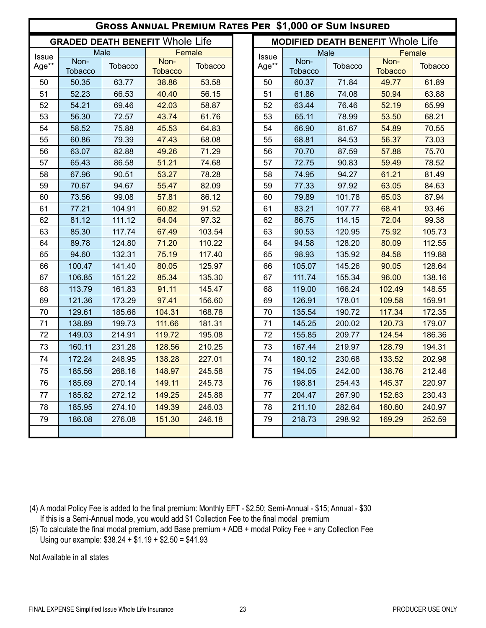#### **GROSS ANNUAL PREMIUM RATES PER \$1,000 OF SUM INSURED**

|              | <b>GRADED DEATH BENEFIT Whole Life</b> |         |                        |                |      |
|--------------|----------------------------------------|---------|------------------------|----------------|------|
| <b>Issue</b> |                                        | Male    |                        | Female         | Issu |
| Age**        | Non-<br><b>Tobacco</b>                 | Tobacco | Non-<br><b>Tobacco</b> | <b>Tobacco</b> | Age  |
| 50           | 50.35                                  | 63.77   | 38.86                  | 53.58          | 50   |
| 51           | 52.23                                  | 66.53   | 40.40                  | 56.15          | 51   |
| 52           | 54.21                                  | 69.46   | 42.03                  | 58.87          | 52   |
| 53           | 56.30                                  | 72.57   | 43.74                  | 61.76          | 53   |
| 54           | 58.52                                  | 75.88   | 45.53                  | 64.83          | 54   |
| 55           | 60.86                                  | 79.39   | 47.43                  | 68.08          | 55   |
| 56           | 63.07                                  | 82.88   | 49.26                  | 71.29          | 56   |
| 57           | 65.43                                  | 86.58   | 51.21                  | 74.68          | 57   |
| 58           | 67.96                                  | 90.51   | 53.27                  | 78.28          | 58   |
| 59           | 70.67                                  | 94.67   | 55.47                  | 82.09          | 59   |
| 60           | 73.56                                  | 99.08   | 57.81                  | 86.12          | 60   |
| 61           | 77.21                                  | 104.91  | 60.82                  | 91.52          | 61   |
| 62           | 81.12                                  | 111.12  | 64.04                  | 97.32          | 62   |
| 63           | 85.30                                  | 117.74  | 67.49                  | 103.54         | 63   |
| 64           | 89.78                                  | 124.80  | 71.20                  | 110.22         | 64   |
| 65           | 94.60                                  | 132.31  | 75.19                  | 117.40         | 65   |
| 66           | 100.47                                 | 141.40  | 80.05                  | 125.97         | 66   |
| 67           | 106.85                                 | 151.22  | 85.34                  | 135.30         | 67   |
| 68           | 113.79                                 | 161.83  | 91.11                  | 145.47         | 68   |
| 69           | 121.36                                 | 173.29  | 97.41                  | 156.60         | 69   |
| 70           | 129.61                                 | 185.66  | 104.31                 | 168.78         | 70   |
| 71           | 138.89                                 | 199.73  | 111.66                 | 181.31         | 71   |
| 72           | 149.03                                 | 214.91  | 119.72                 | 195.08         | 72   |
| 73           | 160.11                                 | 231.28  | 128.56                 | 210.25         | 73   |
| 74           | 172.24                                 | 248.95  | 138.28                 | 227.01         | 74   |
| 75           | 185.56                                 | 268.16  | 148.97                 | 245.58         | 75   |
| 76           | 185.69                                 | 270.14  | 149.11                 | 245.73         | 76   |
| 77           | 185.82                                 | 272.12  | 149.25                 | 245.88         | 77   |
| 78           | 185.95                                 | 274.10  | 149.39                 | 246.03         | 78   |
| 79           | 186.08                                 | 276.08  | 151.30                 | 246.18         | 79   |
|              |                                        |         |                        |                |      |

|       | <b>MODIFIED DEATH BENEFIT Whole Life</b> |         |                        |                |  |  |  |  |  |  |
|-------|------------------------------------------|---------|------------------------|----------------|--|--|--|--|--|--|
| Issue | Male                                     |         | Female                 |                |  |  |  |  |  |  |
| Age** | Non-<br><b>Tobacco</b>                   | Tobacco | Non-<br><b>Tobacco</b> | <b>Tobacco</b> |  |  |  |  |  |  |
| 50    | 60.37                                    | 71.84   | 49.77                  | 61.89          |  |  |  |  |  |  |
| 51    | 61.86                                    | 74.08   | 50.94                  | 63.88          |  |  |  |  |  |  |
| 52    | 63.44                                    | 76.46   | 52.19                  | 65.99          |  |  |  |  |  |  |
| 53    | 65.11                                    | 78.99   | 53.50                  | 68.21          |  |  |  |  |  |  |
| 54    | 66.90                                    | 81.67   | 54.89                  | 70.55          |  |  |  |  |  |  |
| 55    | 68.81                                    | 84.53   | 56.37                  | 73.03          |  |  |  |  |  |  |
| 56    | 70.70                                    | 87.59   | 57.88                  | 75.70          |  |  |  |  |  |  |
| 57    | 72.75                                    | 90.83   | 59.49                  | 78.52          |  |  |  |  |  |  |
| 58    | 74.95                                    | 94.27   | 61.21                  | 81.49          |  |  |  |  |  |  |
| 59    | 77.33                                    | 97.92   | 63.05                  | 84.63          |  |  |  |  |  |  |
| 60    | 79.89                                    | 101.78  | 65.03                  | 87.94          |  |  |  |  |  |  |
| 61    | 83.21                                    | 107.77  | 68.41                  | 93.46          |  |  |  |  |  |  |
| 62    | 86.75                                    | 114.15  | 72.04                  | 99.38          |  |  |  |  |  |  |
| 63    | 90.53                                    | 120.95  | 75.92                  | 105.73         |  |  |  |  |  |  |
| 64    | 94.58                                    | 128.20  | 80.09                  | 112.55         |  |  |  |  |  |  |
| 65    | 98.93                                    | 135.92  | 84.58                  | 119.88         |  |  |  |  |  |  |
| 66    | 105.07                                   | 145.26  | 90.05                  | 128.64         |  |  |  |  |  |  |
| 67    | 111.74                                   | 155.34  | 96.00                  | 138.16         |  |  |  |  |  |  |
| 68    | 119.00                                   | 166.24  | 102.49                 | 148.55         |  |  |  |  |  |  |
| 69    | 126.91                                   | 178.01  | 109.58                 | 159.91         |  |  |  |  |  |  |
| 70    | 135.54                                   | 190.72  | 117.34                 | 172.35         |  |  |  |  |  |  |
| 71    | 145.25                                   | 200.02  | 120.73                 | 179.07         |  |  |  |  |  |  |
| 72    | 155.85                                   | 209.77  | 124.54                 | 186.36         |  |  |  |  |  |  |
| 73    | 167.44                                   | 219.97  | 128.79                 | 194.31         |  |  |  |  |  |  |
| 74    | 180.12                                   | 230.68  | 133.52                 | 202.98         |  |  |  |  |  |  |
| 75    | 194.05                                   | 242.00  | 138.76                 | 212.46         |  |  |  |  |  |  |
| 76    | 198.81                                   | 254.43  | 145.37                 | 220.97         |  |  |  |  |  |  |
| 77    | 204.47                                   | 267.90  | 152.63                 | 230.43         |  |  |  |  |  |  |
| 78    | 211.10                                   | 282.64  | 160.60                 | 240.97         |  |  |  |  |  |  |
| 79    | 218.73                                   | 298.92  | 169.29                 | 252.59         |  |  |  |  |  |  |
|       |                                          |         |                        |                |  |  |  |  |  |  |

(4) A modal Policy Fee is added to the final premium: Monthly EFT - \$2.50; Semi-Annual - \$15; Annual - \$30 If this is a Semi-Annual mode, you would add \$1 Collection Fee to the final modal premium

(5) To calculate the final modal premium, add Base premium + ADB + modal Policy Fee + any Collection Fee Using our example: \$38.24 + \$1.19 + \$2.50 = \$41.93

Not Available in all states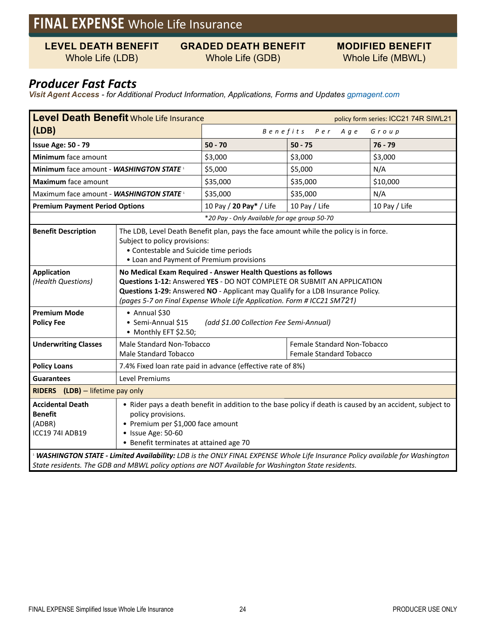### **FINAL EXPENSE** Whole Life Insurance

**LEVEL DEATH BENEFIT** Whole Life (LDB)

## **GRADED DEATH BENEFIT**

Whole Life (GDB)

**MODIFIED BENEFIT** Whole Life (MBWL)

#### *Producer Fast Facts*

*Visit Agent Access - for Additional Product Information, Applications, Forms and Updates gpmagent.com*

| <b>Level Death Benefit Whole Life Insurance</b><br>policy form series: ICC21 74R SIWL21                                                                                                                                                                                                                                |                                                                                                                                                                                                                                                                                                        |                                                             |                                                               |               |  |  |  |  |  |
|------------------------------------------------------------------------------------------------------------------------------------------------------------------------------------------------------------------------------------------------------------------------------------------------------------------------|--------------------------------------------------------------------------------------------------------------------------------------------------------------------------------------------------------------------------------------------------------------------------------------------------------|-------------------------------------------------------------|---------------------------------------------------------------|---------------|--|--|--|--|--|
| (LDB)                                                                                                                                                                                                                                                                                                                  |                                                                                                                                                                                                                                                                                                        |                                                             | Benefits Per<br>A g e                                         | Group         |  |  |  |  |  |
| <b>Issue Age: 50 - 79</b>                                                                                                                                                                                                                                                                                              |                                                                                                                                                                                                                                                                                                        | $50 - 70$                                                   | $50 - 75$                                                     | $76 - 79$     |  |  |  |  |  |
| Minimum face amount                                                                                                                                                                                                                                                                                                    |                                                                                                                                                                                                                                                                                                        | \$3,000                                                     | \$3,000                                                       | \$3,000       |  |  |  |  |  |
| Minimum face amount - WASHINGTON STATE 1                                                                                                                                                                                                                                                                               |                                                                                                                                                                                                                                                                                                        | \$5,000                                                     | \$5,000                                                       | N/A           |  |  |  |  |  |
| <b>Maximum</b> face amount                                                                                                                                                                                                                                                                                             |                                                                                                                                                                                                                                                                                                        | \$35,000                                                    | \$35,000                                                      | \$10,000      |  |  |  |  |  |
| Maximum face amount - WASHINGTON STATE 1                                                                                                                                                                                                                                                                               |                                                                                                                                                                                                                                                                                                        | \$35,000                                                    | \$35,000                                                      | N/A           |  |  |  |  |  |
| <b>Premium Payment Period Options</b>                                                                                                                                                                                                                                                                                  |                                                                                                                                                                                                                                                                                                        | 10 Pay / 20 Pay* / Life                                     | 10 Pay / Life                                                 | 10 Pay / Life |  |  |  |  |  |
|                                                                                                                                                                                                                                                                                                                        |                                                                                                                                                                                                                                                                                                        | *20 Pay - Only Available for age group 50-70                |                                                               |               |  |  |  |  |  |
| <b>Benefit Description</b><br>The LDB, Level Death Benefit plan, pays the face amount while the policy is in force.<br>Subject to policy provisions:<br>• Contestable and Suicide time periods<br>• Loan and Payment of Premium provisions                                                                             |                                                                                                                                                                                                                                                                                                        |                                                             |                                                               |               |  |  |  |  |  |
| <b>Application</b><br>(Health Questions)                                                                                                                                                                                                                                                                               | No Medical Exam Required - Answer Health Questions as follows<br>Questions 1-12: Answered YES - DO NOT COMPLETE OR SUBMIT AN APPLICATION<br>Questions 1-29: Answered NO - Applicant may Qualify for a LDB Insurance Policy.<br>(pages 5-7 on Final Expense Whole Life Application. Form # ICC21 SM721) |                                                             |                                                               |               |  |  |  |  |  |
| <b>Premium Mode</b><br><b>Policy Fee</b>                                                                                                                                                                                                                                                                               | • Annual \$30<br>· Semi-Annual \$15<br>• Monthly EFT \$2.50;                                                                                                                                                                                                                                           | (add \$1.00 Collection Fee Semi-Annual)                     |                                                               |               |  |  |  |  |  |
| <b>Underwriting Classes</b>                                                                                                                                                                                                                                                                                            | Male Standard Non-Tobacco<br><b>Male Standard Tobacco</b>                                                                                                                                                                                                                                              |                                                             | Female Standard Non-Tobacco<br><b>Female Standard Tobacco</b> |               |  |  |  |  |  |
| <b>Policy Loans</b>                                                                                                                                                                                                                                                                                                    |                                                                                                                                                                                                                                                                                                        | 7.4% Fixed loan rate paid in advance (effective rate of 8%) |                                                               |               |  |  |  |  |  |
| <b>Guarantees</b>                                                                                                                                                                                                                                                                                                      | Level Premiums                                                                                                                                                                                                                                                                                         |                                                             |                                                               |               |  |  |  |  |  |
| RIDERS (LDB) - lifetime pay only                                                                                                                                                                                                                                                                                       |                                                                                                                                                                                                                                                                                                        |                                                             |                                                               |               |  |  |  |  |  |
| <b>Accidental Death</b><br>• Rider pays a death benefit in addition to the base policy if death is caused by an accident, subject to<br><b>Benefit</b><br>policy provisions.<br>• Premium per \$1,000 face amount<br>(ADBR)<br>• Issue Age: 50-60<br><b>ICC19 74I ADB19</b><br>• Benefit terminates at attained age 70 |                                                                                                                                                                                                                                                                                                        |                                                             |                                                               |               |  |  |  |  |  |
|                                                                                                                                                                                                                                                                                                                        | <sup>1</sup> WASHINGTON STATE - Limited Availability: LDB is the ONLY FINAL EXPENSE Whole Life Insurance Policy available for Washington<br>State residents. The GDB and MBWL policy options are NOT Available for Washington State residents.                                                         |                                                             |                                                               |               |  |  |  |  |  |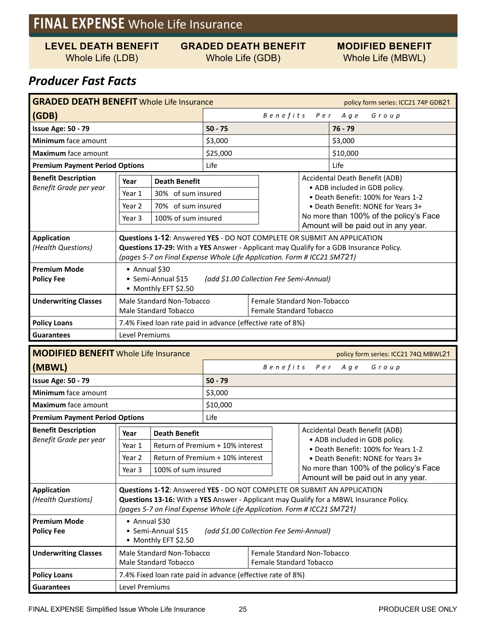### **FINAL EXPENSE** Whole Life Insurance

**LEVEL DEATH BENEFIT**

Whole Life (LDB)

#### **GRADED DEATH BENEFIT** Whole Life (GDB)

**MODIFIED BENEFIT** Whole Life (MBWL)

#### *Producer Fast Facts*

| <b>GRADED DEATH BENEFIT Whole Life Insurance</b><br>policy form series: ICC21 74P GDB21 |                                                                                                                                                                                                                                              |                      |                                                                 |                                                               |                                                                                |           |  |
|-----------------------------------------------------------------------------------------|----------------------------------------------------------------------------------------------------------------------------------------------------------------------------------------------------------------------------------------------|----------------------|-----------------------------------------------------------------|---------------------------------------------------------------|--------------------------------------------------------------------------------|-----------|--|
| (GDB)                                                                                   |                                                                                                                                                                                                                                              |                      | Benefits Per Age<br>Group                                       |                                                               |                                                                                |           |  |
| <b>Issue Age: 50 - 79</b>                                                               |                                                                                                                                                                                                                                              |                      | $50 - 75$                                                       |                                                               |                                                                                | $76 - 79$ |  |
| Minimum face amount                                                                     |                                                                                                                                                                                                                                              |                      | \$3,000                                                         |                                                               |                                                                                | \$3,000   |  |
| Maximum face amount                                                                     |                                                                                                                                                                                                                                              |                      | \$25,000                                                        |                                                               |                                                                                | \$10,000  |  |
| <b>Premium Payment Period Options</b>                                                   |                                                                                                                                                                                                                                              |                      | Life                                                            |                                                               |                                                                                | Life      |  |
| <b>Benefit Description</b><br>Benefit Grade per year                                    | Year                                                                                                                                                                                                                                         | <b>Death Benefit</b> | Accidental Death Benefit (ADB)<br>• ADB included in GDB policy. |                                                               |                                                                                |           |  |
|                                                                                         | Year 1                                                                                                                                                                                                                                       | 30% of sum insured   |                                                                 |                                                               | • Death Benefit: 100% for Years 1-2                                            |           |  |
|                                                                                         | Year 2                                                                                                                                                                                                                                       | 70% of sum insured   | • Death Benefit: NONE for Years 3+                              |                                                               |                                                                                |           |  |
|                                                                                         | Year 3                                                                                                                                                                                                                                       | 100% of sum insured  |                                                                 |                                                               | No more than 100% of the policy's Face<br>Amount will be paid out in any year. |           |  |
| <b>Application</b><br>(Health Questions)                                                | Questions 1-12: Answered YES - DO NOT COMPLETE OR SUBMIT AN APPLICATION<br>Questions 17-29: With a YES Answer - Applicant may Qualify for a GDB Insurance Policy.<br>(pages 5-7 on Final Expense Whole Life Application. Form # ICC21 SM721) |                      |                                                                 |                                                               |                                                                                |           |  |
| <b>Premium Mode</b><br><b>Policy Fee</b>                                                | • Annual \$30<br>• Semi-Annual \$15<br>(add \$1.00 Collection Fee Semi-Annual)<br>• Monthly EFT \$2.50                                                                                                                                       |                      |                                                                 |                                                               |                                                                                |           |  |
| <b>Underwriting Classes</b>                                                             | Male Standard Non-Tobacco<br>Male Standard Tobacco                                                                                                                                                                                           |                      |                                                                 | Female Standard Non-Tobacco<br><b>Female Standard Tobacco</b> |                                                                                |           |  |
| <b>Policy Loans</b>                                                                     | 7.4% Fixed loan rate paid in advance (effective rate of 8%)                                                                                                                                                                                  |                      |                                                                 |                                                               |                                                                                |           |  |
| <b>Guarantees</b>                                                                       | Level Premiums                                                                                                                                                                                                                               |                      |                                                                 |                                                               |                                                                                |           |  |

| <b>MODIFIED BENEFIT</b> Whole Life Insurance<br>policy form series: ICC21 74Q MBWL21 |                                                                                       |                                                                                                                                                                           |                                                                         |  |                                        |                                                                      |  |  |       |
|--------------------------------------------------------------------------------------|---------------------------------------------------------------------------------------|---------------------------------------------------------------------------------------------------------------------------------------------------------------------------|-------------------------------------------------------------------------|--|----------------------------------------|----------------------------------------------------------------------|--|--|-------|
| (MBWL)                                                                               |                                                                                       |                                                                                                                                                                           |                                                                         |  | Benefits Per Age                       |                                                                      |  |  | Group |
| <b>Issue Age: 50 - 79</b>                                                            |                                                                                       |                                                                                                                                                                           | $50 - 79$                                                               |  |                                        |                                                                      |  |  |       |
| Minimum face amount                                                                  |                                                                                       |                                                                                                                                                                           | \$3,000                                                                 |  |                                        |                                                                      |  |  |       |
| <b>Maximum</b> face amount                                                           |                                                                                       |                                                                                                                                                                           | \$10,000                                                                |  |                                        |                                                                      |  |  |       |
| <b>Premium Payment Period Options</b>                                                |                                                                                       |                                                                                                                                                                           | Life                                                                    |  |                                        |                                                                      |  |  |       |
| <b>Benefit Description</b>                                                           | Year                                                                                  | <b>Death Benefit</b>                                                                                                                                                      |                                                                         |  |                                        | Accidental Death Benefit (ADB)                                       |  |  |       |
| Benefit Grade per year                                                               | Year 1                                                                                | Return of Premium + 10% interest                                                                                                                                          |                                                                         |  |                                        | • ADB included in GDB policy.<br>• Death Benefit: 100% for Years 1-2 |  |  |       |
|                                                                                      | Year 2                                                                                | Return of Premium + 10% interest                                                                                                                                          |                                                                         |  | • Death Benefit: NONE for Years 3+     |                                                                      |  |  |       |
|                                                                                      | Year 3                                                                                | 100% of sum insured                                                                                                                                                       |                                                                         |  | No more than 100% of the policy's Face |                                                                      |  |  |       |
|                                                                                      |                                                                                       |                                                                                                                                                                           |                                                                         |  |                                        | Amount will be paid out in any year.                                 |  |  |       |
| <b>Application</b>                                                                   |                                                                                       |                                                                                                                                                                           | Questions 1-12: Answered YES - DO NOT COMPLETE OR SUBMIT AN APPLICATION |  |                                        |                                                                      |  |  |       |
| (Health Questions)                                                                   |                                                                                       | <b>Questions 13-16:</b> With a YES Answer - Applicant may Qualify for a MBWL Insurance Policy.<br>(pages 5-7 on Final Expense Whole Life Application. Form # ICC21 SM721) |                                                                         |  |                                        |                                                                      |  |  |       |
|                                                                                      |                                                                                       |                                                                                                                                                                           |                                                                         |  |                                        |                                                                      |  |  |       |
| <b>Premium Mode</b>                                                                  | • Annual $$30$                                                                        |                                                                                                                                                                           |                                                                         |  |                                        |                                                                      |  |  |       |
| <b>Policy Fee</b>                                                                    | • Semi-Annual \$15<br>(add \$1.00 Collection Fee Semi-Annual)<br>• Monthly EFT \$2.50 |                                                                                                                                                                           |                                                                         |  |                                        |                                                                      |  |  |       |
| <b>Underwriting Classes</b>                                                          |                                                                                       | Male Standard Non-Tobacco                                                                                                                                                 | Female Standard Non-Tobacco                                             |  |                                        |                                                                      |  |  |       |
| Male Standard Tobacco                                                                |                                                                                       |                                                                                                                                                                           | <b>Female Standard Tobacco</b>                                          |  |                                        |                                                                      |  |  |       |
| <b>Policy Loans</b>                                                                  |                                                                                       |                                                                                                                                                                           | 7.4% Fixed loan rate paid in advance (effective rate of 8%)             |  |                                        |                                                                      |  |  |       |
| Level Premiums<br><b>Guarantees</b>                                                  |                                                                                       |                                                                                                                                                                           |                                                                         |  |                                        |                                                                      |  |  |       |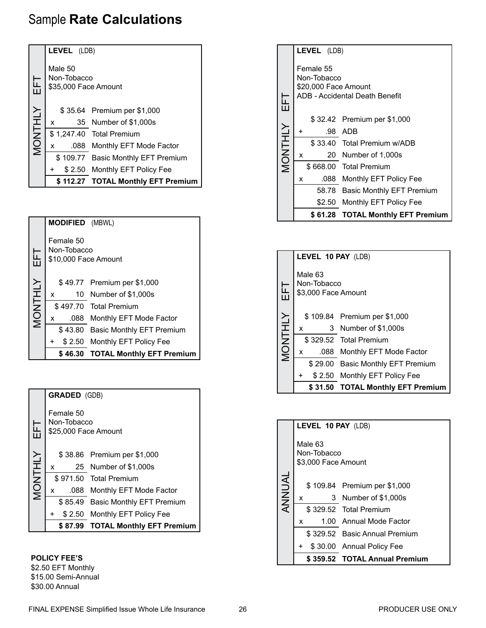#### Sample **Rate Calculations**

|                | LEVEL (LDB)                                    |                                    |
|----------------|------------------------------------------------|------------------------------------|
| II<br>Li       | Male 50<br>Non-Tobacco<br>\$35,000 Face Amount |                                    |
|                |                                                | \$35.64 Premium per \$1,000        |
|                | x                                              | 35 Number of \$1,000s              |
|                |                                                | \$1,247.40 Total Premium           |
| <b>MONTHLY</b> | x                                              | .088 Monthly EFT Mode Factor       |
|                |                                                | \$109.77 Basic Monthly EFT Premium |
|                | +                                              | \$2.50 Monthly EFT Policy Fee      |
|                |                                                | \$112.27 TOTAL Monthly EFT Premium |

|         | <b>MODIFIED</b> (MBWL)                           |                                   |
|---------|--------------------------------------------------|-----------------------------------|
| 日<br>山  | Female 50<br>Non-Tobacco<br>\$10,000 Face Amount |                                   |
|         |                                                  | \$49.77 Premium per \$1,000       |
|         | x                                                | 10 Number of \$1,000s             |
|         |                                                  | \$497.70 Total Premium            |
| NONTHLY | x                                                | .088 Monthly EFT Mode Factor      |
|         |                                                  | \$43.80 Basic Monthly EFT Premium |
|         | +                                                | \$2.50 Monthly EFT Policy Fee     |
|         |                                                  | \$46.30 TOTAL Monthly EFT Premium |

|         | <b>GRADED</b> (GDB)                              |                                   |
|---------|--------------------------------------------------|-----------------------------------|
| EFT     | Female 50<br>Non-Tobacco<br>\$25,000 Face Amount |                                   |
|         |                                                  | \$38.86 Premium per \$1,000       |
|         | x                                                | 25 Number of \$1,000s             |
|         |                                                  | \$971.50 Total Premium            |
| NONTHLY | .088<br>x                                        | Monthly EFT Mode Factor           |
|         |                                                  | \$85.49 Basic Monthly EFT Premium |
|         | \$ 2.50<br>+                                     | Monthly EFT Policy Fee            |
|         |                                                  | \$87.99 TOTAL Monthly EFT Premium |

\$2.50 EFT Monthly \$15.00 Semi-Annual \$30.00 Annual

|          |                                                                                    | LEVEL (LDB) |                                    |  |  |  |
|----------|------------------------------------------------------------------------------------|-------------|------------------------------------|--|--|--|
| II<br>Li | Female 55<br>Non-Tobacco<br>\$20,000 Face Amount<br>ADB - Accidental Death Benefit |             |                                    |  |  |  |
|          |                                                                                    |             | \$32.42 Premium per \$1,000        |  |  |  |
|          | $\ddot{}$                                                                          | .98.        | ADB                                |  |  |  |
|          |                                                                                    |             | \$33.40 Total Premium w/ADB        |  |  |  |
| NONTHLY  | x                                                                                  |             | 20 Number of 1,000s                |  |  |  |
|          |                                                                                    |             | \$668.00 Total Premium             |  |  |  |
|          | x                                                                                  |             | .088 Monthly EFT Policy Fee        |  |  |  |
|          |                                                                                    | 58.78       | <b>Basic Monthly EFT Premium</b>   |  |  |  |
|          |                                                                                    |             | \$2.50 Monthly EFT Policy Fee      |  |  |  |
|          |                                                                                    |             | \$ 61.28 TOTAL Monthly EFT Premium |  |  |  |

|         | LEVEL 10 PAY (LDB)                            |  |                                    |  |  |
|---------|-----------------------------------------------|--|------------------------------------|--|--|
| 上山      | Male 63<br>Non-Tobacco<br>\$3,000 Face Amount |  |                                    |  |  |
|         |                                               |  | \$109.84 Premium per \$1,000       |  |  |
| NONTHLY | x                                             |  | 3 Number of \$1,000s               |  |  |
|         |                                               |  | \$329.52 Total Premium             |  |  |
|         | x                                             |  | .088 Monthly EFT Mode Factor       |  |  |
|         |                                               |  | \$ 29.00 Basic Monthly EFT Premium |  |  |
|         | +                                             |  | \$2.50 Monthly EFT Policy Fee      |  |  |
|         |                                               |  | \$31.50 TOTAL Monthly EFT Premium  |  |  |

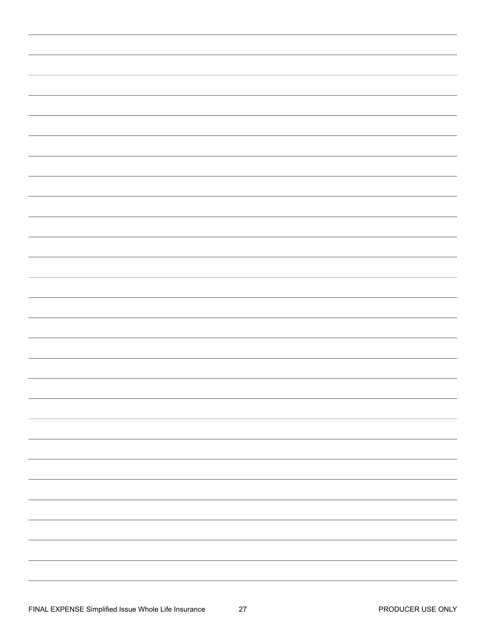| the control of the control of |                                                                                                                                                                                                                                                                                                                                                                                                                                                                            |
|-------------------------------|----------------------------------------------------------------------------------------------------------------------------------------------------------------------------------------------------------------------------------------------------------------------------------------------------------------------------------------------------------------------------------------------------------------------------------------------------------------------------|
|                               | $\overline{\phantom{0}}$                                                                                                                                                                                                                                                                                                                                                                                                                                                   |
|                               |                                                                                                                                                                                                                                                                                                                                                                                                                                                                            |
|                               |                                                                                                                                                                                                                                                                                                                                                                                                                                                                            |
|                               | $\frac{1}{2} \left( \frac{1}{2} \right) \left( \frac{1}{2} \right) \left( \frac{1}{2} \right) \left( \frac{1}{2} \right) \left( \frac{1}{2} \right) \left( \frac{1}{2} \right) \left( \frac{1}{2} \right) \left( \frac{1}{2} \right) \left( \frac{1}{2} \right) \left( \frac{1}{2} \right) \left( \frac{1}{2} \right) \left( \frac{1}{2} \right) \left( \frac{1}{2} \right) \left( \frac{1}{2} \right) \left( \frac{1}{2} \right) \left( \frac{1}{2} \right) \left( \frac$ |
|                               |                                                                                                                                                                                                                                                                                                                                                                                                                                                                            |
|                               | $\overline{\phantom{0}}$                                                                                                                                                                                                                                                                                                                                                                                                                                                   |
|                               |                                                                                                                                                                                                                                                                                                                                                                                                                                                                            |